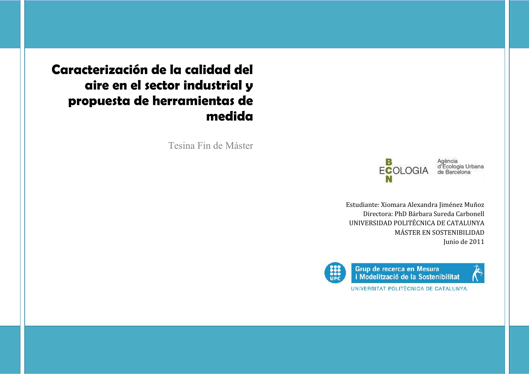**Caracterización de la calidad del aire en el sector industrial y propuesta de herramientas de medida**

Tesina Fin de Máster



Agència<br>d'Ecologia Urbana<br>de Barcelona

Estudiante: Xiomara Alexandra Jiménez Muñoz Directora: PhD Bárbara Sureda Carbonell UNIVERSIDAD POLITÉCNICA DE CATALUNYA MÁSTER EN SOSTENIBILIDAD Junio de 2011



Grup de recerca en Mesura i Modelització de la Sostenibilitat



UNIVERSITAT POLITÈCNICA DE CATALUNYA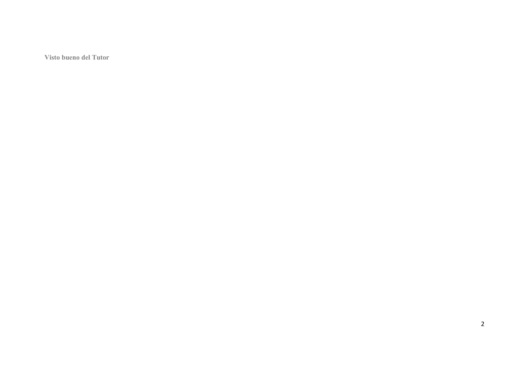**Visto bueno del Tutor**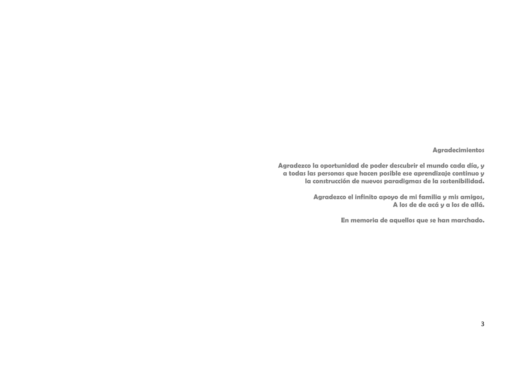## **Agradecimientos**

**Agradezco la oportunidad de poder descubrir el mundo cada día, y a todas las personas que hacen posible ese aprendizaje continuo y la construcción de nuevos paradigmas de la sostenibilidad.**

> **Agradezco el infinito apoyo de mi familia y mis amigos, A los de de acá y a los de allá.**

> > **En memoria de aquellos que se han marchado.**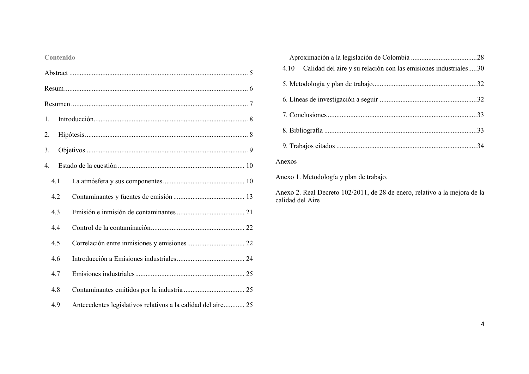# **Contenido**

| 1.          |                                                              |  |
|-------------|--------------------------------------------------------------|--|
| 2.          |                                                              |  |
| 3.          |                                                              |  |
| $4_{\cdot}$ |                                                              |  |
| 4.1         |                                                              |  |
| 4.2         |                                                              |  |
| 4.3         |                                                              |  |
| 4.4         |                                                              |  |
| 4.5         |                                                              |  |
| 4.6         |                                                              |  |
| 4.7         |                                                              |  |
| 4.8         |                                                              |  |
| 4.9         | Antecedentes legislativos relativos a la calidad del aire 25 |  |

| 4.10 Calidad del aire y su relación con las emisiones industriales30 |  |
|----------------------------------------------------------------------|--|
|                                                                      |  |
|                                                                      |  |
|                                                                      |  |
|                                                                      |  |
|                                                                      |  |

## Anexos

Anexo 1. Metodología y plan de trabajo.

Anexo 2. Real Decreto 102/2011, de 28 de enero, relativo a la mejora de la calidad del Aire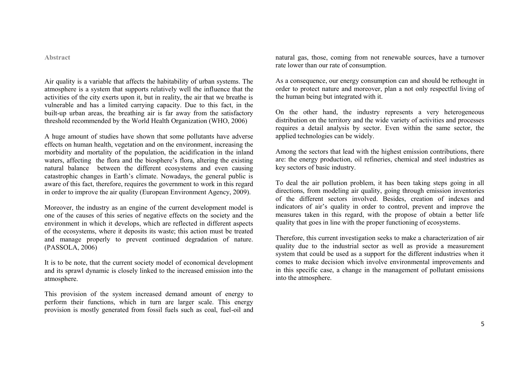**Abstract**

Air quality is a variable that affects the habitability of urban systems. The atmosphere is a system that supports relatively well the influence that the activities of the city exerts upon it, but in reality, the air that we breathe is vulnerable and has a limited carrying capacity. Due to this fact, in the built-up urban areas, the breathing air is far away from the satisfactory threshold recommended by the World Health Organization (WHO, 2006)

A huge amount of studies have shown that some pollutants have adverse effects on human health, vegetation and on the environment, increasing the morbidity and mortality of the population, the acidification in the inland waters, affecting the flora and the biosphere's flora, altering the existing natural balance between the different ecosystems and even causing catastrophic changes in Earth's climate. Nowadays, the general public is aware of this fact, therefore, requires the government to work in this regard in order to improve the air quality (European Environment Agency, 2009).

Moreover, the industry as an engine of the current development model is one of the causes of this series of negative effects on the society and the environment in which it develops, which are reflected in different aspects of the ecosystems, where it deposits its waste; this action must be treated and manage properly to prevent continued degradation of nature. (PASSOLA, 2006)

It is to be note, that the current society model of economical development and its sprawl dynamic is closely linked to the increased emission into the atmosphere.

This provision of the system increased demand amount of energy to perform their functions, which in turn are larger scale. This energy provision is mostly generated from fossil fuels such as coal, fuel-oil and natural gas, those, coming from not renewable sources, have a turnover rate lower than our rate of consumption.

As a consequence, our energy consumption can and should be rethought in order to protect nature and moreover, plan a not only respectful living of the human being but integrated with it.

On the other hand, the industry represents a very heterogeneous distribution on the territory and the wide variety of activities and processes requires a detail analysis by sector. Even within the same sector, the applied technologies can be widely.

Among the sectors that lead with the highest emission contributions, there are: the energy production, oil refineries, chemical and steel industries as key sectors of basic industry.

To deal the air pollution problem, it has been taking steps going in all directions, from modeling air quality, going through emission inventories of the different sectors involved. Besides, creation of indexes and indicators of air's quality in order to control, prevent and improve the measures taken in this regard, with the propose of obtain a better life quality that goes in line with the proper functioning of ecosystems.

Therefore, this current investigation seeks to make a characterization of air quality due to the industrial sector as well as provide a measurement system that could be used as a support for the different industries when it comes to make decision which involve environmental improvements and in this specific case, a change in the management of pollutant emissions into the atmosphere.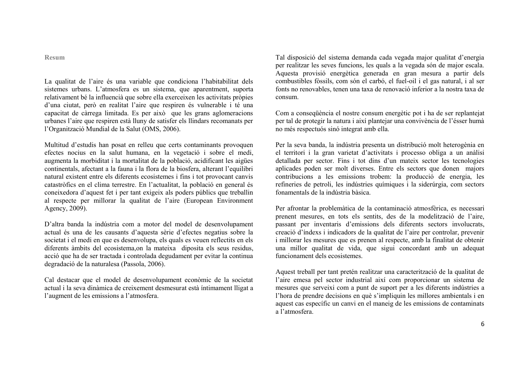**Resum**

La qualitat de l'aire és una variable que condiciona l'habitabilitat dels sistemes urbans. L'atmosfera es un sistema, que aparentment, suporta relativament bé la influencià que sobre ella exerceixen les activitats pròpies d'una ciutat, però en realitat l'aire que respiren és vulnerable i té una capacitat de càrrega limitada. Es per això que les grans aglomeracions urbanes l'aire que respiren està lluny de satisfer els llindars recomanats per l'Organització Mundial de la Salut (OMS, 2006).

Multitud d'estudis han posat en relleu que certs contaminants provoquen efectes nocius en la salut humana, en la vegetació i sobre el medi, augmenta la morbiditat i la mortalitat de la població, acidificant les aigües continentals, afectant a la fauna i la flora de la biosfera, alterant l'equilibri natural existent entre els diferents ecosistemes i fins i tot provocant canvis catastròfics en el clima terrestre. En l'actualitat, la població en general és coneixedora d'aquest fet i per tant exigeix als poders públics que treballin al respecte per millorar la qualitat de l'aire (European Environment Agency, 2009).

D'altra banda la indústria com a motor del model de desenvolupament actual és una de les causants d'aquesta sèrie d'efectes negatius sobre la societat i el medi en que es desenvolupa, els quals es veuen reflectits en els diferents àmbits del ecosistema,on la mateixa diposita els seus residus, acció que ha de ser tractada i controlada degudament per evitar la continua degradació de la naturalesa (Passola, 2006).

Cal destacar que el model de desenvolupament econòmic de la societat actual i la seva dinàmica de creixement desmesurat està íntimament lligat a l'augment de les emissions a l'atmosfera.

Tal disposició del sistema demanda cada vegada major qualitat d'energia per realitzar les seves funcions, les quals a la vegada són de major escala. Aquesta provisió energètica generada en gran mesura a partir dels combustibles fòssils, com són el carbó, el fuel-oil i el gas natural, i al ser fonts no renovables, tenen una taxa de renovació inferior a la nostra taxa de consum.

Com a conseqüència el nostre consum energètic pot i ha de ser replantejat per tal de protegir la natura i així plantejar una convivència de l'ésser humà no més respectuós sinó integrat amb ella.

Per la seva banda, la indústria presenta un distribució molt heterogènia en el territori i la gran varietat d'activitats i processo obliga a un anàlisi detallada per sector. Fins i tot dins d'un mateix sector les tecnologies aplicades poden ser molt diverses. Entre els sectors que donen majors contribucions a les emissions trobem: la producció de energia, les refineries de petroli, les indústries químiques i la siderúrgia, com sectors fonamentals de la indústria bàsica.

Per afrontar la problemàtica de la contaminació atmosfèrica, es necessari prenent mesures, en tots els sentits, des de la modelització de l'aire, passant per inventaris d'emissions dels diferents sectors involucrats, creació d'índexs i indicadors de la qualitat de l'aire per controlar, prevenir i millorar les mesures que es prenen al respecte, amb la finalitat de obtenir una millor qualitat de vida, que sigui concordant amb un adequat funcionament dels ecosistemes.

Aquest treball per tant pretén realitzar una caracterització de la qualitat de l'aire emesa pel sector industrial així com proporcionar un sistema de mesures que serveixi com a punt de suport per a les diferents indústries a l'hora de prendre decisions en què s'impliquin les millores ambientals i en aquest cas específic un canvi en el maneig de les emissions de contaminats a l'atmosfera.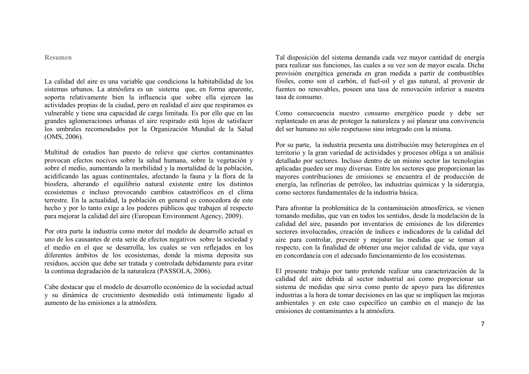**Resumen**

La calidad del aire es una variable que condiciona la habitabilidad de los sistemas urbanos. La atmósfera es un sistema que, en forma aparente, soporta relativamente bien la influencia que sobre ella ejercen las actividades propias de la ciudad, pero en realidad el aire que respiramos es vulnerable y tiene una capacidad de carga limitada. Es por ello que en las grandes aglomeraciones urbanas el aire respirado está lejos de satisfacer los umbrales recomendados por la Organización Mundial de la Salud (OMS, 2006).

Multitud de estudios han puesto de relieve que ciertos contaminantes provocan efectos nocivos sobre la salud humana, sobre la vegetación y sobre el medio, aumentando la morbilidad y la mortalidad de la población, acidificando las aguas continentales, afectando la fauna y la flora de la biosfera, alterando el equilibrio natural existente entre los distintos ecosistemas e incluso provocando cambios catastróficos en el clima terrestre. En la actualidad, la población en general es conocedora de este hecho y por lo tanto exige a los poderes públicos que trabajen al respecto para mejorar la calidad del aire (European Environment Agency, 2009).

Por otra parte la industria como motor del modelo de desarrollo actual es uno de los causantes de esta serie de efectos negativos sobre la sociedad y el medio en el que se desarrolla, los cuales se ven reflejados en los diferentes ámbitos de los ecosistemas, donde la misma deposita sus residuos, acción que debe ser tratada y controlada debidamente para evitar la continua degradación de la naturaleza (PASSOLA, 2006).

Cabe destacar que el modelo de desarrollo económico de la sociedad actual y su dinámica de crecimiento desmedido está íntimamente ligado al aumento de las emisiones a la atmósfera.

Tal disposición del sistema demanda cada vez mayor cantidad de energía para realizar sus funciones, las cuales a su vez son de mayor escala. Dicha provisión energética generada en gran medida a partir de combustibles fósiles, como son el carbón, el fuel-oil y el gas natural, al provenir de fuentes no renovables, poseen una tasa de renovación inferior a nuestra tasa de consumo.

Como consecuencia nuestro consumo energético puede y debe ser replanteado en aras de proteger la naturaleza y así planear una convivencia del ser humano no sólo respetuoso sino integrado con la misma.

Por su parte, la industria presenta una distribución muy heterogénea en el territorio y la gran variedad de actividades y procesos obliga a un análisis detallado por sectores. Incluso dentro de un mismo sector las tecnologías aplicadas pueden ser muy diversas. Entre los sectores que proporcionan las mayores contribuciones de emisiones se encuentra el de producción de energía, las refinerías de petróleo, las industrias químicas y la siderurgia, como sectores fundamentales de la industria básica.

Para afrontar la problemática de la contaminación atmosférica, se vienen tomando medidas, que van en todos los sentidos, desde la modelación de la calidad del aire, pasando por inventarios de emisiones de los diferentes sectores involucrados, creación de índices e indicadores de la calidad del aire para controlar, prevenir y mejorar las medidas que se toman al respecto, con la finalidad de obtener una mejor calidad de vida, que vaya en concordancia con el adecuado funcionamiento de los ecosistemas.

El presente trabajo por tanto pretende realizar una caracterización de la calidad del aire debida al sector industrial así como proporcionar un sistema de medidas que sirva como punto de apoyo para las diferentes industrias a la hora de tomar decisiones en las que se impliquen las mejoras ambientales y en este caso específico un cambio en el manejo de las emisiones de contaminantes a la atmósfera.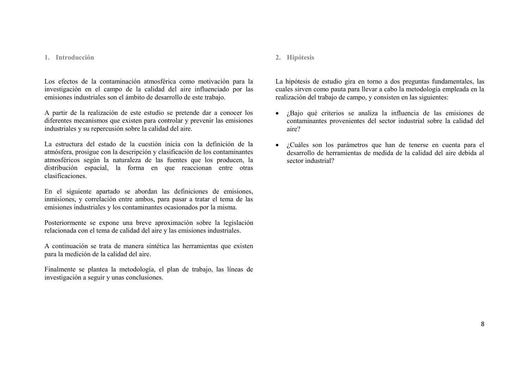#### **1. Introducción**

Los efectos de la contaminación atmosférica como motivación para la investigación en el campo de la calidad del aire influenciado por las emisiones industriales son el ámbito de desarrollo de este trabajo.

A partir de la realización de este estudio se pretende dar a conocer los diferentes mecanismos que existen para controlar y prevenir las emisiones industriales y su repercusión sobre la calidad del aire.

La estructura del estado de la cuestión inicia con la definición de la atmósfera, prosigue con la descripción y clasificación de los contaminantes atmosféricos según la naturaleza de las fuentes que los producen, la distribución espacial, la forma en que reaccionan entre otras clasificaciones.

En el siguiente apartado se abordan las definiciones de emisiones, inmisiones, y correlación entre ambos, para pasar a tratar el tema de las emisiones industriales y los contaminantes ocasionados por la misma.

Posteriormente se expone una breve aproximación sobre la legislación relacionada con el tema de calidad del aire y las emisiones industriales.

A continuación se trata de manera sintética las herramientas que existen para la medición de la calidad del aire.

Finalmente se plantea la metodología, el plan de trabajo, las líneas de investigación a seguir y unas conclusiones.

### **2. Hipótesis**

La hipótesis de estudio gira en torno a dos preguntas fundamentales, las cuales sirven como pauta para llevar a cabo la metodología empleada en la realización del trabajo de campo, y consisten en las siguientes:

- ¿Bajo qué criterios se analiza la influencia de las emisiones de contaminantes provenientes del sector industrial sobre la calidad del aire?
- ¿Cuáles son los parámetros que han de tenerse en cuenta para el desarrollo de herramientas de medida de la calidad del aire debida al sector industrial?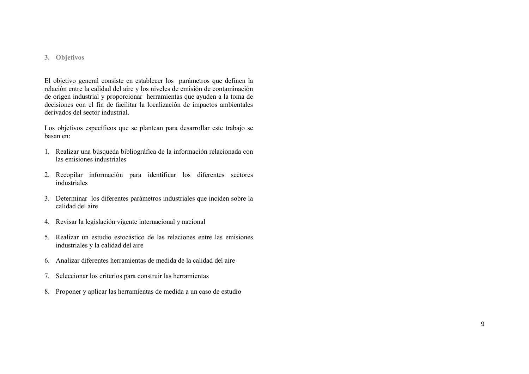### **3. Objetivos**

El objetivo general consiste en establecer los parámetros que definen la relación entre la calidad del aire y los niveles de emisión de contaminación de origen industrial y proporcionar herramientas que ayuden a la toma de decisiones con el fin de facilitar la localización de impactos ambientales derivados del sector industrial.

Los objetivos específicos que se plantean para desarrollar este trabajo se basan en:

- 1. Realizar una búsqueda bibliográfica de la información relacionada con las emisiones industriales
- 2. Recopilar información para identificar los diferentes sectores industriales
- 3. Determinar los diferentes parámetros industriales que inciden sobre la calidad del aire
- 4. Revisar la legislación vigente internacional y nacional
- 5. Realizar un estudio estocástico de las relaciones entre las emisiones industriales y la calidad del aire
- 6. Analizar diferentes herramientas de medida de la calidad del aire
- 7. Seleccionar los criterios para construir las herramientas
- 8. Proponer y aplicar las herramientas de medida a un caso de estudio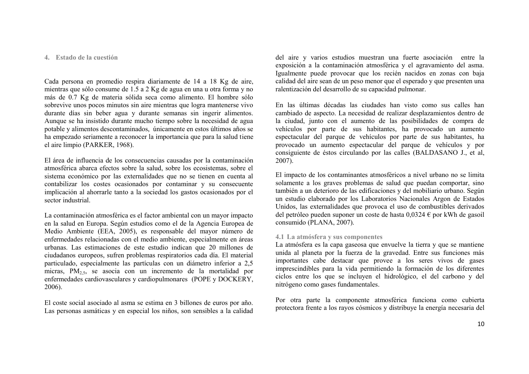#### **4. Estado de la cuestión**

Cada persona en promedio respira diariamente de 14 a 18 Kg de aire, mientras que sólo consume de 1.5 a 2 Kg de agua en una u otra forma y no más de 0.7 Kg de materia sólida seca como alimento. El hombre sólo sobrevive unos pocos minutos sin aire mientras que logra mantenerse vivo durante días sin beber agua y durante semanas sin ingerir alimentos. Aunque se ha insistido durante mucho tiempo sobre la necesidad de agua potable y alimentos descontaminados, únicamente en estos últimos años se ha empezado seriamente a reconocer la importancia que para la salud tiene el aire limpio (PARKER, 1968).

El área de influencia de los consecuencias causadas por la contaminación atmosférica abarca efectos sobre la salud, sobre los ecosistemas, sobre el sistema económico por las externalidades que no se tienen en cuenta al contabilizar los costes ocasionados por contaminar y su consecuente implicación al ahorrarle tanto a la sociedad los gastos ocasionados por el sector industrial.

La contaminación atmosférica es el factor ambiental con un mayor impacto en la salud en Europa. Según estudios como el de la Agencia Europea de Medio Ambiente (EEA, 2005), es responsable del mayor número de enfermedades relacionadas con el medio ambiente, especialmente en áreas urbanas. Las estimaciones de este estudio indican que 20 millones de ciudadanos europeos, sufren problemas respiratorios cada día. El material particulado, especialmente las partículas con un diámetro inferior a 2,5 micras, PM<sub>25</sub>, se asocia con un incremento de la mortalidad por enfermedades cardiovasculares y cardiopulmonares (POPE y DOCKERY, 2006).

El coste social asociado al asma se estima en 3 billones de euros por año. Las personas asmáticas y en especial los niños, son sensibles a la calidad del aire y varios estudios muestran una fuerte asociación entre la exposición a la contaminación atmosférica y el agravamiento del asma. Igualmente puede provocar que los recién nacidos en zonas con baja calidad del aire sean de un peso menor que el esperado y que presenten una ralentización del desarrollo de su capacidad pulmonar.

En las últimas décadas las ciudades han visto como sus calles han cambiado de aspecto. La necesidad de realizar desplazamientos dentro de la ciudad, junto con el aumento de las posibilidades de compra de vehículos por parte de sus habitantes, ha provocado un aumento espectacular del parque de vehículos por parte de sus habitantes, ha provocado un aumento espectacular del parque de vehículos y por consiguiente de éstos circulando por las calles (BALDASANO J., et al, 2007).

El impacto de los contaminantes atmosféricos a nivel urbano no se limita solamente a los graves problemas de salud que puedan comportar, sino también a un deterioro de las edificaciones y del mobiliario urbano. Según un estudio elaborado por los Laboratorios Nacionales Argon de Estados Unidos, las externalidades que provoca el uso de combustibles derivados del petróleo pueden suponer un coste de hasta 0,0324 € por kWh de gasoil consumido (PLANA, 2007).

## **4.1 La atmósfera y sus componentes**

La atmósfera es la capa gaseosa que envuelve la tierra y que se mantiene unida al planeta por la fuerza de la gravedad. Entre sus funciones más importantes cabe destacar que provee a los seres vivos de gases imprescindibles para la vida permitiendo la formación de los diferentes ciclos entre los que se incluyen el hidrológico, el del carbono y del nitrógeno como gases fundamentales.

Por otra parte la componente atmosférica funciona como cubierta protectora frente a los rayos cósmicos y distribuye la energía necesaria del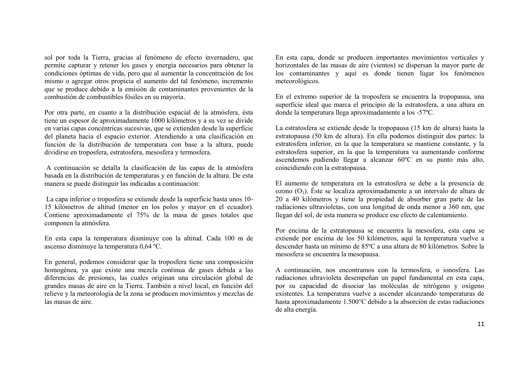sol por toda la Tierra, gracias al fenómeno de efecto invernadero, que permite capturar y retener los gases y energía necesarios para obtener la condiciones óptimas de vida, pero que al aumentar la concentración de los mismo o agregar otros propicia el aumento del tal fenómeno, incremento que se produce debido a la emisión de contaminantes provenientes de la combustión de combustibles fósiles en su mayoría.

Por otra parte, en cuanto a la distribución espacial de la atmósfera, ésta tiene un espesor de aproximadamente 1000 kilómetros y a su vez se divide en varias capas concéntricas sucesivas, que se extienden desde la superficie del planeta hacia el espacio exterior. Atendiendo a una clasificación en función de la distribución de temperatura con base a la altura, puede dividirse en troposfera, estratosfera, mesosfera y termosfera.

A continuación se detalla la clasificación de las capas de la atmósfera basada en la distribución de temperaturas y en función de la altura. De esta manera se puede distinguir las indicadas a continuación:

La capa inferior o troposfera se extiende desde la superficie hasta unos 10- 15 kilómetros de altitud (menor en los polos y mayor en el ecuador). Contiene aproximadamente el 75% de la masa de gases totales que componen la atmósfera.

En esta capa la temperatura disminuye con la altitud. Cada 100 m de ascenso disminuye la temperatura 0,64 ºC.

En general, podemos considerar que la troposfera tiene una composición homogénea, ya que existe una mezcla continua de gases debida a las diferencias de presiones, las cuales originan una circulación global de grandes masas de aire en la Tierra. También a nivel local, en función del relieve y la meteorología de la zona se producen movimientos y mezclas de las masas de aire.

En esta capa, donde se producen importantes movimientos verticales y horizontales de las masas de aire (vientos) se dispersan la mayor parte de los contaminantes y aquí es donde tienen lugar los fenómenos meteorológicos.

En el extremo superior de la troposfera se encuentra la tropopausa, una superficie ideal que marca el principio de la estratosfera, a una altura en donde la temperatura llega aproximadamente a los -57ºC.

La estratosfera se extiende desde la tropopausa (15 km de altura) hasta la estratopausa (50 km de altura). En ella podemos distinguir dos partes: la estratosfera inferior, en la que la temperatura se mantiene constante, y la estratosfera superior, en la que la temperatura va aumentando conforme ascendemos pudiendo llegar a alcanzar 60ºC en su punto más alto, coincidiendo con la estratopausa.

El aumento de temperatura en la estratosfera se debe a la presencia de ozono (O3). Éste se localiza aproximadamente a un intervalo de altura de 20 a 40 kilómetros y tiene la propiedad de absorber gran parte de las radiaciones ultravioletas, con una longitud de onda menor a 360 nm, que llegan del sol, de esta manera se produce ese efecto de calentamiento.

Por encima de la estratopausa se encuentra la mesosfera, esta capa se extiende por encima de los 50 kilómetros, aquí la temperatura vuelve a descender hasta un mínimo de 85ºC a una altura de 80 kilómetros. Sobre la mesosfera se encuentra la mesopausa.

A continuación, nos encontramos con la termosfera, o ionosfera. Las radiaciones ultravioleta desempeñan un papel fundamental en esta capa, por su capacidad de disociar las moléculas de nitrógeno y oxígeno existentes. La temperatura vuelve a ascender alcanzando temperaturas de hasta aproximadamente 1.500°C debido a la absorción de estas radiaciones de alta energía.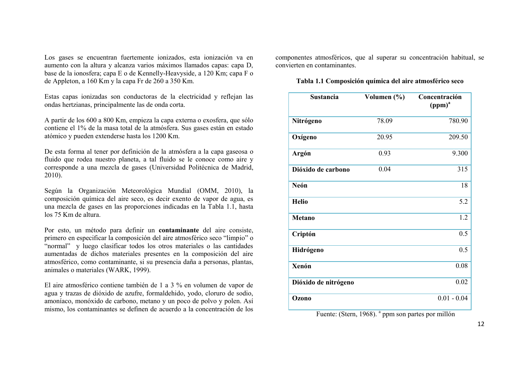Los gases se encuentran fuertemente ionizados, esta ionización va en aumento con la altura y alcanza varios máximos llamados capas: capa D, base de la ionosfera; capa E o de Kennelly-Heavyside, a 120 Km; capa F o de Appleton, a 160 Km y la capa Fr de 260 a 350 Km.

Estas capas ionizadas son conductoras de la electricidad y reflejan las ondas hertzianas, principalmente las de onda corta.

A partir de los 600 a 800 Km, empieza la capa externa o exosfera, que sólo contiene el 1% de la masa total de la atmósfera. Sus gases están en estado atómico y pueden extenderse hasta los 1200 Km.

De esta forma al tener por definición de la atmósfera a la capa gaseosa o fluido que rodea nuestro planeta, a tal fluido se le conoce como aire y corresponde a una mezcla de gases (Universidad Politécnica de Madrid, 2010).

Según la Organización Meteorológica Mundial (OMM, 2010), la composición química del aire seco, es decir exento de vapor de agua, es una mezcla de gases en las proporciones indicadas en la Tabla 1.1, hasta los 75 Km de altura.

Por esto, un método para definir un **contaminante** del aire consiste, primero en especificar la composición del aire atmosférico seco "limpio" o "normal" y luego clasificar todos los otros materiales o las cantidades aumentadas de dichos materiales presentes en la composición del aire atmosférico, como contaminante, si su presencia daña a personas, plantas, animales o materiales (WARK, 1999).

El aire atmosférico contiene también de 1 a 3 % en volumen de vapor de agua y trazas de dióxido de azufre, formaldehido, yodo, cloruro de sodio, amoníaco, monóxido de carbono, metano y un poco de polvo y polen. Así mismo, los contaminantes se definen de acuerdo a la concentración de los componentes atmosféricos, que al superar su concentración habitual, se convierten en contaminantes.

**Tabla 1.1 Composición química del aire atmosférico seco**

| <b>Sustancia</b>     | Volumen (%) | Concentración<br>(ppm) <sup>a</sup> |
|----------------------|-------------|-------------------------------------|
| Nitrógeno            | 78.09       | 780.90                              |
| Oxígeno              | 20.95       | 209.50                              |
| <b>Argón</b>         | 0.93        | 9.300                               |
| Dióxido de carbono   | 0.04        | 315                                 |
| Neón                 |             | 18                                  |
| <b>Helio</b>         |             | 5.2                                 |
| <b>Metano</b>        |             | 1.2                                 |
| Criptón              |             | 0.5                                 |
| Hidrógeno            |             | 0.5                                 |
| <b>Xenón</b>         |             | 0.08                                |
| Dióxido de nitrógeno |             | 0.02                                |
| Ozono                |             | $0.01 - 0.04$                       |

Fuente: (Stern, 1968). <sup>a</sup> ppm son partes por millón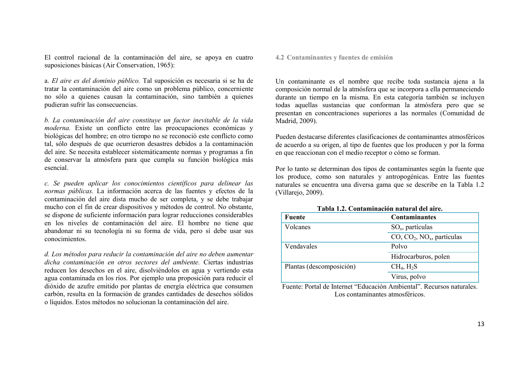El control racional de la contaminación del aire, se apoya en cuatro suposiciones básicas (Air Conservation, 1965):

a. *El aire es del dominio público.* Tal suposición es necesaria si se ha de tratar la contaminación del aire como un problema público, concerniente no sólo a quienes causan la contaminación, sino también a quienes pudieran sufrir las consecuencias.

*b. La contaminación del aire constituye un factor inevitable de la vida moderna.* Existe un conflicto entre las preocupaciones económicas y biológicas del hombre; en otro tiempo no se reconoció este conflicto como tal, sólo después de que ocurrieron desastres debidos a la contaminación del aire. Se necesita establecer sistemáticamente normas y programas a fin de conservar la atmósfera para que cumpla su función biológica más esencial.

*c. Se pueden aplicar los conocimientos científicos para delinear las normas públicas.* La información acerca de las fuentes y efectos de la contaminación del aire dista mucho de ser completa, y se debe trabajar mucho con el fin de crear dispositivos y métodos de control. No obstante, se dispone de suficiente información para lograr reducciones considerables en los niveles de contaminación del aire. El hombre no tiene que abandonar ni su tecnología ni su forma de vida, pero sí debe usar sus conocimientos.

*d. Los métodos para reducir la contaminación del aire no deben aumentar dicha contaminación en otros sectores del ambiente.* Ciertas industrias reducen los desechos en el aire, disolviéndolos en agua y vertiendo esta agua contaminada en los ríos. Por ejemplo una proposición para reducir el dióxido de azufre emitido por plantas de energía eléctrica que consumen carbón, resulta en la formación de grandes cantidades de desechos sólidos o líquidos. Estos métodos no solucionan la contaminación del aire.

#### **4.2 Contaminantes y fuentes de emisión**

Un contaminante es el nombre que recibe toda sustancia ajena a la composición normal de la atmósfera que se incorpora a ella permaneciendo durante un tiempo en la misma. En esta categoría también se incluyen todas aquellas sustancias que conforman la atmósfera pero que se presentan en concentraciones superiores a las normales (Comunidad de Madrid, 2009).

Pueden destacarse diferentes clasificaciones de contaminantes atmosféricos de acuerdo a su origen, al tipo de fuentes que los producen y por la forma en que reaccionan con el medio receptor o cómo se forman.

Por lo tanto se determinan dos tipos de contaminantes según la fuente que los produce, como son naturales y antropogénicas. Entre las fuentes naturales se encuentra una diversa gama que se describe en la Tabla 1.2 (Villarejo, 2009).

| Fuente                   | <b>Contaminantes</b>      |
|--------------------------|---------------------------|
| Volcanes                 | $SO_{x}$ , partículas     |
|                          | $CO, CO2, NOx, particles$ |
| Vendavales               | Polvo                     |
|                          | Hidrocarburos, polen      |
| Plantas (descomposición) | $CH_4$ , $H_2S$           |
|                          | Virus, polvo              |

**Tabla 1.2. Contaminación natural del aire.**

Fuente: Portal de Internet "Educación Ambiental". Recursos naturales. Los contaminantes atmosféricos.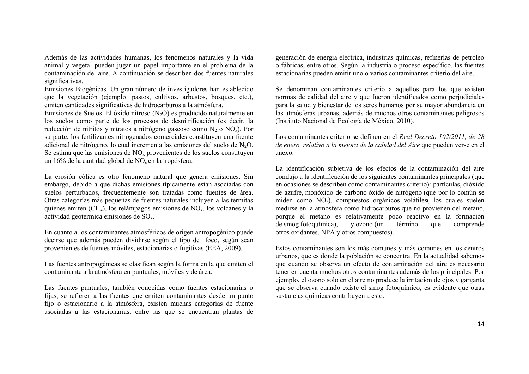Además de las actividades humanas, los fenómenos naturales y la vida animal y vegetal pueden jugar un papel importante en el problema de la contaminación del aire. A continuación se describen dos fuentes naturales significativas.

Emisiones Biogénicas. Un gran número de investigadores han establecido que la vegetación (ejemplo: pastos, cultivos, arbustos, bosques, etc.), emiten cantidades significativas de hidrocarburos a la atmósfera.

Emisiones de Suelos. El óxido nitroso  $(N<sub>2</sub>O)$  es producido naturalmente en los suelos como parte de los procesos de desnitrificación (es decir, la reducción de nitritos y nitratos a nitrógeno gaseoso como  $N_2$  o  $NO<sub>x</sub>$ ). Por su parte, los fertilizantes nitrogenados comerciales constituyen una fuente adicional de nitrógeno, lo cual incrementa las emisiones del suelo de  $N_2O$ . Se estima que las emisiones de NO<sub>x</sub> provenientes de los suelos constituyen un 16% de la cantidad global de  $NO<sub>x</sub>$  en la tropósfera.

La erosión eólica es otro fenómeno natural que genera emisiones. Sin embargo, debido a que dichas emisiones típicamente están asociadas con suelos perturbados, frecuentemente son tratadas como fuentes de área. Otras categorías más pequeñas de fuentes naturales incluyen a las termitas quienes emiten  $(CH_4)$ , los relámpagos emisiones de NO<sub>x</sub>, los volcanes y la actividad geotérmica emisiones de SOx.

En cuanto a los contaminantes atmosféricos de origen antropogénico puede decirse que además pueden dividirse según el tipo de foco, según sean provenientes de fuentes móviles, estacionarias o fugitivas (EEA, 2009).

Las fuentes antropogénicas se clasifican según la forma en la que emiten el contaminante a la atmósfera en puntuales, móviles y de área.

Las fuentes puntuales, también conocidas como fuentes estacionarias o fijas, se refieren a las fuentes que emiten contaminantes desde un punto fijo o estacionario a la atmósfera, existen muchas categorías de fuente asociadas a las estacionarias, entre las que se encuentran plantas de generación de energía eléctrica, industrias químicas, refinerías de petróleo o fábricas, entre otros. Según la industria o proceso específico, las fuentes estacionarias pueden emitir uno o varios contaminantes criterio del aire.

Se denominan contaminantes criterio a aquellos para los que existen normas de calidad del aire y que fueron identificados como perjudiciales para la salud y bienestar de los seres humanos por su mayor abundancia en las atmósferas urbanas, además de muchos otros contaminantes peligrosos (Instituto Nacional de Ecología de México, 2010).

Los contaminantes criterio se definen en el *Real Decreto 102/2011, de 28 de enero, relativo a la mejora de la calidad del Aire* que pueden verse en el anexo.

La identificación subjetiva de los efectos de la contaminación del aire condujo a la identificación de los siguientes contaminantes principales (que en ocasiones se describen como contaminantes criterio): partículas, dióxido de azufre, monóxido de carbono óxido de nitrógeno (que por lo común se miden como NO<sub>2</sub>), compuestos orgánicos volátiles( los cuales suelen medirse en la atmósfera como hidrocarburos que no provienen del metano, porque el metano es relativamente poco reactivo en la formación de smog fotoquímica), y ozono (un término que comprende otros oxidantes, NPA y otros compuestos).

Estos contaminantes son los más comunes y más comunes en los centros urbanos, que es donde la población se concentra. En la actualidad sabemos que cuando se observa un efecto de contaminación del aire es necesario tener en cuenta muchos otros contaminantes además de los principales. Por ejemplo, el ozono solo en el aire no produce la irritación de ojos y garganta que se observa cuando existe el smog fotoquímico; es evidente que otras sustancias químicas contribuyen a esto.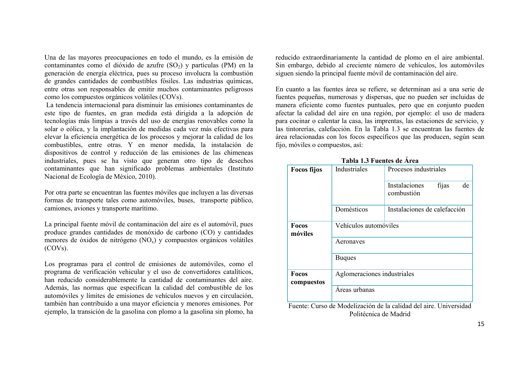Una de las mayores preocupaciones en todo el mundo, es la emisión de contaminantes como el dióxido de azufre  $(SO<sub>2</sub>)$  y partículas (PM) en la generación de energía eléctrica, pues su proceso involucra la combustión de grandes cantidades de combustibles fósiles. Las industrias químicas, entre otras son responsables de emitir muchos contaminantes peligrosos como los compuestos orgánicos volátiles (COVs).

La tendencia internacional para disminuir las emisiones contaminantes de este tipo de fuentes, en gran medida está dirigida a la adopción de tecnologías más limpias a través del uso de energías renovables como la solar o eólica, y la implantación de medidas cada vez más efectivas para elevar la eficiencia energética de los procesos y mejorar la calidad de los combustibles, entre otras. Y en menor medida, la instalación de dispositivos de control y reducción de las emisiones de las chimeneas industriales, pues se ha visto que generan otro tipo de desechos contaminantes que han significado problemas ambientales (Instituto Nacional de Ecología de México, 2010).

Por otra parte se encuentran las fuentes móviles que incluyen a las diversas formas de transporte tales como automóviles, buses, transporte público, camiones, aviones y transporte marítimo.

La principal fuente móvil de contaminación del aire es el automóvil, pues produce grandes cantidades de monóxido de carbono (CO) y cantidades menores de óxidos de nitrógeno  $(NO_x)$  y compuestos orgánicos volátiles (COVs).

Los programas para el control de emisiones de automóviles, como el programa de verificación vehicular y el uso de convertidores catalíticos, han reducido considerablemente la cantidad de contaminantes del aire. Además, las normas que especifican la calidad del combustible de los automóviles y límites de emisiones de vehículos nuevos y en circulación, también han contribuido a una mayor eficiencia y menores emisiones. Por ejemplo, la transición de la gasolina con plomo a la gasolina sin plomo, ha reducido extraordinariamente la cantidad de plomo en el aire ambiental. Sin embargo, debido al creciente número de vehículos, los automóviles siguen siendo la principal fuente móvil de contaminación del aire.

En cuanto a las fuentes área se refiere, se determinan así a una serie de fuentes pequeñas, numerosas y dispersas, que no pueden ser incluidas de manera eficiente como fuentes puntuales, pero que en conjunto pueden afectar la calidad del aire en una región, por ejemplo: el uso de madera para cocinar o calentar la casa, las imprentas, las estaciones de servicio, y las tintorerías, calefacción. En la Tabla 1.3 se encuentran las fuentes de área relacionadas con los focos específicos que las producen, según sean fijo, móviles o compuestos, así:

| <b>Focos fijos</b>         | Industriales<br>Procesos industriales |                                                                     |  |  |  |  |  |  |  |
|----------------------------|---------------------------------------|---------------------------------------------------------------------|--|--|--|--|--|--|--|
|                            |                                       | fijas<br>Instalaciones<br>de<br>combustión                          |  |  |  |  |  |  |  |
|                            | Domésticos                            | Instalaciones de calefacción                                        |  |  |  |  |  |  |  |
| <b>Focos</b><br>móviles    | Vehículos automóviles                 |                                                                     |  |  |  |  |  |  |  |
|                            | Aeronaves                             |                                                                     |  |  |  |  |  |  |  |
|                            | <b>Buques</b>                         |                                                                     |  |  |  |  |  |  |  |
| <b>Focos</b><br>compuestos | Aglomeraciones industriales           |                                                                     |  |  |  |  |  |  |  |
|                            | Areas urbanas                         |                                                                     |  |  |  |  |  |  |  |
|                            |                                       | Eugenia: Gurso de Modelizzación de la calidad del giro. Universidad |  |  |  |  |  |  |  |

|  |  |  | Tabla 1.3 Fuentes de Área |  |  |
|--|--|--|---------------------------|--|--|
|--|--|--|---------------------------|--|--|

Fuente: Curso de Modelización de la calidad del aire. Universidad Politécnica de Madrid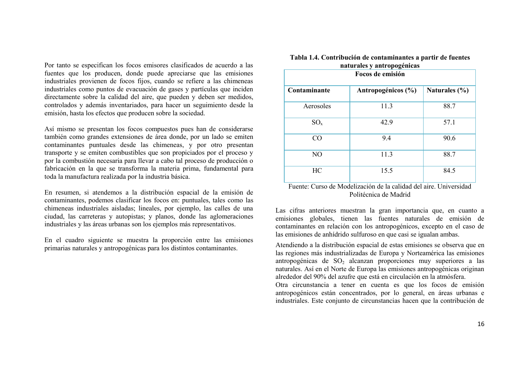Por tanto se especifican los focos emisores clasificados de acuerdo a las fuentes que los producen, donde puede apreciarse que las emisiones industriales provienen de focos fijos, cuando se refiere a las chimeneas industriales como puntos de evacuación de gases y partículas que inciden directamente sobre la calidad del aire, que pueden y deben ser medidos, controlados y además inventariados, para hacer un seguimiento desde la emisión, hasta los efectos que producen sobre la sociedad.

Así mismo se presentan los focos compuestos pues han de considerarse también como grandes extensiones de área donde, por un lado se emiten contaminantes puntuales desde las chimeneas, y por otro presentan transporte y se emiten combustibles que son propiciados por el proceso y por la combustión necesaria para llevar a cabo tal proceso de producción o fabricación en la que se transforma la materia prima, fundamental para toda la manufactura realizada por la industria básica.

En resumen, si atendemos a la distribución espacial de la emisión de contaminantes, podemos clasificar los focos en: puntuales, tales como las chimeneas industriales aisladas; lineales, por ejemplo, las calles de una ciudad, las carreteras y autopistas; y planos, donde las aglomeraciones industriales y las áreas urbanas son los ejemplos más representativos.

En el cuadro siguiente se muestra la proporción entre las emisiones primarias naturales y antropogénicas para los distintos contaminantes.

| naturales y antropogenicas<br>Focos de emisión |                    |                   |  |  |  |  |  |  |  |
|------------------------------------------------|--------------------|-------------------|--|--|--|--|--|--|--|
| Contaminante                                   | Antropogénicos (%) | Naturales $(\% )$ |  |  |  |  |  |  |  |
| Aerosoles                                      | 11.3               | 88.7              |  |  |  |  |  |  |  |
| $SO_{x}$                                       | 42.9               | 57.1              |  |  |  |  |  |  |  |
| CO                                             | 9.4                | 90.6              |  |  |  |  |  |  |  |
| N <sub>O</sub>                                 | 11.3               | 88.7              |  |  |  |  |  |  |  |
| HC                                             | 15.5               | 84.5              |  |  |  |  |  |  |  |

#### **Tabla 1.4. Contribución de contaminantes a partir de fuentes naturales y antropogénicas**

Fuente: Curso de Modelización de la calidad del aire. Universidad Politécnica de Madrid

Las cifras anteriores muestran la gran importancia que, en cuanto a emisiones globales, tienen las fuentes naturales de emisión de contaminantes en relación con los antropogénicos, excepto en el caso de las emisiones de anhídrido sulfuroso en que casi se igualan ambas.

Atendiendo a la distribución espacial de estas emisiones se observa que en las regiones más industrializadas de Europa y Norteamérica las emisiones antropogénicas de  $SO<sub>2</sub>$  alcanzan proporciones muy superiores a las naturales. Así en el Norte de Europa las emisiones antropogénicas originan alrededor del 90% del azufre que está en circulación en la atmósfera.

Otra circunstancia a tener en cuenta es que los focos de emisión antropogénicos están concentrados, por lo general, en áreas urbanas e industriales. Este conjunto de circunstancias hacen que la contribución de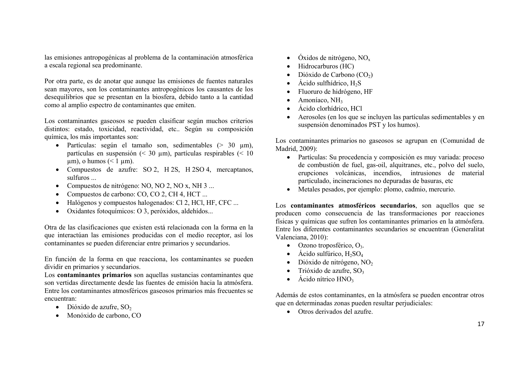las emisiones antropogénicas al problema de la contaminación atmosférica a escala regional sea predominante.

Por otra parte, es de anotar que aunque las emisiones de fuentes naturales sean mayores, son los contaminantes antropogénicos los causantes de los desequilibrios que se presentan en la biosfera, debido tanto a la cantidad como al amplio espectro de contaminantes que emiten.

Los contaminantes gaseosos se pueden clasificar según muchos criterios distintos: estado, toxicidad, reactividad, etc.. Según su composición química, los más importantes son:

- Partículas: según el tamaño son, sedimentables ( $> 30 \mu m$ ), partículas en suspensión (< 30 µm), partículas respirables (< 10  $\mu$ m), o humos (< 1  $\mu$ m).
- Compuestos de azufre: SO 2, H 2S, H 2SO 4, mercaptanos, sulfuros ...
- Compuestos de nitrógeno: NO, NO 2, NO x, NH 3 ...
- Compuestos de carbono: CO, CO 2, CH 4, HCT ...
- Halógenos y compuestos halogenados: Cl 2, HCl, HF, CFC ...
- Oxidantes fotoquímicos: O 3, peróxidos, aldehídos...

Otra de las clasificaciones que existen está relacionada con la forma en la que interactúan las emisiones producidas con el medio receptor, así los contaminantes se pueden diferenciar entre primarios y secundarios.

En función de la forma en que reacciona, los contaminantes se pueden dividir en primarios y secundarios.

Los **contaminantes primarios** son aquellas sustancias contaminantes que son vertidas directamente desde las fuentes de emisión hacia la atmósfera. Entre los contaminantes atmosféricos gaseosos primarios más frecuentes se encuentran:

- $\bullet$  Dióxido de azufre, SO<sub>2</sub>
- Monóxido de carbono, CO
- $\bullet$  Óxidos de nitrógeno, NO<sub>x</sub>
- Hidrocarburos (HC)
- Dióxido de Carbono  $(CO<sub>2</sub>)$
- Ácido sulfhídrico,  $H_2S$
- Fluoruro de hidrógeno, HF
- Amoníaco, NH<sub>3</sub>
- Ácido clorhídrico, HCl
- Aerosoles (en los que se incluyen las partículas sedimentables y en suspensión denominados PST y los humos).

Los contaminantes primarios no gaseosos se agrupan en (Comunidad de Madrid, 2009):

- Partículas: Su procedencia y composición es muy variada: proceso de combustión de fuel, gas-oil, alquitranes, etc., polvo del suelo, erupciones volcánicas, incendios, intrusiones de material particulado, incineraciones no depuradas de basuras, etc
- Metales pesados, por ejemplo: plomo, cadmio, mercurio.

Los **contaminantes atmosféricos secundarios**, son aquellos que se producen como consecuencia de las transformaciones por reacciones físicas y químicas que sufren los contaminantes primarios en la atmósfera. Entre los diferentes contaminantes secundarios se encuentran (Generalitat Valenciana, 2010):

- $\bullet$  Ozono troposférico, O<sub>3</sub>.
- $\bullet$  Ácido sulfúrico, H<sub>2</sub>SO<sub>4</sub>
- Dióxido de nitrógeno,  $NO<sub>2</sub>$
- Trióxido de azufre,  $SO<sub>3</sub>$
- Ácido nítrico  $HNO<sub>3</sub>$

Además de estos contaminantes, en la atmósfera se pueden encontrar otros que en determinadas zonas pueden resultar perjudiciales:

Otros derivados del azufre.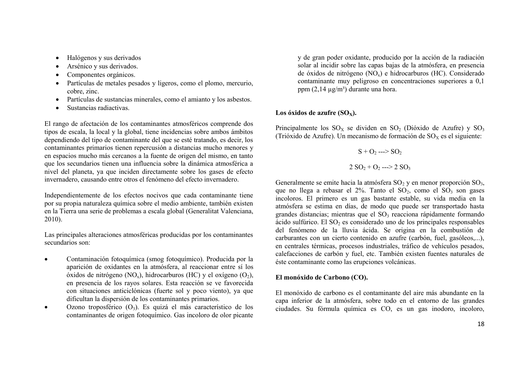- Halógenos y sus derivados
- Arsénico y sus derivados.
- Componentes orgánicos.
- Partículas de metales pesados y ligeros, como el plomo, mercurio, cobre, zinc.
- Partículas de sustancias minerales, como el amianto y los asbestos.
- Sustancias radiactivas.

El rango de afectación de los contaminantes atmosféricos comprende dos tipos de escala, la local y la global, tiene incidencias sobre ambos ámbitos dependiendo del tipo de contaminante del que se esté tratando, es decir, los contaminantes primarios tienen repercusión a distancias mucho menores y en espacios mucho más cercanos a la fuente de origen del mismo, en tanto que los secundarios tienen una influencia sobre la dinámica atmosférica a nivel del planeta, ya que inciden directamente sobre los gases de efecto invernadero, causando entre otros el fenómeno del efecto invernadero.

Independientemente de los efectos nocivos que cada contaminante tiene por su propia naturaleza química sobre el medio ambiente, también existen en la Tierra una serie de problemas a escala global (Generalitat Valenciana, 2010).

Las principales alteraciones atmosféricas producidas por los contaminantes secundarios son:

- Contaminación fotoquímica (smog fotoquímico). Producida por la aparición de oxidantes en la atmósfera, al reaccionar entre sí los óxidos de nitrógeno (NO<sub>x</sub>), hidrocarburos (HC) y el oxígeno (O<sub>2</sub>), en presencia de los rayos solares. Esta reacción se ve favorecida con situaciones anticiclónicas (fuerte sol y poco viento), ya que dificultan la dispersión de los contaminantes primarios.
- $\bullet$  Ozono troposférico  $(O_3)$ . Es quizá el más característico de los contaminantes de origen fotoquímico. Gas incoloro de olor picante

y de gran poder oxidante, producido por la acción de la radiación solar al incidir sobre las capas bajas de la atmósfera, en presencia de óxidos de nitrógeno (NOx) e hidrocarburos (HC). Considerado contaminante muy peligroso en concentraciones superiores a 0,1 ppm  $(2,14 \mu g/m^3)$  durante una hora.

## Los óxidos de azufre  $(SO_X)$ .

Principalmente los  $SO_x$  se dividen en  $SO_2$  (Dióxido de Azufre) y  $SO_3$ (Trióxido de Azufre). Un mecanismo de formación de  $SO_x$  es el siguiente:

$$
S + O_2 \longrightarrow SO_2
$$
  
2 SO<sub>2</sub> + O<sub>2</sub> --- > 2 SO<sub>3</sub>

Generalmente se emite hacia la atmósfera  $SO_2$  y en menor proporción  $SO_3$ , que no llega a rebasar el 2%. Tanto el  $SO_2$ , como el  $SO_3$  son gases incoloros. El primero es un gas bastante estable, su vida media en la atmósfera se estima en días, de modo que puede ser transportado hasta grandes distancias; mientras que el  $SO<sub>3</sub>$  reacciona rápidamente formando ácido sulfúrico. El  $SO<sub>2</sub>$  es considerado uno de los principales responsables del fenómeno de la lluvia ácida. Se origina en la combustión de carburantes con un cierto contenido en azufre (carbón, fuel, gasóleos,...), en centrales térmicas, procesos industriales, tráfico de vehículos pesados, calefacciones de carbón y fuel, etc. También existen fuentes naturales de éste contaminante como las erupciones volcánicas.

## **El monóxido de Carbono (CO).**

El monóxido de carbono es el contaminante del aire más abundante en la capa inferior de la atmósfera, sobre todo en el entorno de las grandes ciudades. Su fórmula química es CO, es un gas inodoro, incoloro,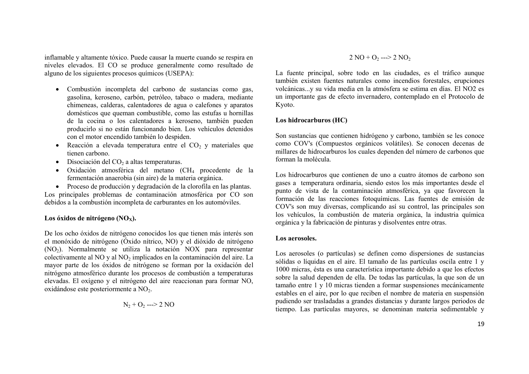inflamable y altamente tóxico. Puede causar la muerte cuando se respira en niveles elevados. El CO se produce generalmente como resultado de alguno de los siguientes procesos químicos (USEPA):

- Combustión incompleta del carbono de sustancias como gas, gasolina, keroseno, carbón, petróleo, tabaco o madera, mediante chimeneas, calderas, calentadores de agua o calefones y aparatos domésticos que queman combustible, como las estufas u hornillas de la cocina o los calentadores a keroseno, también pueden producirlo si no están funcionando bien. Los vehículos detenidos con el motor encendido también lo despiden.
- Reacción a elevada temperatura entre el  $CO<sub>2</sub>$  y materiales que tienen carbono.
- $\bullet$  Disociación del CO<sub>2</sub> a altas temperaturas.
- Oxidación atmosférica del metano (CH<sup>4</sup> procedente de la fermentación anaerobia (sin aire) de la materia orgánica.
- Proceso de producción y degradación de la clorofila en las plantas.

Los principales problemas de contaminación atmosférica por CO son debidos a la combustión incompleta de carburantes en los automóviles.

## **Los óxidos de nitrógeno (NOX).**

De los ocho óxidos de nitrógeno conocidos los que tienen más interés son el monóxido de nitrógeno (Óxido nítrico, NO) y el dióxido de nitrógeno  $(NO<sub>2</sub>)$ . Normalmente se utiliza la notación NOX para representar colectivamente al NO y al NO<sub>2</sub> implicados en la contaminación del aire. La mayor parte de los óxidos de nitrógeno se forman por la oxidación del nitrógeno atmosférico durante los procesos de combustión a temperaturas elevadas. El oxígeno y el nitrógeno del aire reaccionan para formar NO, oxidándose este posteriormente a NO<sub>2</sub>.

$$
N_2 + O_2 \longrightarrow 2 NO
$$

 $2 \text{ NO} + \text{O}$ <sub>2</sub> --->  $2 \text{ NO}$ <sub>2</sub>

La fuente principal, sobre todo en las ciudades, es el tráfico aunque también existen fuentes naturales como incendios forestales, erupciones volcánicas...y su vida media en la atmósfera se estima en días. El NO2 es un importante gas de efecto invernadero, contemplado en el Protocolo de Kyoto.

## **Los hidrocarburos (HC)**

Son sustancias que contienen hidrógeno y carbono, también se les conoce como COV's (Compuestos orgánicos volátiles). Se conocen decenas de millares de hidrocarburos los cuales dependen del número de carbonos que forman la molécula.

Los hidrocarburos que contienen de uno a cuatro átomos de carbono son gases a temperatura ordinaria, siendo estos los más importantes desde el punto de vista de la contaminación atmosférica, ya que favorecen la formación de las reacciones fotoquímicas. Las fuentes de emisión de COV's son muy diversas, complicando así su control, las principales son los vehículos, la combustión de materia orgánica, la industria química orgánica y la fabricación de pinturas y disolventes entre otras.

#### **Los aerosoles.**

Los aerosoles (o partículas) se definen como dispersiones de sustancias sólidas o líquidas en el aire. El tamaño de las partículas oscila entre 1 y 1000 micras, ésta es una característica importante debido a que los efectos sobre la salud dependen de ella. De todas las partículas, la que son de un tamaño entre 1 y 10 micras tienden a formar suspensiones mecánicamente estables en el aire, por lo que reciben el nombre de materia en suspensión pudiendo ser trasladadas a grandes distancias y durante largos periodos de tiempo. Las partículas mayores, se denominan materia sedimentable y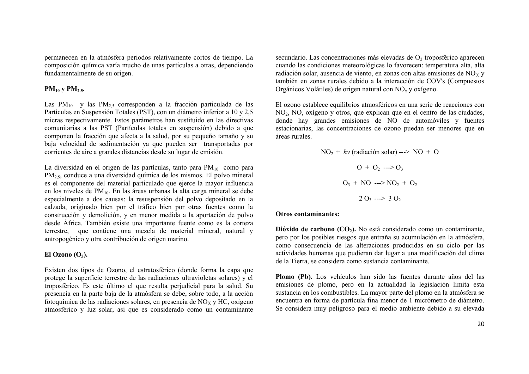permanecen en la atmósfera periodos relativamente cortos de tiempo. La composición química varía mucho de unas partículas a otras, dependiendo fundamentalmente de su origen.

### **PM<sup>10</sup> y PM2.5.**

Las  $PM_{10}$  y las  $PM_{25}$  corresponden a la fracción particulada de las Partículas en Suspensión Totales (PST), con un diámetro inferior a 10 y 2,5 micras respectivamente. Estos parámetros han sustituido en las directivas comunitarias a las PST (Partículas totales en suspensión) debido a que componen la fracción que afecta a la salud, por su pequeño tamaño y su baja velocidad de sedimentación ya que pueden ser transportadas por corrientes de aire a grandes distancias desde su lugar de emisión.

La diversidad en el origen de las partículas, tanto para  $PM_{10}$  como para PM2,5, conduce a una diversidad química de los mismos. El polvo mineral es el componente del material particulado que ejerce la mayor influencia en los niveles de PM10. En las áreas urbanas la alta carga mineral se debe especialmente a dos causas: la resuspensión del polvo depositado en la calzada, originado bien por el tráfico bien por otras fuentes como la construcción y demolición, y en menor medida a la aportación de polvo desde África. También existe una importante fuente como es la corteza terrestre, que contiene una mezcla de material mineral, natural y antropogénico y otra contribución de origen marino.

### **El Ozono (O3).**

Existen dos tipos de Ozono, el estratosférico (donde forma la capa que protege la superficie terrestre de las radiaciones ultravioletas solares) y el troposférico. Es este último el que resulta perjudicial para la salud. Su presencia en la parte baja de la atmósfera se debe, sobre todo, a la acción fotoquímica de las radiaciones solares, en presencia de  $NO<sub>x</sub>$  v HC, oxígeno atmosférico y luz solar, así que es considerado como un contaminante secundario. Las concentraciones más elevadas de  $O<sub>3</sub>$  troposférico aparecen cuando las condiciones meteorológicas lo favorecen: temperatura alta, alta radiación solar, ausencia de viento, en zonas con altas emisiones de  $NO<sub>x</sub>$  y también en zonas rurales debido a la interacción de COV's (Compuestos Orgánicos Volátiles) de origen natural con  $NO<sub>x</sub>$  y oxígeno.

El ozono establece equilibrios atmosféricos en una serie de reacciones con NO2, NO, oxígeno y otros, que explican que en el centro de las ciudades, donde hay grandes emisiones de NO de automóviles y fuentes estacionarias, las concentraciones de ozono puedan ser menores que en áreas rurales.

> $NO<sub>2</sub> + hy(radiación solar)$  --->  $NO + O$  $Q_1 + Q_2 \longrightarrow Q_3$  $O_3$  + NO ---> NO<sub>2</sub> + O<sub>2</sub>  $2 O_3 \longrightarrow 3 O_2$

#### **Otros contaminantes:**

**Dióxido de carbono (CO2).** No está considerado como un contaminante, pero por los posibles riesgos que entraña su acumulación en la atmósfera, como consecuencia de las alteraciones producidas en su ciclo por las actividades humanas que pudieran dar lugar a una modificación del clima de la Tierra, se considera como sustancia contaminante.

**Plomo (Pb).** Los vehículos han sido las fuentes durante años del las emisiones de plomo, pero en la actualidad la legislación limita esta sustancia en los combustibles. La mayor parte del plomo en la atmósfera se encuentra en forma de partícula fina menor de 1 micrómetro de diámetro. Se considera muy peligroso para el medio ambiente debido a su elevada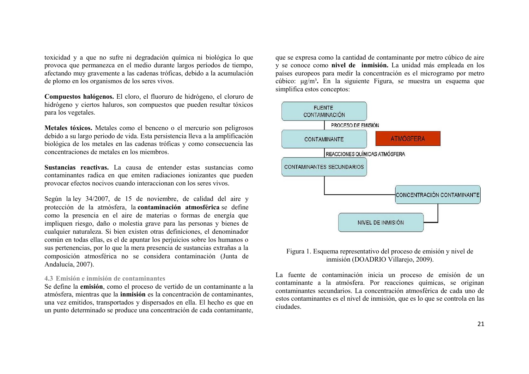toxicidad y a que no sufre ni degradación química ni biológica lo que provoca que permanezca en el medio durante largos períodos de tiempo, afectando muy gravemente a las cadenas tróficas, debido a la acumulación de plomo en los organismos de los seres vivos.

**Compuestos halógenos.** El cloro, el fluoruro de hidrógeno, el cloruro de hidrógeno y ciertos haluros, son compuestos que pueden resultar tóxicos para los vegetales.

**Metales tóxicos.** Metales como el benceno o el mercurio son peligrosos debido a su largo periodo de vida. Esta persistencia lleva a la amplificación biológica de los metales en las cadenas tróficas y como consecuencia las concentraciones de metales en los miembros.

**Sustancias reactivas.** La causa de entender estas sustancias como contaminantes radica en que emiten radiaciones ionizantes que pueden provocar efectos nocivos cuando interaccionan con los seres vivos.

Según la ley 34/2007, de 15 de noviembre, de calidad del aire y protección de la atmósfera, la **contaminación atmosférica** se define como la presencia en el aire de materias o formas de energía que impliquen riesgo, daño o molestia grave para las personas y bienes de cualquier naturaleza. Si bien existen otras definiciones, el denominador común en todas ellas, es el de apuntar los perjuicios sobre los humanos o sus pertenencias, por lo que la mera presencia de sustancias extrañas a la composición atmosférica no se considera contaminación (Junta de Andalucía, 2007).

#### **4.3 Emisión e inmisión de contaminantes**

Se define la **emisión**, como el proceso de vertido de un contaminante a la atmósfera, mientras que la **inmisión** es la concentración de contaminantes, una vez emitidos, transportados y dispersados en ella. El hecho es que en un punto determinado se produce una concentración de cada contaminante, que se expresa como la cantidad de contaminante por metro cúbico de aire y se conoce como **nivel de inmisión.** La unidad más empleada en los países europeos para medir la concentración es el microgramo por metro cúbico: μg/m³**.** En la siguiente Figura, se muestra un esquema que simplifica estos conceptos:



## Figura 1. Esquema representativo del proceso de emisión y nivel de inmisión (DOADRIO Villarejo, 2009).

La fuente de contaminación inicia un proceso de emisión de un contaminante a la atmósfera. Por reacciones químicas, se originan contaminantes secundarios. La concentración atmosférica de cada uno de estos contaminantes es el nivel de inmisión, que es lo que se controla en las ciudades.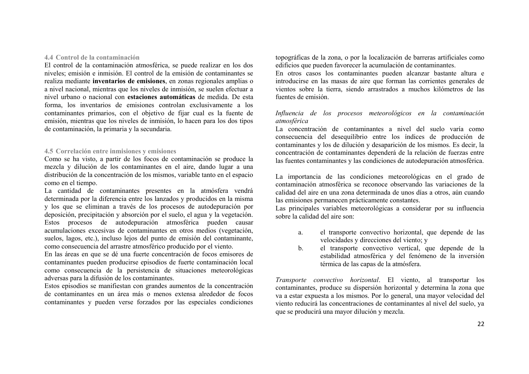### **4.4 Control de la contaminación**

El control de la contaminación atmosférica, se puede realizar en los dos niveles; emisión e inmisión. El control de la emisión de contaminantes se realiza mediante **inventarios de emisiones**, en zonas regionales amplias o a nivel nacional, mientras que los niveles de inmisión, se suelen efectuar a nivel urbano o nacional con **estaciones automáticas** de medida. De esta forma, los inventarios de emisiones controlan exclusivamente a los contaminantes primarios, con el objetivo de fijar cual es la fuente de emisión, mientras que los niveles de inmisión, lo hacen para los dos tipos de contaminación, la primaria y la secundaria.

## **4.5 Correlación entre inmisiones y emisiones**

Como se ha visto, a partir de los focos de contaminación se produce la mezcla y dilución de los contaminantes en el aire, dando lugar a una distribución de la concentración de los mismos, variable tanto en el espacio como en el tiempo.

La cantidad de contaminantes presentes en la atmósfera vendrá determinada por la diferencia entre los lanzados y producidos en la misma y los que se eliminan a través de los procesos de autodepuración por deposición, precipitación y absorción por el suelo, el agua y la vegetación. Estos procesos de autodepuración atmosférica pueden causar acumulaciones excesivas de contaminantes en otros medios (vegetación, suelos, lagos, etc.), incluso lejos del punto de emisión del contaminante, como consecuencia del arrastre atmosférico producido por el viento.

En las áreas en que se dé una fuerte concentración de focos emisores de contaminantes pueden producirse episodios de fuerte contaminación local como consecuencia de la persistencia de situaciones meteorológicas adversas para la difusión de los contaminantes.

Estos episodios se manifiestan con grandes aumentos de la concentración de contaminantes en un área más o menos extensa alrededor de focos contaminantes y pueden verse forzados por las especiales condiciones topográficas de la zona, o por la localización de barreras artificiales como edificios que pueden favorecer la acumulación de contaminantes.

En otros casos los contaminantes pueden alcanzar bastante altura e introducirse en las masas de aire que forman las corrientes generales de vientos sobre la tierra, siendo arrastrados a muchos kilómetros de las fuentes de emisión.

## *Influencia de los procesos meteorológicos en la contaminación atmosférica*

La concentración de contaminantes a nivel del suelo varía como consecuencia del desequilibrio entre los índices de producción de contaminantes y los de dilución y desaparición de los mismos. Es decir, la concentración de contaminantes dependerá de la relación de fuerzas entre las fuentes contaminantes y las condiciones de autodepuración atmosférica.

La importancia de las condiciones meteorológicas en el grado de contaminación atmosférica se reconoce observando las variaciones de la calidad del aire en una zona determinada de unos días a otros, aún cuando las emisiones permanecen prácticamente constantes.

Las principales variables meteorológicas a considerar por su influencia sobre la calidad del aire son:

- a. el transporte convectivo horizontal, que depende de las velocidades y direcciones del viento; y
- b. el transporte convectivo vertical, que depende de la estabilidad atmosférica y del fenómeno de la inversión térmica de las capas de la atmósfera.

*Transporte convectivo horizontal*. El viento, al transportar los contaminantes, produce su dispersión horizontal y determina la zona que va a estar expuesta a los mismos. Por lo general, una mayor velocidad del viento reducirá las concentraciones de contaminantes al nivel del suelo, ya que se producirá una mayor dilución y mezcla.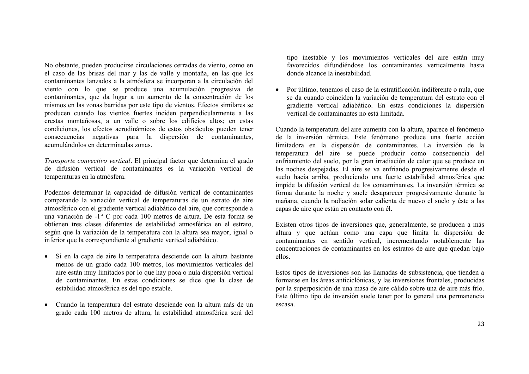No obstante, pueden producirse circulaciones cerradas de viento, como en el caso de las brisas del mar y las de valle y montaña, en las que los contaminantes lanzados a la atmósfera se incorporan a la circulación del viento con lo que se produce una acumulación progresiva de contaminantes, que da lugar a un aumento de la concentración de los mismos en las zonas barridas por este tipo de vientos. Efectos similares se producen cuando los vientos fuertes inciden perpendicularmente a las crestas montañosas, a un valle o sobre los edificios altos; en estas condiciones, los efectos aerodinámicos de estos obstáculos pueden tener consecuencias negativas para la dispersión de contaminantes, acumulándolos en determinadas zonas.

*Transporte convectivo vertical*. El principal factor que determina el grado de difusión vertical de contaminantes es la variación vertical de temperaturas en la atmósfera.

Podemos determinar la capacidad de difusión vertical de contaminantes comparando la variación vertical de temperaturas de un estrato de aire atmosférico con el gradiente vertical adiabático del aire, que corresponde a una variación de -1° C por cada 100 metros de altura. De esta forma se obtienen tres clases diferentes de estabilidad atmosférica en el estrato, según que la variación de la temperatura con la altura sea mayor, igual o inferior que la correspondiente al gradiente vertical adiabático.

- Si en la capa de aire la temperatura desciende con la altura bastante menos de un grado cada 100 metros, los movimientos verticales del aire están muy limitados por lo que hay poca o nula dispersión vertical de contaminantes. En estas condiciones se dice que la clase de estabilidad atmosférica es del tipo estable.
- Cuando la temperatura del estrato desciende con la altura más de un grado cada 100 metros de altura, la estabilidad atmosférica será del

tipo inestable y los movimientos verticales del aire están muy favorecidos difundiéndose los contaminantes verticalmente hasta donde alcance la inestabilidad.

 Por último, tenemos el caso de la estratificación indiferente o nula, que se da cuando coinciden la variación de temperatura del estrato con el gradiente vertical adiabático. En estas condiciones la dispersión vertical de contaminantes no está limitada.

Cuando la temperatura del aire aumenta con la altura, aparece el fenómeno de la inversión térmica. Este fenómeno produce una fuerte acción limitadora en la dispersión de contaminantes. La inversión de la temperatura del aire se puede producir como consecuencia del enfriamiento del suelo, por la gran irradiación de calor que se produce en las noches despejadas. El aire se va enfriando progresivamente desde el suelo hacia arriba, produciendo una fuerte estabilidad atmosférica que impide la difusión vertical de los contaminantes. La inversión térmica se forma durante la noche y suele desaparecer progresivamente durante la mañana, cuando la radiación solar calienta de nuevo el suelo y éste a las capas de aire que están en contacto con él.

Existen otros tipos de inversiones que, generalmente, se producen a más altura y que actúan como una capa que limita la dispersión de contaminantes en sentido vertical, incrementando notablemente las concentraciones de contaminantes en los estratos de aire que quedan bajo ellos.

Estos tipos de inversiones son las llamadas de subsistencia, que tienden a formarse en las áreas anticiclónicas, y las inversiones frontales, producidas por la superposición de una masa de aire cálido sobre una de aire más frío. Este último tipo de inversión suele tener por lo general una permanencia escasa.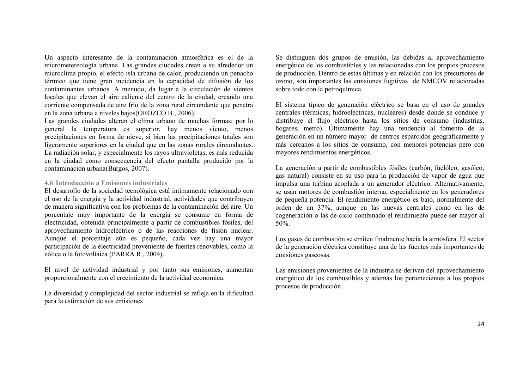Un aspecto interesante de la contaminación atmosférica es el de la micrometereología urbana. Las grandes ciudades crean a su alrededor un microclima propio, el efecto isla urbana de calor, produciendo un penacho térmico que tiene gran incidencia en la capacidad de difusión de los contaminantes urbanos. A menudo, da lugar a la circulación de vientos locales que elevan el aire caliente del centro de la ciudad, creando una corriente compensada de aire frío de la zona rural circundante que penetra en la zona urbana a niveles bajos(OROZCO B., 2006).

Las grandes ciudades alteran el clima urbano de muchas formas; por lo general la temperatura es superior, hay menos viento, menos precipitaciones en forma de nieve, si bien las precipitaciones totales son ligeramente superiores en la ciudad que en las zonas rurales circundantes. La radiación solar, y especialmente los rayos ultravioletas, es más reducida en la ciudad como consecuencia del efecto pantalla producido por la contaminación urbana(Burgos, 2007).

### **4.6 Introducción a Emisiones industriales**

El desarrollo de la sociedad tecnológica está íntimamente relacionado con el uso de la energía y la actividad industrial, actividades que contribuyen de manera significativa con los problemas de la contaminación del aire. Un porcentaje muy importante de la energía se consume en forma de electricidad, obtenida principalmente a partir de combustibles fósiles, del aprovechamiento hidroeléctrico o de las reacciones de fisión nuclear. Aunque el porcentaje aún es pequeño, cada vez hay una mayor participación de la electricidad proveniente de fuentes renovables, como la eólica o la fotovoltaica (PARRA R., 2004).

El nivel de actividad industrial y por tanto sus emisiones, aumentan proporcionalmente con el crecimiento de la actividad económica.

La diversidad y complejidad del sector industrial se refleja en la dificultad para la estimación de sus emisiones

Se distinguen dos grupos de emisión, las debidas al aprovechamiento energético de los combustibles y las relacionadas con los propios procesos de producción. Dentro de estas últimas y en relación con los precursores de ozono, son importantes las emisiones fugitivas de NMCOV relacionadas sobre todo con la petroquímica.

El sistema típico de generación eléctrico se basa en el uso de grandes centrales (térmicas, hidroeléctricas, nucleares) desde donde se conduce y distribuye el flujo eléctrico hasta los sitios de consumo (industrias, hogares, metro). Últimamente hay una tendencia al fomento de la generación en un número mayor de centros esparcidos geográficamente y más cercanos a los sitios de consumo, con menores potencias pero con mayores rendimientos energéticos.

La generación a partir de combustibles fósiles (carbón, fuelóleo, gasóleo, gas natural) consiste en su uso para la producción de vapor de agua que impulsa una turbina acoplada a un generador eléctrico. Alternativamente, se usan motores de combustión interna, especialmente en los generadores de pequeña potencia. El rendimiento energético es bajo, normalmente del orden de un 37%, aunque en las nuevas centrales como en las de cogeneración o las de ciclo combinado el rendimiento puede ser mayor al 50%.

Los gases de combustión se emiten finalmente hacia la atmósfera. El sector de la generación eléctrica constituye una de las fuentes más importantes de emisiones gaseosas.

Las emisiones provenientes de la industria se derivan del aprovechamiento energético de los combustibles y además los pertenecientes a los propios procesos de producción.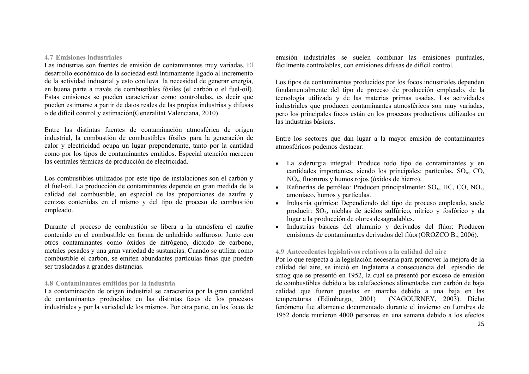#### **4.7 Emisiones industriales**

Las industrias son fuentes de emisión de contaminantes muy variadas. El desarrollo económico de la sociedad está íntimamente ligado al incremento de la actividad industrial y esto conlleva la necesidad de generar energía, en buena parte a través de combustibles fósiles (el carbón o el fuel-oil). Estas emisiones se pueden caracterizar como controladas, es decir que pueden estimarse a partir de datos reales de las propias industrias y difusas o de difícil control y estimación(Generalitat Valenciana, 2010).

Entre las distintas fuentes de contaminación atmosférica de origen industrial, la combustión de combustibles fósiles para la generación de calor y electricidad ocupa un lugar preponderante, tanto por la cantidad como por los tipos de contaminantes emitidos. Especial atención merecen las centrales térmicas de producción de electricidad.

Los combustibles utilizados por este tipo de instalaciones son el carbón y el fuel-oil. La producción de contaminantes depende en gran medida de la calidad del combustible, en especial de las proporciones de azufre y cenizas contenidas en el mismo y del tipo de proceso de combustión empleado.

Durante el proceso de combustión se libera a la atmósfera el azufre contenido en el combustible en forma de anhídrido sulfuroso. Junto con otros contaminantes como óxidos de nitrógeno, dióxido de carbono, metales pesados y una gran variedad de sustancias. Cuando se utiliza como combustible el carbón, se emiten abundantes partículas finas que pueden ser trasladadas a grandes distancias.

## **4.8 Contaminantes emitidos por la industria**

La contaminación de origen industrial se caracteriza por la gran cantidad de contaminantes producidos en las distintas fases de los procesos industriales y por la variedad de los mismos. Por otra parte, en los focos de emisión industriales se suelen combinar las emisiones puntuales, fácilmente controlables, con emisiones difusas de difícil control.

Los tipos de contaminantes producidos por los focos industriales dependen fundamentalmente del tipo de proceso de producción empleado, de la tecnología utilizada y de las materias primas usadas. Las actividades industriales que producen contaminantes atmosféricos son muy variadas, pero los principales focos están en los procesos productivos utilizados en las industrias básicas.

Entre los sectores que dan lugar a la mayor emisión de contaminantes atmosféricos podemos destacar:

- La siderurgia integral: Produce todo tipo de contaminantes y en cantidades importantes, siendo los principales: partículas,  $SO<sub>x</sub>$ ,  $CO<sub>x</sub>$ , NOx, fluoruros y humos rojos (óxidos de hierro).
- Refinerías de petróleo: Producen principalmente:  $SO_x$ , HC, CO, NO<sub>x</sub>, amoniaco, humos y partículas.
- Industria química: Dependiendo del tipo de proceso empleado, suele producir: SO<sub>2</sub>, nieblas de ácidos sulfúrico, nítrico y fosfórico y da lugar a la producción de olores desagradables.
- Industrias básicas del aluminio y derivados del flúor: Producen emisiones de contaminantes derivados del flúor(OROZCO B., 2006).

### **4.9 Antecedentes legislativos relativos a la calidad del aire**

Por lo que respecta a la legislación necesaria para promover la mejora de la calidad del aire, se inició en Inglaterra a consecuencia del episodio de smog que se presentó en 1952, la cual se presentó por exceso de emisión de combustibles debido a las calefacciones alimentadas con carbón de baja calidad que fueron puestas en marcha debido a una baja en las temperaturas (Edimburgo, 2001) (NAGOURNEY, 2003). Dicho fenómeno fue altamente documentado durante el invierno en Londres de 1952 donde murieron 4000 personas en una semana debido a los efectos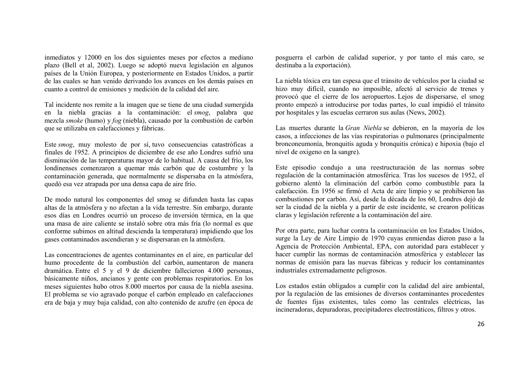inmediatos y 12000 en los dos siguientes meses por efectos a mediano plazo (Bell et al, 2002). Luego se adoptó nueva legislación en algunos países de la Unión Europea, y posteriormente en Estados Unidos, a partir de las cuales se han venido derivando los avances en los demás países en cuanto a control de emisiones y medición de la calidad del aire.

Tal incidente nos remite a la imagen que se tiene de una ciudad sumergida en la niebla gracias a la contaminación: el *smog*, palabra que mezcla *smoke* (humo) y *fog* (niebla), causado por la combustión de carbón que se utilizaba en calefacciones y fábricas.

Este *smog*, muy molesto de por sí, tuvo consecuencias catastróficas a finales de 1952. A principios de diciembre de ese año Londres sufrió una disminución de las temperaturas mayor de lo habitual. A causa del frío, los londinenses comenzaron a quemar más carbón que de costumbre y la contaminación generada, que normalmente se dispersaba en la atmósfera, quedó esa vez atrapada por una densa capa de aire frío.

De modo natural los componentes del smog se difunden hasta las capas altas de la atmósfera y no afectan a la vida terrestre. Sin embargo, durante esos días en Londres ocurrió un proceso de inversión térmica, en la que una masa de aire caliente se instaló sobre otra más fría (lo normal es que conforme subimos en altitud descienda la temperatura) impidiendo que los gases contaminados ascendieran y se dispersaran en la atmósfera.

Las concentraciones de agentes contaminantes en el aire, en particular del humo procedente de la combustión del carbón, aumentaron de manera dramática. Entre el 5 y el 9 de diciembre fallecieron 4.000 personas, básicamente niños, ancianos y gente con problemas respiratorios. En los meses siguientes hubo otros 8.000 muertos por causa de la niebla asesina. El problema se vio agravado porque el carbón empleado en calefacciones era de baja y muy baja calidad, con alto contenido de azufre (en época de posguerra el carbón de calidad superior, y por tanto el más caro, se destinaba a la exportación).

La niebla tóxica era tan espesa que el tránsito de vehículos por la ciudad se hizo muy difícil, cuando no imposible, afectó al servicio de trenes y provocó que el cierre de los aeropuertos. Lejos de dispersarse, el smog pronto empezó a introducirse por todas partes, lo cual impidió el tránsito por hospitales y las escuelas cerraron sus aulas (News, 2002).

Las muertes durante la *Gran Niebla* se debieron, en la mayoría de los casos, a infecciones de las vías respiratorias o pulmonares (principalmente bronconeumonía, bronquitis aguda y bronquitis crónica) e hipoxia (bajo el nivel de oxigeno en la sangre).

Este episodio condujo a una reestructuración de las normas sobre regulación de la contaminación atmosférica. Tras los sucesos de 1952, el gobierno alentó la eliminación del carbón como combustible para la calefacción. En 1956 se firmó el Acta de aire limpio y se prohibieron las combustiones por carbón. Así, desde la década de los 60, Londres dejó de ser la ciudad de la niebla y a partir de este incidente, se crearon políticas claras y legislación referente a la contaminación del aire.

Por otra parte, para luchar contra la contaminación en los Estados Unidos, surge la Ley de Aire Limpio de 1970 cuyas enmiendas dieron paso a la Agencia de Protección Ambiental, EPA, con autoridad para establecer y hacer cumplir las normas de contaminación atmosférica y establecer las normas de emisión para las nuevas fábricas y reducir los contaminantes industriales extremadamente peligrosos.

Los estados están obligados a cumplir con la calidad del aire ambiental, por la regulación de las emisiones de diversos contaminantes procedentes de fuentes fijas existentes, tales como las centrales eléctricas, las incineradoras, depuradoras, precipitadores electrostáticos, filtros y otros.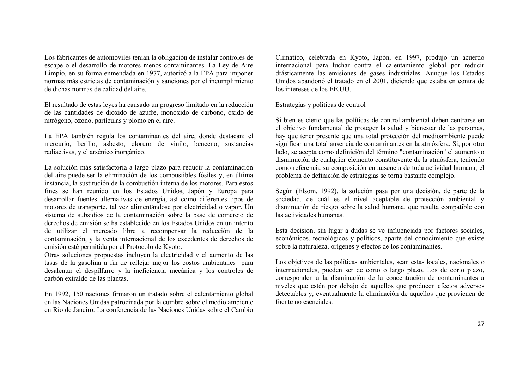Los fabricantes de automóviles tenían la obligación de instalar controles de escape o el desarrollo de motores menos contaminantes. La Ley de Aire Limpio, en su forma enmendada en 1977, autorizó a la EPA para imponer normas más estrictas de contaminación y sanciones por el incumplimiento de dichas normas de calidad del aire.

El resultado de estas leyes ha causado un progreso limitado en la reducción de las cantidades de dióxido de azufre, monóxido de carbono, óxido de nitrógeno, ozono, partículas y plomo en el aire.

La EPA también regula los contaminantes del aire, donde destacan: el mercurio, berilio, asbesto, cloruro de vinilo, benceno, sustancias radiactivas, y el arsénico inorgánico.

La solución más satisfactoria a largo plazo para reducir la contaminación del aire puede ser la eliminación de los combustibles fósiles y, en última instancia, la sustitución de la combustión interna de los motores. Para estos fines se han reunido en los Estados Unidos, Japón y Europa para desarrollar fuentes alternativas de energía, así como diferentes tipos de motores de transporte, tal vez alimentándose por electricidad o vapor. Un sistema de subsidios de la contaminación sobre la base de comercio de derechos de emisión se ha establecido en los Estados Unidos en un intento de utilizar el mercado libre a recompensar la reducción de la contaminación, y la venta internacional de los excedentes de derechos de emisión esté permitida por el Protocolo de Kyoto.

Otras soluciones propuestas incluyen la electricidad y el aumento de las tasas de la gasolina a fin de reflejar mejor los costos ambientales para desalentar el despilfarro y la ineficiencia mecánica y los controles de carbón extraído de las plantas.

En 1992, 150 naciones firmaron un tratado sobre el calentamiento global en las Naciones Unidas patrocinada por la cumbre sobre el medio ambiente en Río de Janeiro. La conferencia de las Naciones Unidas sobre el Cambio Climático, celebrada en Kyoto, Japón, en 1997, produjo un acuerdo internacional para luchar contra el calentamiento global por reducir drásticamente las emisiones de gases industriales. Aunque los Estados Unidos abandonó el tratado en el 2001, diciendo que estaba en contra de los intereses de los EE.UU.

### Estrategias y políticas de control

Si bien es cierto que las políticas de control ambiental deben centrarse en el objetivo fundamental de proteger la salud y bienestar de las personas, hay que tener presente que una total protección del medioambiente puede significar una total ausencia de contaminantes en la atmósfera. Si, por otro lado, se acepta como definición del término "contaminación" el aumento o disminución de cualquier elemento constituyente de la atmósfera, teniendo como referencia su composición en ausencia de toda actividad humana, el problema de definición de estrategias se torna bastante complejo.

Según (Elsom, 1992), la solución pasa por una decisión, de parte de la sociedad, de cuál es el nivel aceptable de protección ambiental y disminución de riesgo sobre la salud humana, que resulta compatible con las actividades humanas.

Esta decisión, sin lugar a dudas se ve influenciada por factores sociales, económicos, tecnológicos y políticos, aparte del conocimiento que existe sobre la naturaleza, orígenes y efectos de los contaminantes.

Los objetivos de las políticas ambientales, sean estas locales, nacionales o internacionales, pueden ser de corto o largo plazo. Los de corto plazo, corresponden a la disminución de la concentración de contaminantes a niveles que estén por debajo de aquellos que producen efectos adversos detectables y, eventualmente la eliminación de aquellos que provienen de fuente no esenciales.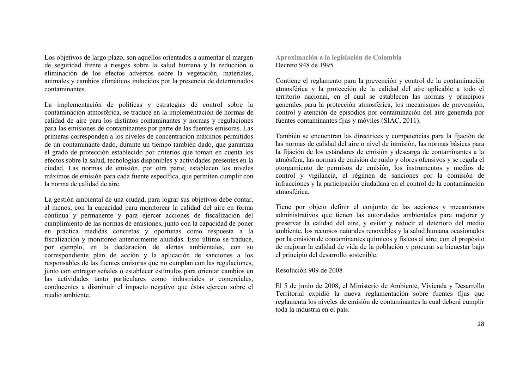Los objetivos de largo plazo, son aquellos orientados a aumentar el margen de seguridad frente a riesgos sobre la salud humana y la reducción o eliminación de los efectos adversos sobre la vegetación, materiales, animales y cambios climáticos inducidos por la presencia de determinados contaminantes.

La implementación de políticas y estrategias de control sobre la contaminación atmosférica, se traduce en la implementación de normas de calidad de aire para los distintos contaminantes y normas y regulaciones para las emisiones de contaminantes por parte de las fuentes emisoras. Las primeras corresponden a los niveles de concentración máximos permitidos de un contaminante dado, durante un tiempo también dado, que garantiza el grado de protección establecido por criterios que toman en cuenta los efectos sobre la salud, tecnologías disponibles y actividades presentes en la ciudad. Las normas de emisión. por otra parte, establecen los niveles máximos de emisión para cada fuente específica, que permiten cumplir con la norma de calidad de aire.

La gestión ambiental de una ciudad, para lograr sus objetivos debe contar, al menos, con la capacidad para monitorear la calidad del aire en forma continua y permanente y para ejercer acciones de fiscalización del cumplimiento de las normas de emisiones, junto con la capacidad de poner en práctica medidas concretas y oportunas como respuesta a la fiscalización y monitoreo anteriormente aludidas. Esto último se traduce, por ejemplo, en la declaración de alertas ambientales, con su correspondiente plan de acción y la aplicación de sanciones a los responsables de las fuentes emisoras que no cumplan con las regulaciones, junto con entregar señales o establecer estímulos para orientar cambios en las actividades tanto particulares como industriales o comerciales, conducentes a disminuir el impacto negativo que éstas ejercen sobre el medio ambiente.

**Aproximación a la legislación de Colombia** Decreto 948 de 1995

Contiene el reglamento para la prevención y control de la contaminación atmosférica y la protección de la calidad del aire aplicable a todo el territorio nacional, en el cual se establecen las normas y principios generales para la protección atmosférica, los mecanismos de prevención, control y atención de episodios por contaminación del aire generada por fuentes contaminantes fijas y móviles (SIAC, 2011).

También se encuentran las directrices y competencias para la fijación de las normas de calidad del aire o nivel de inmisión, las normas básicas para la fijación de los estándares de emisión y descarga de contaminantes a la atmósfera, las normas de emisión de ruido y olores ofensivos y se regula el otorgamiento de permisos de emisión, los instrumentos y medios de control y vigilancia, el régimen de sanciones por la comisión de infracciones y la participación ciudadana en el control de la contaminación atmosférica.

Tiene por objeto definir el conjunto de las acciones y mecanismos administrativos que tienen las autoridades ambientales para mejorar y preservar la calidad del aire, y evitar y reducir el deterioro del medio ambiente, los recursos naturales renovables y la salud humana ocasionados por la emisión de contaminantes químicos y físicos al aire; con el propósito de mejorar la calidad de vida de la población y procurar su bienestar bajo el principio del desarrollo sostenible.

### Resolución 909 de 2008

El 5 de junio de 2008, el Ministerio de Ambiente, Vivienda y Desarrollo Territorial expidió la nueva reglamentación sobre fuentes fijas que reglamenta los niveles de emisión de contaminantes la cual deberá cumplir toda la industria en el país.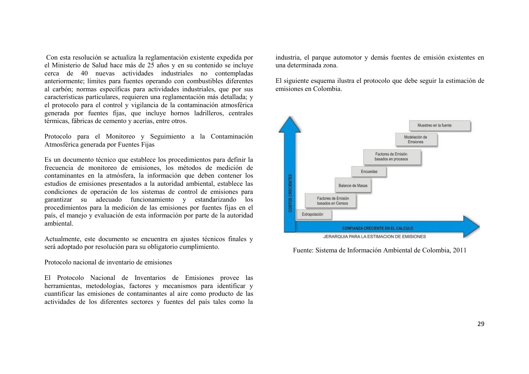Con esta resolución se actualiza la reglamentación existente expedida por el Ministerio de Salud hace más de 25 años y en su contenido se incluye cerca de 40 nuevas actividades industriales no contempladas anteriormente; límites para fuentes operando con combustibles diferentes al carbón; normas específicas para actividades industriales, que por sus características particulares, requieren una reglamentación más detallada; y el protocolo para el control y vigilancia de la contaminación atmosférica generada por fuentes fijas, que incluye hornos ladrilleros, centrales térmicas, fábricas de cemento y acerías, entre otros.

Protocolo para el Monitoreo y Seguimiento a la Contaminación Atmosférica generada por Fuentes Fijas

Es un documento técnico que establece los procedimientos para definir la frecuencia de monitoreo de emisiones, los métodos de medición de contaminantes en la atmósfera, la información que deben contener los estudios de emisiones presentados a la autoridad ambiental, establece las condiciones de operación de los sistemas de control de emisiones para garantizar su adecuado funcionamiento y estandarizando los procedimientos para la medición de las emisiones por fuentes fijas en el país, el manejo y evaluación de esta información por parte de la autoridad ambiental.

Actualmente, este documento se encuentra en ajustes técnicos finales y será adoptado por resolución para su obligatorio cumplimiento.

Protocolo nacional de inventario de emisiones

El Protocolo Nacional de Inventarios de Emisiones provee las herramientas, metodologías, factores y mecanismos para identificar y cuantificar las emisiones de contaminantes al aire como producto de las actividades de los diferentes sectores y fuentes del país tales como la industria, el parque automotor y demás fuentes de emisión existentes en una determinada zona.

El siguiente esquema ilustra el protocolo que debe seguir la estimación de emisiones en Colombia.



Fuente: Sistema de Información Ambiental de Colombia, 2011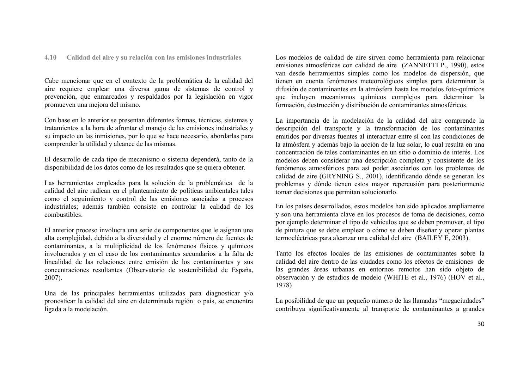### **4.10 Calidad del aire y su relación con las emisiones industriales**

Cabe mencionar que en el contexto de la problemática de la calidad del aire requiere emplear una diversa gama de sistemas de control y prevención, que enmarcados y respaldados por la legislación en vigor promueven una mejora del mismo.

Con base en lo anterior se presentan diferentes formas, técnicas, sistemas y tratamientos a la hora de afrontar el manejo de las emisiones industriales y su impacto en las inmisiones, por lo que se hace necesario, abordarlas para comprender la utilidad y alcance de las mismas.

El desarrollo de cada tipo de mecanismo o sistema dependerá, tanto de la disponibilidad de los datos como de los resultados que se quiera obtener.

Las herramientas empleadas para la solución de la problemática de la calidad del aire radican en el planteamiento de políticas ambientales tales como el seguimiento y control de las emisiones asociadas a procesos industriales; además también consiste en controlar la calidad de los combustibles.

El anterior proceso involucra una serie de componentes que le asignan una alta complejidad, debido a la diversidad y el enorme número de fuentes de contaminantes, a la multiplicidad de los fenómenos físicos y químicos involucrados y en el caso de los contaminantes secundarios a la falta de linealidad de las relaciones entre emisión de los contaminantes y sus concentraciones resultantes (Observatorio de sostenibilidad de España, 2007).

Una de las principales herramientas utilizadas para diagnosticar y/o pronosticar la calidad del aire en determinada región o país, se encuentra ligada a la modelación.

Los modelos de calidad de aire sirven como herramienta para relacionar emisiones atmosféricas con calidad de aire (ZANNETTI P., 1990), estos van desde herramientas simples como los modelos de dispersión, que tienen en cuenta fenómenos meteorológicos simples para determinar la difusión de contaminantes en la atmósfera hasta los modelos foto-químicos que incluyen mecanismos químicos complejos para determinar la formación, destrucción y distribución de contaminantes atmosféricos.

La importancia de la modelación de la calidad del aire comprende la descripción del transporte y la transformación de los contaminantes emitidos por diversas fuentes al interactuar entre sí con las condiciones de la atmósfera y además bajo la acción de la luz solar, lo cual resulta en una concentración de tales contaminantes en un sitio o dominio de interés. Los modelos deben considerar una descripción completa y consistente de los fenómenos atmosféricos para así poder asociarlos con los problemas de calidad de aire (GRYNING S., 2001), identificando dónde se generan los problemas y dónde tienen estos mayor repercusión para posteriormente tomar decisiones que permitan solucionarlo.

En los países desarrollados, estos modelos han sido aplicados ampliamente y son una herramienta clave en los procesos de toma de decisiones, como por ejemplo determinar el tipo de vehículos que se deben promover, el tipo de pintura que se debe emplear o cómo se deben diseñar y operar plantas termoeléctricas para alcanzar una calidad del aire (BAILEY E, 2003).

Tanto los efectos locales de las emisiones de contaminantes sobre la calidad del aire dentro de las ciudades como los efectos de emisiones de las grandes áreas urbanas en entornos remotos han sido objeto de observación y de estudios de modelo (WHITE et al., 1976) (HOV et al., 1978)

La posibilidad de que un pequeño número de las llamadas "megaciudades" contribuya significativamente al transporte de contaminantes a grandes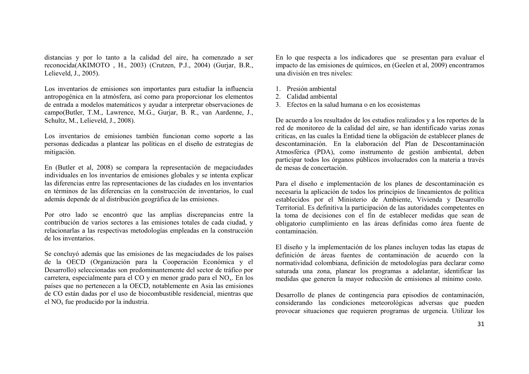distancias y por lo tanto a la calidad del aire, ha comenzado a ser reconocida(AKIMOTO , H., 2003) (Crutzen, P.J., 2004) (Gurjar, B.R., Lelieveld, J., 2005).

Los inventarios de emisiones son importantes para estudiar la influencia antropogénica en la atmósfera, así como para proporcionar los elementos de entrada a modelos matemáticos y ayudar a interpretar observaciones de campo(Butler, T.M., Lawrence, M.G., Gurjar, B. R., van Aardenne, J., Schultz, M., Lelieveld, J., 2008).

Los inventarios de emisiones también funcionan como soporte a las personas dedicadas a plantear las políticas en el diseño de estrategias de mitigación.

En (Butler et al, 2008) se compara la representación de megaciudades individuales en los inventarios de emisiones globales y se intenta explicar las diferencias entre las representaciones de las ciudades en los inventarios en términos de las diferencias en la construcción de inventarios, lo cual además depende de al distribución geográfica de las emisiones.

Por otro lado se encontró que las amplias discrepancias entre la contribución de varios sectores a las emisiones totales de cada ciudad, y relacionarlas a las respectivas metodologías empleadas en la construcción de los inventarios.

Se concluyó además que las emisiones de las megaciudades de los países de la OECD (Organización para la Cooperación Económica y el Desarrollo) seleccionadas son predominantemente del sector de tráfico por carretera, especialmente para el CO y en menor grado para el NO<sub>x</sub>. En los países que no pertenecen a la OECD, notablemente en Asia las emisiones de CO están dadas por el uso de biocombustible residencial, mientras que el NO<sup>x</sup> fue producido por la industria.

En lo que respecta a los indicadores que se presentan para evaluar el impacto de las emisiones de químicos, en (Geelen et al, 2009) encontramos una división en tres niveles:

- 1. Presión ambiental
- 2. Calidad ambiental
- 3. Efectos en la salud humana o en los ecosistemas

De acuerdo a los resultados de los estudios realizados y a los reportes de la red de monitoreo de la calidad del aire, se han identificado varias zonas criticas, en las cuales la Entidad tiene la obligación de establecer planes de descontaminación. En la elaboración del Plan de Descontaminación Atmosférica (PDA), como instrumento de gestión ambiental, deben participar todos los órganos públicos involucrados con la materia a través de mesas de concertación.

Para el diseño e implementación de los planes de descontaminación es necesaria la aplicación de todos los principios de lineamientos de política establecidos por el Ministerio de Ambiente, Vivienda y Desarrollo Territorial. Es definitiva la participación de las autoridades competentes en la toma de decisiones con el fin de establecer medidas que sean de obligatorio cumplimiento en las áreas definidas como área fuente de contaminación.

El diseño y la implementación de los planes incluyen todas las etapas de definición de áreas fuentes de contaminación de acuerdo con la normatividad colombiana, definición de metodologías para declarar como saturada una zona, planear los programas a adelantar, identificar las medidas que generen la mayor reducción de emisiones al mínimo costo.

Desarrollo de planes de contingencia para episodios de contaminación, considerando las condiciones meteorológicas adversas que pueden provocar situaciones que requieren programas de urgencia. Utilizar los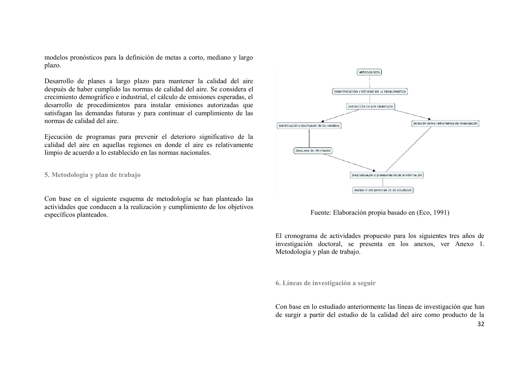modelos pronósticos para la definición de metas a corto, mediano y largo plazo.

Desarrollo de planes a largo plazo para mantener la calidad del aire después de haber cumplido las normas de calidad del aire. Se considera el crecimiento demográfico e industrial, el cálculo de emisiones esperadas, el desarrollo de procedimientos para instalar emisiones autorizadas que satisfagan las demandas futuras y para continuar el cumplimiento de las normas de calidad del aire.

Ejecución de programas para prevenir el deterioro significativo de la calidad del aire en aquellas regiones en donde el aire es relativamente limpio de acuerdo a lo establecido en las normas nacionales.

**5. Metodología y plan de trabajo**

Con base en el siguiente esquema de metodología se han planteado las actividades que conducen a la realización y cumplimiento de los objetivos específicos planteados.



Fuente: Elaboración propia basado en (Eco, 1991)

El cronograma de actividades propuesto para los siguientes tres años de investigación doctoral, se presenta en los anexos, ver Anexo 1. Metodología y plan de trabajo.

**6. Líneas de investigación a seguir**

Con base en lo estudiado anteriormente las líneas de investigación que han de surgir a partir del estudio de la calidad del aire como producto de la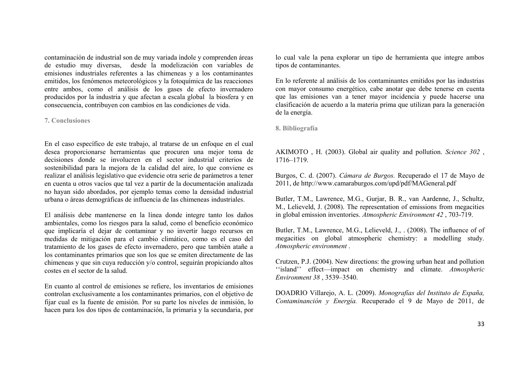contaminación de industrial son de muy variada índole y comprenden áreas de estudio muy diversas, desde la modelización con variables de emisiones industriales referentes a las chimeneas y a los contaminantes emitidos, los fenómenos meteorológicos y la fotoquímica de las reacciones entre ambos, como el análisis de los gases de efecto invernadero producidos por la industria y que afectan a escala global la biosfera y en consecuencia, contribuyen con cambios en las condiciones de vida.

#### **7. Conclusiones**

En el caso específico de este trabajo, al tratarse de un enfoque en el cual desea proporcionarse herramientas que procuren una mejor toma de decisiones donde se involucren en el sector industrial criterios de sostenibilidad para la mejora de la calidad del aire, lo que conviene es realizar el análisis legislativo que evidencie otra serie de parámetros a tener en cuenta u otros vacíos que tal vez a partir de la documentación analizada no hayan sido abordados, por ejemplo temas como la densidad industrial urbana o áreas demográficas de influencia de las chimeneas industriales.

El análisis debe mantenerse en la línea donde integre tanto los daños ambientales, como los riesgos para la salud, como el beneficio económico que implicaría el dejar de contaminar y no invertir luego recursos en medidas de mitigación para el cambio climático, como es el caso del tratamiento de los gases de efecto invernadero, pero que también atañe a los contaminantes primarios que son los que se emiten directamente de las chimeneas y que sin cuya reducción y/o control, seguirán propiciando altos costes en el sector de la salud.

En cuanto al control de emisiones se refiere, los inventarios de emisiones controlan exclusivamente a los contaminantes primarios, con el objetivo de fijar cual es la fuente de emisión. Por su parte los niveles de inmisión, lo hacen para los dos tipos de contaminación, la primaria y la secundaria, por lo cual vale la pena explorar un tipo de herramienta que integre ambos tipos de contaminantes.

En lo referente al análisis de los contaminantes emitidos por las industrias con mayor consumo energético, cabe anotar que debe tenerse en cuenta que las emisiones van a tener mayor incidencia y puede hacerse una clasificación de acuerdo a la materia prima que utilizan para la generación de la energía.

**8. Bibliografía**

AKIMOTO , H. (2003). Global air quality and pollution. *Science 302* , 1716–1719.

Burgos, C. d. (2007). *Cámara de Burgos.* Recuperado el 17 de Mayo de 2011, de http://www.camaraburgos.com/upd/pdf/MAGeneral.pdf

Butler, T.M., Lawrence, M.G., Gurjar, B. R., van Aardenne, J., Schultz, M., Lelieveld, J. (2008). The representation of emissions from megacities in global emission inventories. *Atmospheric Environment 42* , 703-719.

Butler, T.M., Lawrence, M.G., Lelieveld, J., . (2008). The influence of of megacities on global atmospheric chemistry: a modelling study. *Atmospheric environment* .

Crutzen, P.J. (2004). New directions: the growing urban heat and pollution ''island'' effect—impact on chemistry and climate. *Atmospheric Environment 38* , 3539–3540.

DOADRIO Villarejo, A. L. (2009). *Monografías del Instituto de España, Contaminanción y Energía.* Recuperado el 9 de Mayo de 2011, de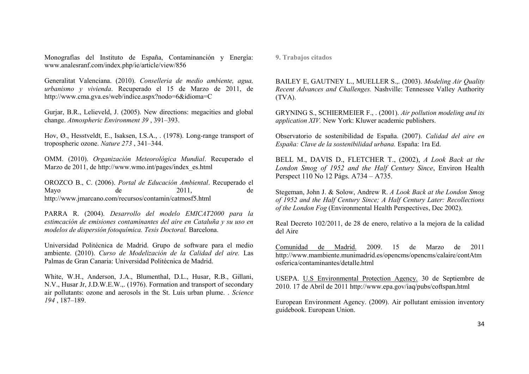Monografías del Instituto de España, Contaminanción y Energía: www.analesranf.com/index.php/ie/article/view/856

Generalitat Valenciana. (2010). *Conselleria de medio ambiente, agua, urbanismo y vivienda*. Recuperado el 15 de Marzo de 2011, de http://www.cma.gva.es/web/indice.aspx?nodo=6&idioma=C

Gurjar, B.R., Lelieveld, J. (2005). New directions: megacities and global change. *Atmospheric Environment 39* , 391–393.

Hov, Ø., Hesstveldt, E., Isaksen, I.S.A., . (1978). Long-range transport of tropospheric ozone. *Nature 273* , 341–344.

OMM. (2010). *Organización Meteorológica Mundial*. Recuperado el Marzo de 2011, de http://www.wmo.int/pages/index\_es.html

OROZCO B., C. (2006). *Portal de Educación Ambiental*. Recuperado el Mayo de  $2011$ , de http://www.jmarcano.com/recursos/contamin/catmosf5.html

PARRA R. (2004). *Desarrollo del modelo EMICAT2000 para la estimcación de emisiones contaminantes del aire en Cataluña y su uso en modelos de dispersión fotoquímica. Tesis Doctoral.* Barcelona.

Universidad Politécnica de Madrid. Grupo de software para el medio ambiente. (2010). *Curso de Modelización de la Calidad del aire.* Las Palmas de Gran Canaria: Universidad Politécnica de Madrid.

White, W.H., Anderson, J.A., Blumenthal, D.L., Husar, R.B., Gillani, N.V., Husar Jr, J.D.W.E.W.,. (1976). Formation and transport of secondary air pollutants: ozone and aerosols in the St. Luis urban plume. . *Science 194* , 187–189.

**9. Trabajos citados**

BAILEY E, GAUTNEY L., MUELLER S.,. (2003). *Modeling Air Quality Recent Advances and Challenges.* Nashville: Tennessee Valley Authority (TVA).

GRYNING S., SCHIERMEIER F., . (2001). *Air pollution modeling and its application XIV.* New York: Kluwer academic publishers.

Observatorio de sostenibilidad de España. (2007). *Calidad del aire en España: Clave de la sostenibilidad urbana.* España: 1ra Ed.

BELL M., DAVIS D., FLETCHER T., (2002), *A Look Back at the London Smog of 1952 and the Half Century Since*, Environ Health Perspect 110 No 12 Págs. A734 – A735.

Stegeman, John J. & Solow, Andrew R. *A Look Back at the London Smog of 1952 and the Half Century Since; A Half Century Later: Recollections of the London Fog* (Environmental Health Perspectives, Dec 2002).

Real Decreto 102/2011, de 28 de enero, relativo a la mejora de la calidad del Aire

Comunidad de Madrid. 2009. 15 de Marzo de 2011 http://www.mambiente.munimadrid.es/opencms/opencms/calaire/contAtm osferica/contaminantes/detalle.html

USEPA. U.S Environmental Protection Agency. 30 de Septiembre de 2010. 17 de Abril de 2011 http://www.epa.gov/iaq/pubs/coftspan.html

European Environment Agency. (2009). Air pollutant emission inventory guidebook. European Union.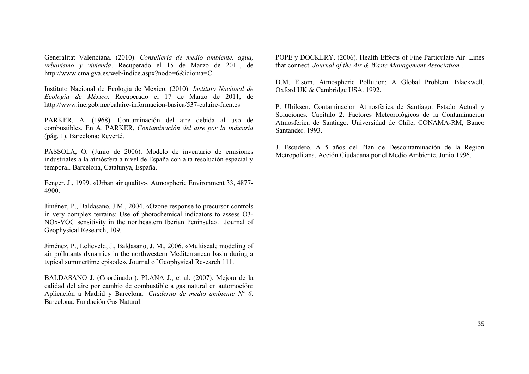Generalitat Valenciana. (2010). *Conselleria de medio ambiente, agua, urbanismo y vivienda*. Recuperado el 15 de Marzo de 2011, de http://www.cma.gva.es/web/indice.aspx?nodo=6&idioma=C

Instituto Nacional de Ecología de México. (2010). *Instituto Nacional de Ecología de México*. Recuperado el 17 de Marzo de 2011, de http://www.ine.gob.mx/calaire-informacion-basica/537-calaire-fuentes

PARKER, A. (1968). Contaminación del aire debida al uso de combustibles. En A. PARKER, *Contaminación del aire por la industria* (pág. 1). Barcelona: Reverté.

PASSOLA, O. (Junio de 2006). Modelo de inventario de emisiones industriales a la atmósfera a nivel de España con alta resolución espacial y temporal. Barcelona, Catalunya, España.

Fenger, J., 1999. «Urban air quality». Atmospheric Environment 33, 4877- 4900.

Jiménez, P., Baldasano, J.M., 2004. «Ozone response to precursor controls in very complex terrains: Use of photochemical indicators to assess O3- NOx-VOC sensitivity in the northeastern Iberian Peninsula». Journal of Geophysical Research, 109.

Jiménez, P., Lelieveld, J., Baldasano, J. M., 2006. «Multiscale modeling of air pollutants dynamics in the northwestern Mediterranean basin during a typical summertime episode». Journal of Geophysical Research 111.

BALDASANO J. (Coordinador), PLANA J., et al. (2007). Mejora de la calidad del aire por cambio de combustible a gas natural en automoción: Aplicación a Madrid y Barcelona. *Cuaderno de medio ambiente Nº 6.* Barcelona: Fundación Gas Natural.

POPE y DOCKERY. (2006). Health Effects of Fine Particulate Air: Lines that connect. *Journal of the Air & Waste Management Association* .

D.M. Elsom. Atmospheric Pollution: A Global Problem. Blackwell, Oxford UK & Cambridge USA. 1992.

P. Ulriksen. Contaminación Atmosférica de Santiago: Estado Actual y Soluciones. Capítulo 2: Factores Meteorológicos de la Contaminación Atmosférica de Santiago. Universidad de Chile, CONAMA-RM, Banco Santander. 1993.

J. Escudero. A 5 años del Plan de Descontaminación de la Región Metropolitana. Acción Ciudadana por el Medio Ambiente. Junio 1996.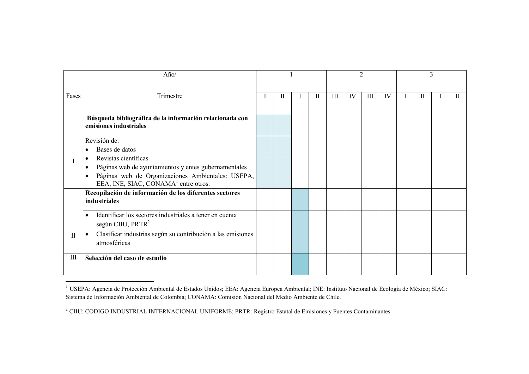|                                  | Año/                                                                                                                                                                                                                                                                        |  |   |  |   | $\overline{2}$     |    |   |    | 3 |   |  |   |
|----------------------------------|-----------------------------------------------------------------------------------------------------------------------------------------------------------------------------------------------------------------------------------------------------------------------------|--|---|--|---|--------------------|----|---|----|---|---|--|---|
| Fases                            | Trimestre                                                                                                                                                                                                                                                                   |  | П |  | П | $\mathop{\rm III}$ | IV | Ш | IV | I | П |  | Ш |
|                                  | Búsqueda bibliográfica de la información relacionada con<br>emisiones industriales                                                                                                                                                                                          |  |   |  |   |                    |    |   |    |   |   |  |   |
|                                  | Revisión de:<br>Bases de datos<br>$\bullet$<br>Revistas científicas<br>$\bullet$<br>Páginas web de ayuntamientos y entes gubernamentales<br>$\bullet$<br>Páginas web de Organizaciones Ambientales: USEPA,<br>$\bullet$<br>EEA, INE, SIAC, CONAMA <sup>1</sup> entre otros. |  |   |  |   |                    |    |   |    |   |   |  |   |
|                                  | Recopilación de información de los diferentes sectores<br>industriales                                                                                                                                                                                                      |  |   |  |   |                    |    |   |    |   |   |  |   |
| $\mathbf{I}$                     | Identificar los sectores industriales a tener en cuenta<br>$\bullet$<br>según CIIU, PRTR <sup>2</sup><br>Clasificar industrias según su contribución a las emisiones<br>$\bullet$<br>atmosféricas                                                                           |  |   |  |   |                    |    |   |    |   |   |  |   |
| $\mathop{\mathrm{III}}\nolimits$ | Selección del caso de estudio                                                                                                                                                                                                                                               |  |   |  |   |                    |    |   |    |   |   |  |   |

<sup>&</sup>lt;sup>1</sup> USEPA: Agencia de Protección Ambiental de Estados Unidos; EEA: Agencia Europea Ambiental; INE: Instituto Nacional de Ecología de México; SIAC: Sistema de Información Ambiental de Colombia; CONAMA: Comisión Nacional del Medio Ambiente de Chile.

<sup>&</sup>lt;sup>2</sup> CIIU: CODIGO INDUSTRIAL INTERNACIONAL UNIFORME; PRTR: Registro Estatal de Emisiones y Fuentes Contaminantes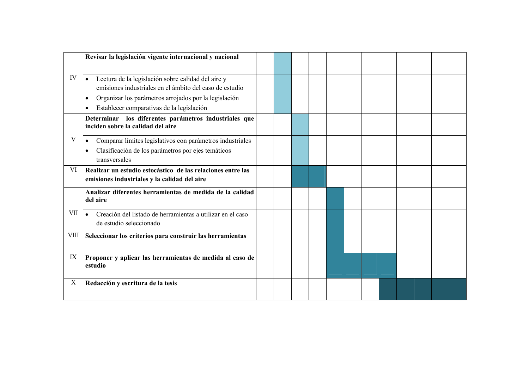|             | Revisar la legislación vigente internacional y nacional                                                                                                                                                                                            |  |  |  |  |  |  |
|-------------|----------------------------------------------------------------------------------------------------------------------------------------------------------------------------------------------------------------------------------------------------|--|--|--|--|--|--|
| IV          | Lectura de la legislación sobre calidad del aire y<br>$\bullet$<br>emisiones industriales en el ámbito del caso de estudio<br>Organizar los parámetros arrojados por la legislación<br>٠<br>Establecer comparativas de la legislación<br>$\bullet$ |  |  |  |  |  |  |
|             | los diferentes parámetros industriales que<br>Determinar<br>inciden sobre la calidad del aire                                                                                                                                                      |  |  |  |  |  |  |
| V           | Comparar límites legislativos con parámetros industriales<br>$\bullet$<br>Clasificación de los parámetros por ejes temáticos<br>$\bullet$<br>transversales                                                                                         |  |  |  |  |  |  |
| VI          | Realizar un estudio estocástico de las relaciones entre las<br>emisiones industriales y la calidad del aire                                                                                                                                        |  |  |  |  |  |  |
|             | Analizar diferentes herramientas de medida de la calidad<br>del aire                                                                                                                                                                               |  |  |  |  |  |  |
| VII         | Creación del listado de herramientas a utilizar en el caso<br>$\bullet$<br>de estudio seleccionado                                                                                                                                                 |  |  |  |  |  |  |
| <b>VIII</b> | Seleccionar los criterios para construir las herramientas                                                                                                                                                                                          |  |  |  |  |  |  |
| IX          | Proponer y aplicar las herramientas de medida al caso de<br>estudio                                                                                                                                                                                |  |  |  |  |  |  |
| X           | Redacción y escritura de la tesis                                                                                                                                                                                                                  |  |  |  |  |  |  |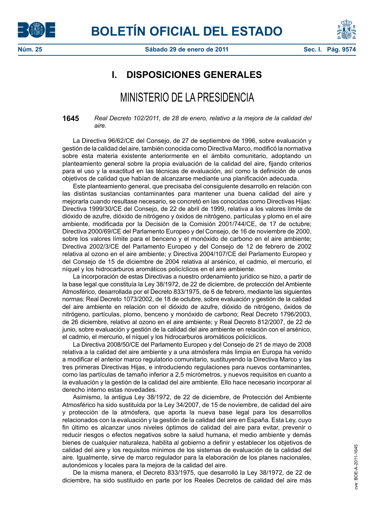



## **I. DISPOSICIONES GENERALES**

## MINISTERIO DE LA PRESIDENCIA

**1645** *Real Decreto 102/2011, de 28 de enero, relativo a la mejora de la calidad del aire.*

La Directiva 96/62/CE del Consejo, de 27 de septiembre de 1996, sobre evaluación y gestión de la calidad del aire, también conocida como Directiva Marco, modificó la normativa sobre esta materia existente anteriormente en el ámbito comunitario, adoptando un planteamiento general sobre la propia evaluación de la calidad del aire, fijando criterios para el uso y la exactitud en las técnicas de evaluación, así como la definición de unos objetivos de calidad que habían de alcanzarse mediante una planificación adecuada.

Este planteamiento general, que precisaba del consiguiente desarrollo en relación con las distintas sustancias contaminantes para mantener una buena calidad del aire y mejorarla cuando resultase necesario, se concretó en las conocidas como Directivas Hijas: Directiva 1999/30/CE del Consejo, de 22 de abril de 1999, relativa a los valores límite de dióxido de azufre, dióxido de nitrógeno y óxidos de nitrógeno, partículas y plomo en el aire ambiente, modificada por la Decisión de la Comisión 2001/744/CE, de 17 de octubre; Directiva 2000/69/CE del Parlamento Europeo y del Consejo, de 16 de noviembre de 2000, sobre los valores límite para el benceno y el monóxido de carbono en el aire ambiente; Directiva 2002/3/CE del Parlamento Europeo y del Consejo de 12 de febrero de 2002 relativa al ozono en el aire ambiente; y Directiva 2004/107/CE del Parlamento Europeo y del Consejo de 15 de diciembre de 2004 relativa al arsénico, el cadmio, el mercurio, el níquel y los hidrocarburos aromáticos policíclicos en el aire ambiente.

La incorporación de estas Directivas a nuestro ordenamiento jurídico se hizo, a partir de la base legal que constituía la Ley 38/1972, de 22 de diciembre, de protección del Ambiente Atmosférico, desarrollada por el Decreto 833/1975, de 6 de febrero, mediante las siguientes normas: Real Decreto 1073/2002, de 18 de octubre, sobre evaluación y gestión de la calidad del aire ambiente en relación con el dióxido de azufre, dióxido de nitrógeno, óxidos de nitrógeno, partículas, plomo, benceno y monóxido de carbono; Real Decreto 1796/2003, de 26 diciembre, relativo al ozono en el aire ambiente; y Real Decreto 812/2007, de 22 de junio, sobre evaluación y gestión de la calidad del aire ambiente en relación con el arsénico, el cadmio, el mercurio, el níquel y los hidrocarburos aromáticos policíclicos.

La Directiva 2008/50/CE del Parlamento Europeo y del Consejo de 21 de mayo de 2008 relativa a la calidad del aire ambiente y a una atmósfera más limpia en Europa ha venido a modificar el anterior marco regulatorio comunitario, sustituyendo la Directiva Marco y las tres primeras Directivas Hijas, e introduciendo regulaciones para nuevos contaminantes, como las partículas de tamaño inferior a 2,5 micrómetros, y nuevos requisitos en cuanto a la evaluación y la gestión de la calidad del aire ambiente. Ello hace necesario incorporar al derecho interno estas novedades.

Asimismo, la antigua Ley 38/1972, de 22 de diciembre, de Protección del Ambiente Atmosférico ha sido sustituida por la Ley 34/2007, de 15 de noviembre, de calidad del aire y protección de la atmósfera, que aporta la nueva base legal para los desarrollos relacionados con la evaluación y la gestión de la calidad del aire en España. Esta Ley, cuyo fin último es alcanzar unos niveles óptimos de calidad del aire para evitar, prevenir o reducir riesgos o efectos negativos sobre la salud humana, el medio ambiente y demás bienes de cualquier naturaleza, habilita al gobierno a definir y establecer los objetivos de calidad del aire y los requisitos mínimos de los sistemas de evaluación de la calidad del aire. Igualmente, sirve de marco regulador para la elaboración de los planes nacionales, autonómicos y locales para la mejora de la calidad del aire.

De la misma manera, el Decreto 833/1975, que desarrolló la Ley 38/1972, de 22 de diciembre, ha sido sustituido en parte por los Reales Decretos de calidad del aire más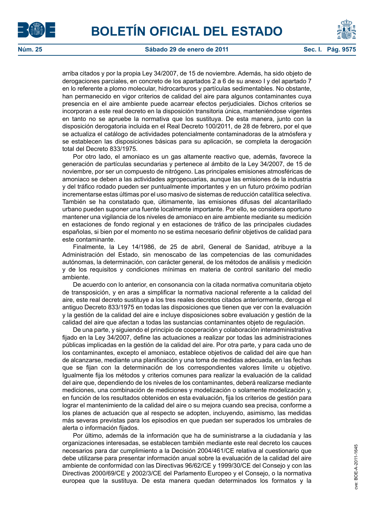



arriba citados y por la propia Ley 34/2007, de 15 de noviembre. Además, ha sido objeto de derogaciones parciales, en concreto de los apartados 2 a 6 de su anexo I y del apartado 7 en lo referente a plomo molecular, hidrocarburos y partículas sedimentables. No obstante, han permanecido en vigor criterios de calidad del aire para algunos contaminantes cuya presencia en el aire ambiente puede acarrear efectos perjudiciales. Dichos criterios se incorporan a este real decreto en la disposición transitoria única, manteniéndose vigentes en tanto no se apruebe la normativa que los sustituya. De esta manera, junto con la disposición derogatoria incluida en el Real Decreto 100/2011, de 28 de febrero, por el que se actualiza el catálogo de actividades potencialmente contaminadoras de la atmósfera y se establecen las disposiciones básicas para su aplicación, se completa la derogación total del Decreto 833/1975.

Por otro lado, el amoniaco es un gas altamente reactivo que, además, favorece la generación de partículas secundarias y pertenece al ámbito de la Ley 34/2007, de 15 de noviembre, por ser un compuesto de nitrógeno. Las principales emisiones atmosféricas de amoniaco se deben a las actividades agropecuarias, aunque las emisiones de la industria y del tráfico rodado pueden ser puntualmente importantes y en un futuro próximo podrían incrementarse estas últimas por el uso masivo de sistemas de reducción catalítica selectiva. También se ha constatado que, últimamente, las emisiones difusas del alcantarillado urbano pueden suponer una fuente localmente importante. Por ello, se considera oportuno mantener una vigilancia de los niveles de amoniaco en aire ambiente mediante su medición en estaciones de fondo regional y en estaciones de tráfico de las principales ciudades españolas, si bien por el momento no se estima necesario definir objetivos de calidad para este contaminante.

Finalmente, la Ley 14/1986, de 25 de abril, General de Sanidad, atribuye a la Administración del Estado, sin menoscabo de las competencias de las comunidades autónomas, la determinación, con carácter general, de los métodos de análisis y medición y de los requisitos y condiciones mínimas en materia de control sanitario del medio ambiente.

De acuerdo con lo anterior, en consonancia con la citada normativa comunitaria objeto de transposición, y en aras a simplificar la normativa nacional referente a la calidad del aire, este real decreto sustituye a los tres reales decretos citados anteriormente, deroga el antiguo Decreto 833/1975 en todas las disposiciones que tienen que ver con la evaluación y la gestión de la calidad del aire e incluye disposiciones sobre evaluación y gestión de la calidad del aire que afectan a todas las sustancias contaminantes objeto de regulación.

De una parte, y siguiendo el principio de cooperación y colaboración interadministrativa fijado en la Ley 34/2007, define las actuaciones a realizar por todas las administraciones públicas implicadas en la gestión de la calidad del aire. Por otra parte, y para cada uno de los contaminantes, excepto el amoniaco, establece objetivos de calidad del aire que han de alcanzarse, mediante una planificación y una toma de medidas adecuada, en las fechas que se fijan con la determinación de los correspondientes valores límite u objetivo. Igualmente fija los métodos y criterios comunes para realizar la evaluación de la calidad del aire que, dependiendo de los niveles de los contaminantes, deberá realizarse mediante mediciones, una combinación de mediciones y modelización o solamente modelización y, en función de los resultados obtenidos en esta evaluación, fija los criterios de gestión para lograr el mantenimiento de la calidad del aire o su mejora cuando sea precisa, conforme a los planes de actuación que al respecto se adopten, incluyendo, asimismo, las medidas más severas previstas para los episodios en que puedan ser superados los umbrales de alerta o información fijados.

Por último, además de la información que ha de suministrarse a la ciudadanía y las organizaciones interesadas, se establecen también mediante este real decreto los cauces necesarios para dar cumplimiento a la Decisión 2004/461/CE relativa al cuestionario que debe utilizarse para presentar información anual sobre la evaluación de la calidad del aire ambiente de conformidad con las Directivas 96/62/CE y 1999/30/CE del Consejo y con las Directivas 2000/69/CE y 2002/3/CE del Parlamento Europeo y el Consejo, o la normativa europea que la sustituya. De esta manera quedan determinados los formatos y la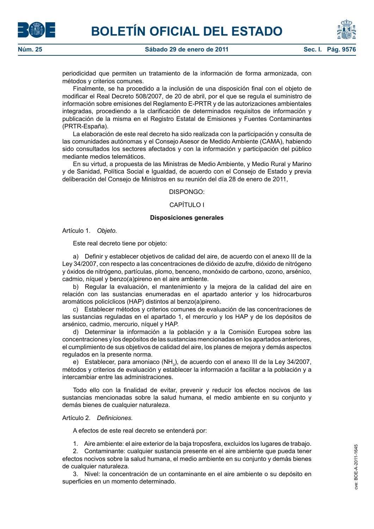



periodicidad que permiten un tratamiento de la información de forma armonizada, con métodos y criterios comunes.

Finalmente, se ha procedido a la inclusión de una disposición final con el objeto de modificar el Real Decreto 508/2007, de 20 de abril, por el que se regula el suministro de información sobre emisiones del Reglamento E-PRTR y de las autorizaciones ambientales integradas, procediendo a la clarificación de determinados requisitos de información y publicación de la misma en el Registro Estatal de Emisiones y Fuentes Contaminantes (PRTR-España).

La elaboración de este real decreto ha sido realizada con la participación y consulta de las comunidades autónomas y el Consejo Asesor de Medido Ambiente (CAMA), habiendo sido consultados los sectores afectados y con la información y participación del público mediante medios telemáticos.

En su virtud, a propuesta de las Ministras de Medio Ambiente, y Medio Rural y Marino y de Sanidad, Política Social e Igualdad, de acuerdo con el Consejo de Estado y previa deliberación del Consejo de Ministros en su reunión del día 28 de enero de 2011,

DISPONGO:

## CAPÍTULO I

#### **Disposiciones generales**

Artículo 1. *Objeto.*

Este real decreto tiene por objeto:

a) Definir y establecer objetivos de calidad del aire, de acuerdo con el anexo III de la Ley 34/2007, con respecto a las concentraciones de dióxido de azufre, dióxido de nitrógeno y óxidos de nitrógeno, partículas, plomo, benceno, monóxido de carbono, ozono, arsénico, cadmio, níquel y benzo(a)pireno en el aire ambiente.

b) Regular la evaluación, el mantenimiento y la mejora de la calidad del aire en relación con las sustancias enumeradas en el apartado anterior y los hidrocarburos aromáticos policíclicos (HAP) distintos al benzo(a)pireno.

c) Establecer métodos y criterios comunes de evaluación de las concentraciones de las sustancias reguladas en el apartado 1, el mercurio y los HAP y de los depósitos de arsénico, cadmio, mercurio, níquel y HAP.

d) Determinar la información a la población y a la Comisión Europea sobre las concentraciones y los depósitos de las sustancias mencionadas en los apartados anteriores, el cumplimiento de sus objetivos de calidad del aire, los planes de mejora y demás aspectos regulados en la presente norma.

e) Establecer, para amoniaco (NH<sub>3</sub>), de acuerdo con el anexo III de la Ley 34/2007, métodos y criterios de evaluación y establecer la información a facilitar a la población y a intercambiar entre las administraciones.

Todo ello con la finalidad de evitar, prevenir y reducir los efectos nocivos de las sustancias mencionadas sobre la salud humana, el medio ambiente en su conjunto y demás bienes de cualquier naturaleza.

#### Artículo 2. *Definiciones.*

A efectos de este real decreto se entenderá por:

1. Aire ambiente: el aire exterior de la baja troposfera, excluidos los lugares de trabajo.

2. Contaminante: cualquier sustancia presente en el aire ambiente que pueda tener efectos nocivos sobre la salud humana, el medio ambiente en su conjunto y demás bienes de cualquier naturaleza.

3. Nivel: la concentración de un contaminante en el aire ambiente o su depósito en superficies en un momento determinado.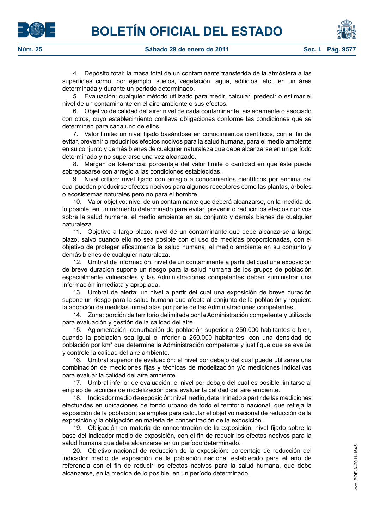4. Depósito total: la masa total de un contaminante transferida de la atmósfera a las superficies como, por ejemplo, suelos, vegetación, agua, edificios, etc., en un área determinada y durante un periodo determinado.

5. Evaluación: cualquier método utilizado para medir, calcular, predecir o estimar el nivel de un contaminante en el aire ambiente o sus efectos.

6. Objetivo de calidad del aire: nivel de cada contaminante, aisladamente o asociado con otros, cuyo establecimiento conlleva obligaciones conforme las condiciones que se determinen para cada uno de ellos.

7. Valor límite: un nivel fijado basándose en conocimientos científicos, con el fin de evitar, prevenir o reducir los efectos nocivos para la salud humana, para el medio ambiente en su conjunto y demás bienes de cualquier naturaleza que debe alcanzarse en un período determinado y no superarse una vez alcanzado.

8. Margen de tolerancia: porcentaje del valor límite o cantidad en que éste puede sobrepasarse con arreglo a las condiciones establecidas.

9. Nivel crítico: nivel fijado con arreglo a conocimientos científicos por encima del cual pueden producirse efectos nocivos para algunos receptores como las plantas, árboles o ecosistemas naturales pero no para el hombre.

10. Valor objetivo: nivel de un contaminante que deberá alcanzarse, en la medida de lo posible, en un momento determinado para evitar, prevenir o reducir los efectos nocivos sobre la salud humana, el medio ambiente en su conjunto y demás bienes de cualquier naturaleza.

11. Objetivo a largo plazo: nivel de un contaminante que debe alcanzarse a largo plazo, salvo cuando ello no sea posible con el uso de medidas proporcionadas, con el objetivo de proteger eficazmente la salud humana, el medio ambiente en su conjunto y demás bienes de cualquier naturaleza.

12. Umbral de información: nivel de un contaminante a partir del cual una exposición de breve duración supone un riesgo para la salud humana de los grupos de población especialmente vulnerables y las Administraciones competentes deben suministrar una información inmediata y apropiada.

13. Umbral de alerta: un nivel a partir del cual una exposición de breve duración supone un riesgo para la salud humana que afecta al conjunto de la población y requiere la adopción de medidas inmediatas por parte de las Administraciones competentes.

14. Zona: porción de territorio delimitada por la Administración competente y utilizada para evaluación y gestión de la calidad del aire.

15. Aglomeración: conurbación de población superior a 250.000 habitantes o bien, cuando la población sea igual o inferior a 250.000 habitantes, con una densidad de población por km² que determine la Administración competente y justifique que se evalúe y controle la calidad del aire ambiente.

16. Umbral superior de evaluación: el nivel por debajo del cual puede utilizarse una combinación de mediciones fijas y técnicas de modelización y/o mediciones indicativas para evaluar la calidad del aire ambiente.

17. Umbral inferior de evaluación: el nivel por debajo del cual es posible limitarse al empleo de técnicas de modelización para evaluar la calidad del aire ambiente.

18. Indicador medio de exposición: nivel medio, determinado a partir de las mediciones efectuadas en ubicaciones de fondo urbano de todo el territorio nacional, que refleja la exposición de la población; se emplea para calcular el objetivo nacional de reducción de la exposición y la obligación en materia de concentración de la exposición.

19. Obligación en materia de concentración de la exposición: nivel fijado sobre la base del indicador medio de exposición, con el fin de reducir los efectos nocivos para la salud humana que debe alcanzarse en un período determinado.

20. Objetivo nacional de reducción de la exposición: porcentaje de reducción del indicador medio de exposición de la población nacional establecido para el año de referencia con el fin de reducir los efectos nocivos para la salud humana, que debe alcanzarse, en la medida de lo posible, en un período determinado.



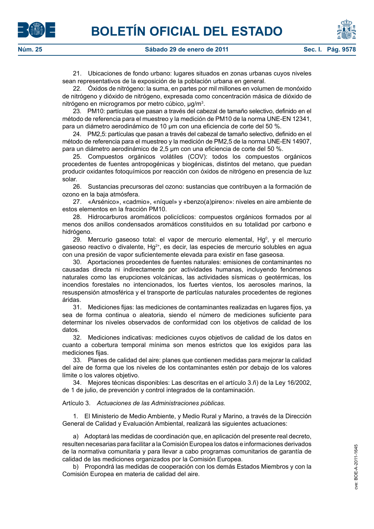21. Ubicaciones de fondo urbano: lugares situados en zonas urbanas cuyos niveles sean representativos de la exposición de la población urbana en general.

22. Óxidos de nitrógeno: la suma, en partes por mil millones en volumen de monóxido de nitrógeno y dióxido de nitrógeno, expresada como concentración másica de dióxido de nitrógeno en microgramos por metro cúbico, µg/m<sup>3</sup>.

23. PM10: partículas que pasan a través del cabezal de tamaño selectivo, definido en el método de referencia para el muestreo y la medición de PM10 de la norma UNE-EN 12341, para un diámetro aerodinámico de 10 µm con una eficiencia de corte del 50 %.

24. PM2,5: partículas que pasan a través del cabezal de tamaño selectivo, definido en el método de referencia para el muestreo y la medición de PM2,5 de la norma UNE-EN 14907, para un diámetro aerodinámico de 2,5 µm con una eficiencia de corte del 50 %.

25. Compuestos orgánicos volátiles (COV): todos los compuestos orgánicos procedentes de fuentes antropogénicas y biogénicas, distintos del metano, que puedan producir oxidantes fotoquímicos por reacción con óxidos de nitrógeno en presencia de luz solar.

26. Sustancias precursoras del ozono: sustancias que contribuyen a la formación de ozono en la baja atmósfera.

27. «Arsénico», «cadmio», «níquel» y «benzo(a)pireno»: niveles en aire ambiente de estos elementos en la fracción PM10.

28. Hidrocarburos aromáticos policíclicos: compuestos orgánicos formados por al menos dos anillos condensados aromáticos constituidos en su totalidad por carbono e hidrógeno.

29. Mercurio gaseoso total: el vapor de mercurio elemental,  $Hg^0$ , y el mercurio gaseoso reactivo o divalente, Hg<sup>2+</sup>, es decir, las especies de mercurio solubles en agua con una presión de vapor suficientemente elevada para existir en fase gaseosa.

30. Aportaciones procedentes de fuentes naturales: emisiones de contaminantes no causadas directa ni indirectamente por actividades humanas, incluyendo fenómenos naturales como las erupciones volcánicas, las actividades sísmicas o geotérmicas, los incendios forestales no intencionados, los fuertes vientos, los aerosoles marinos, la resuspensión atmosférica y el transporte de partículas naturales procedentes de regiones áridas.

31. Mediciones fijas: las mediciones de contaminantes realizadas en lugares fijos, ya sea de forma continua o aleatoria, siendo el número de mediciones suficiente para determinar los niveles observados de conformidad con los objetivos de calidad de los datos.

32. Mediciones indicativas: mediciones cuyos objetivos de calidad de los datos en cuanto a cobertura temporal mínima son menos estrictos que los exigidos para las mediciones fijas.

33. Planes de calidad del aire: planes que contienen medidas para mejorar la calidad del aire de forma que los niveles de los contaminantes estén por debajo de los valores límite o los valores objetivo.

34. Mejores técnicas disponibles: Las descritas en el artículo 3.ñ) de la Ley 16/2002, de 1 de julio, de prevención y control integrados de la contaminación.

Artículo 3. *Actuaciones de las Administraciones públicas.*

1. El Ministerio de Medio Ambiente, y Medio Rural y Marino, a través de la Dirección General de Calidad y Evaluación Ambiental, realizará las siguientes actuaciones:

a) Adoptará las medidas de coordinación que, en aplicación del presente real decreto, resulten necesarias para facilitar a la Comisión Europea los datos e informaciones derivados de la normativa comunitaria y para llevar a cabo programas comunitarios de garantía de calidad de las mediciones organizados por la Comisión Europea.

b) Propondrá las medidas de cooperación con los demás Estados Miembros y con la Comisión Europea en materia de calidad del aire.



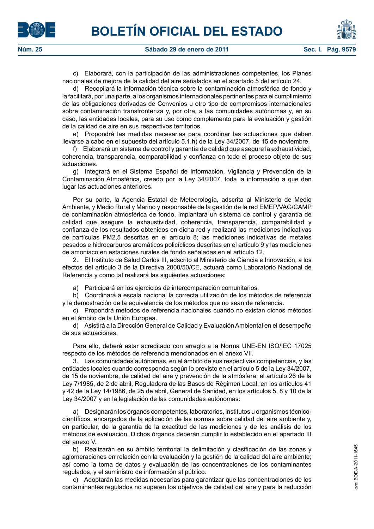

c) Elaborará, con la participación de las administraciones competentes, los Planes nacionales de mejora de la calidad del aire señalados en el apartado 5 del artículo 24.

d) Recopilará la información técnica sobre la contaminación atmosférica de fondo y la facilitará, por una parte, a los organismos internacionales pertinentes para el cumplimiento de las obligaciones derivadas de Convenios u otro tipo de compromisos internacionales sobre contaminación transfronteriza y, por otra, a las comunidades autónomas y, en su caso, las entidades locales, para su uso como complemento para la evaluación y gestión de la calidad de aire en sus respectivos territorios.

e) Propondrá las medidas necesarias para coordinar las actuaciones que deben llevarse a cabo en el supuesto del artículo 5.1.h) de la Ley 34/2007, de 15 de noviembre.

f) Elaborará un sistema de control y garantía de calidad que asegure la exhaustividad, coherencia, transparencia, comparabilidad y confianza en todo el proceso objeto de sus actuaciones.

g) Integrará en el Sistema Español de Información, Vigilancia y Prevención de la Contaminación Atmosférica, creado por la Ley 34/2007, toda la información a que den lugar las actuaciones anteriores.

Por su parte, la Agencia Estatal de Meteorología, adscrita al Ministerio de Medio Ambiente, y Medio Rural y Marino y responsable de la gestión de la red EMEP/VAG/CAMP de contaminación atmosférica de fondo, implantará un sistema de control y garantía de calidad que asegure la exhaustividad, coherencia, transparencia, comparabilidad y confianza de los resultados obtenidos en dicha red y realizará las mediciones indicativas de partículas PM2,5 descritas en el artículo 8; las mediciones indicativas de metales pesados e hidrocarburos aromáticos policíclicos descritas en el artículo 9 y las mediciones de amoniaco en estaciones rurales de fondo señaladas en el artículo 12.

2. El Instituto de Salud Carlos III, adscrito al Ministerio de Ciencia e Innovación, a los efectos del artículo 3 de la Directiva 2008/50/CE, actuará como Laboratorio Nacional de Referencia y como tal realizará las siguientes actuaciones:

a) Participará en los ejercicios de intercomparación comunitarios.

b) Coordinará a escala nacional la correcta utilización de los métodos de referencia y la demostración de la equivalencia de los métodos que no sean de referencia.

c) Propondrá métodos de referencia nacionales cuando no existan dichos métodos en el ámbito de la Unión Europea.

d) Asistirá a la Dirección General de Calidad y Evaluación Ambiental en el desempeño de sus actuaciones.

Para ello, deberá estar acreditado con arreglo a la Norma UNE-EN ISO/IEC 17025 respecto de los métodos de referencia mencionados en el anexo VII.

3. Las comunidades autónomas, en el ámbito de sus respectivas competencias, y las entidades locales cuando corresponda según lo previsto en el artículo 5 de la Ley 34/2007, de 15 de noviembre, de calidad del aire y prevención de la atmósfera, el artículo 26 de la Ley 7/1985, de 2 de abril, Reguladora de las Bases de Régimen Local, en los artículos 41 y 42 de la Ley 14/1986, de 25 de abril, General de Sanidad, en los artículos 5, 8 y 10 de la Ley 34/2007 y en la legislación de las comunidades autónomas:

a) Designarán los órganos competentes, laboratorios, institutos u organismos técnicocientíficos, encargados de la aplicación de las normas sobre calidad del aire ambiente y, en particular, de la garantía de la exactitud de las mediciones y de los análisis de los métodos de evaluación. Dichos órganos deberán cumplir lo establecido en el apartado III del anexo V.

b) Realizarán en su ámbito territorial la delimitación y clasificación de las zonas y aglomeraciones en relación con la evaluación y la gestión de la calidad del aire ambiente; así como la toma de datos y evaluación de las concentraciones de los contaminantes regulados, y el suministro de información al público.

c) Adoptarán las medidas necesarias para garantizar que las concentraciones de los contaminantes regulados no superen los objetivos de calidad del aire y para la reducción





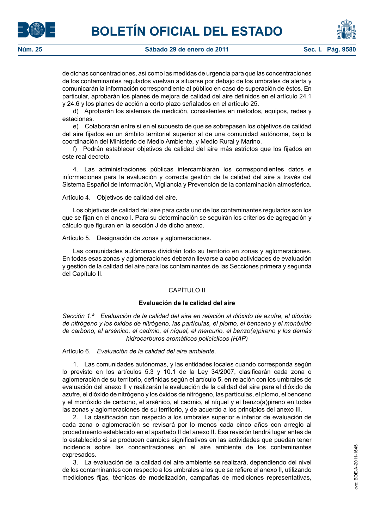de dichas concentraciones, así como las medidas de urgencia para que las concentraciones de los contaminantes regulados vuelvan a situarse por debajo de los umbrales de alerta y comunicarán la información correspondiente al público en caso de superación de éstos. En particular, aprobarán los planes de mejora de calidad del aire definidos en el artículo 24.1 y 24.6 y los planes de acción a corto plazo señalados en el artículo 25.

d) Aprobarán los sistemas de medición, consistentes en métodos, equipos, redes y estaciones.

e) Colaborarán entre sí en el supuesto de que se sobrepasen los objetivos de calidad del aire fijados en un ámbito territorial superior al de una comunidad autónoma, bajo la coordinación del Ministerio de Medio Ambiente, y Medio Rural y Marino.

f) Podrán establecer objetivos de calidad del aire más estrictos que los fijados en este real decreto.

4. Las administraciones públicas intercambiarán los correspondientes datos e informaciones para la evaluación y correcta gestión de la calidad del aire a través del Sistema Español de Información, Vigilancia y Prevención de la contaminación atmosférica.

Artículo 4. Objetivos de calidad del aire.

Los objetivos de calidad del aire para cada uno de los contaminantes regulados son los que se fijan en el anexo I. Para su determinación se seguirán los criterios de agregación y cálculo que figuran en la sección J de dicho anexo.

Artículo 5. Designación de zonas y aglomeraciones.

Las comunidades autónomas dividirán todo su territorio en zonas y aglomeraciones. En todas esas zonas y aglomeraciones deberán llevarse a cabo actividades de evaluación y gestión de la calidad del aire para los contaminantes de las Secciones primera y segunda del Capítulo II.

## CAPÍTULO II

## **Evaluación de la calidad del aire**

*Sección 1.ª Evaluación de la calidad del aire en relación al dióxido de azufre, el dióxido de nitrógeno y los óxidos de nitrógeno, las partículas, el plomo, el benceno y el monóxido de carbono, el arsénico, el cadmio, el níquel, el mercurio, el benzo(a)pireno y los demás hidrocarburos aromáticos policíclicos (HAP)*

Artículo 6. *Evaluación de la calidad del aire ambiente.*

1. Las comunidades autónomas, y las entidades locales cuando corresponda según lo previsto en los artículos 5.3 y 10.1 de la Ley 34/2007, clasificarán cada zona o aglomeración de su territorio, definidas según el artículo 5, en relación con los umbrales de evaluación del anexo II y realizarán la evaluación de la calidad del aire para el dióxido de azufre, el dióxido de nitrógeno y los óxidos de nitrógeno, las partículas, el plomo, el benceno y el monóxido de carbono, el arsénico, el cadmio, el níquel y el benzo(a)pireno en todas las zonas y aglomeraciones de su territorio, y de acuerdo a los principios del anexo III.

2. La clasificación con respecto a los umbrales superior e inferior de evaluación de cada zona o aglomeración se revisará por lo menos cada cinco años con arreglo al procedimiento establecido en el apartado II del anexo II. Esa revisión tendrá lugar antes de lo establecido si se producen cambios significativos en las actividades que puedan tener incidencia sobre las concentraciones en el aire ambiente de los contaminantes expresados.

3. La evaluación de la calidad del aire ambiente se realizará, dependiendo del nivel de los contaminantes con respecto a los umbrales a los que se refiere el anexo II, utilizando mediciones fijas, técnicas de modelización, campañas de mediciones representativas,



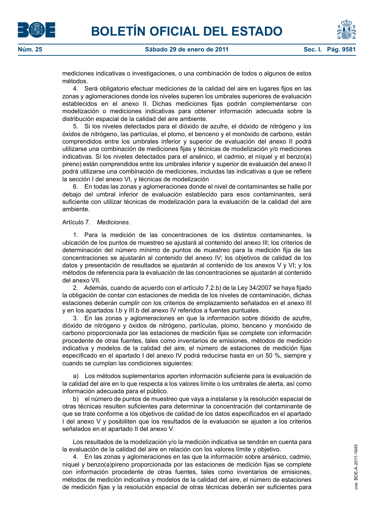



mediciones indicativas o investigaciones, o una combinación de todos o algunos de estos métodos.

4. Será obligatorio efectuar mediciones de la calidad del aire en lugares fijos en las zonas y aglomeraciones donde los niveles superen los umbrales superiores de evaluación establecidos en el anexo II. Dichas mediciones fijas podrán complementarse con modelización o mediciones indicativas para obtener información adecuada sobre la distribución espacial de la calidad del aire ambiente.

5. Si los niveles detectados para el dióxido de azufre, el dióxido de nitrógeno y los óxidos de nitrógeno, las partículas, el plomo, el benceno y el monóxido de carbono, están comprendidos entre los umbrales inferior y superior de evaluación del anexo II podrá utilizarse una combinación de mediciones fijas y técnicas de modelización y/o mediciones indicativas. Si los niveles detectados para el arsénico, el cadmio, el níquel y el benzo(a) pireno) están comprendidos entre los umbrales inferior y superior de evaluación del anexo II podrá utilizarse una combinación de mediciones, incluidas las indicativas a que se refiere la sección I del anexo VI, y técnicas de modelización

6. En todas las zonas y aglomeraciones donde el nivel de contaminantes se halle por debajo del umbral inferior de evaluación establecido para esos contaminantes, será suficiente con utilizar técnicas de modelización para la evaluación de la calidad del aire ambiente.

## Artículo 7. *Mediciones.*

1. Para la medición de las concentraciones de los distintos contaminantes, la ubicación de los puntos de muestreo se ajustará al contenido del anexo III; los criterios de determinación del número mínimo de puntos de muestreo para la medición fija de las concentraciones se ajustarán al contenido del anexo IV; los objetivos de calidad de los datos y presentación de resultados se ajustarán al contenido de los anexos V y VI; y los métodos de referencia para la evaluación de las concentraciones se ajustarán al contenido del anexo VII.

2. Además, cuando de acuerdo con el artículo 7.2.b) de la Ley 34/2007 se haya fijado la obligación de contar con estaciones de medida de los niveles de contaminación, dichas estaciones deberán cumplir con los criterios de emplazamiento señalados en el anexo III y en los apartados I.b y III.b del anexo IV referidos a fuentes puntuales.

3. En las zonas y aglomeraciones en que la información sobre dióxido de azufre, dióxido de nitrógeno y óxidos de nitrógeno, partículas, plomo, benceno y monóxido de carbono proporcionada por las estaciones de medición fijas se complete con información procedente de otras fuentes, tales como inventarios de emisiones, métodos de medición indicativa y modelos de la calidad del aire, el número de estaciones de medición fijas especificado en el apartado I del anexo IV podrá reducirse hasta en un 50 %, siempre y cuando se cumplan las condiciones siguientes:

a) Los métodos suplementarios aporten información suficiente para la evaluación de la calidad del aire en lo que respecta a los valores límite o los umbrales de alerta, así como información adecuada para el público.

b) el número de puntos de muestreo que vaya a instalarse y la resolución espacial de otras técnicas resulten suficientes para determinar la concentración del contaminante de que se trate conforme a los objetivos de calidad de los datos especificados en el apartado I del anexo V y posibiliten que los resultados de la evaluación se ajusten a los criterios señalados en el apartado II del anexo V.

Los resultados de la modelización y/o la medición indicativa se tendrán en cuenta para la evaluación de la calidad del aire en relación con los valores límite y objetivo.

4. En las zonas y aglomeraciones en las que la información sobre arsénico, cadmio, níquel y benzo(a)pireno proporcionada por las estaciones de medición fijas se complete con información procedente de otras fuentes, tales como inventarios de emisiones, métodos de medición indicativa y modelos de la calidad del aire, el número de estaciones de medición fijas y la resolución espacial de otras técnicas deberán ser suficientes para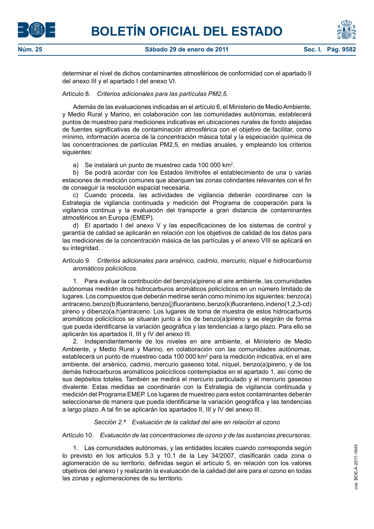





determinar el nivel de dichos contaminantes atmosféricos de conformidad con el apartado II del anexo III y el apartado I del anexo VI.

#### Artículo 8. *Criterios adicionales para las partículas PM2,5.*

Además de las evaluaciones indicadas en el artículo 6, el Ministerio de Medio Ambiente, y Medio Rural y Marino, en colaboración con las comunidades autónomas, establecerá puntos de muestreo para mediciones indicativas en ubicaciones rurales de fondo alejadas de fuentes significativas de contaminación atmosférica con el objetivo de facilitar, como mínimo, información acerca de la concentración másica total y la especiación química de las concentraciones de partículas PM2,5, en medias anuales, y empleando los criterios siguientes:

a) Se instalará un punto de muestreo cada 100 000 km<sup>2</sup>.

b) Se podrá acordar con los Estados limítrofes el establecimiento de una o varias estaciones de medición comunes que abarquen las zonas colindantes relevantes con el fin de conseguir la resolución espacial necesaria.

c) Cuando proceda, las actividades de vigilancia deberán coordinarse con la Estrategia de vigilancia continuada y medición del Programa de cooperación para la vigilancia continua y la evaluación del transporte a gran distancia de contaminantes atmosféricos en Europa (EMEP).

d) El apartado I del anexo V y las especificaciones de los sistemas de control y garantía de calidad se aplicarán en relación con los objetivos de calidad de los datos para las mediciones de la concentración másica de las partículas y el anexo VIII se aplicará en su integridad.

### Artículo 9. *Criterios adicionales para arsénico, cadmio, mercurio, níquel e hidrocarburos aromáticos policíclicos.*

1. Para evaluar la contribución del benzo(a)pireno al aire ambiente, las comunidades autónomas medirán otros hidrocarburos aromáticos policíclicos en un número limitado de lugares. Los compuestos que deberán medirse serán como mínimo los siguientes: benzo(a) antraceno, benzo(b)fluoranteno, benzo(j)fluoranteno, benzo(k)fluoranteno, indeno(1,2,3-cd) pireno y dibenzo(a,h)antraceno. Los lugares de toma de muestra de estos hidrocarburos aromáticos policíclicos se situarán junto a los de benzo(a)pireno y se elegirán de forma que pueda identificarse la variación geográfica y las tendencias a largo plazo. Para ello se aplicarán los apartados II, III y IV del anexo III.

2. Independientemente de los niveles en aire ambiente, el Ministerio de Medio Ambiente, y Medio Rural y Marino, en colaboración con las comunidades autónomas, establecerá un punto de muestreo cada 100 000 km<sup>2</sup> para la medición indicativa, en el aire ambiente, del arsénico, cadmio, mercurio gaseoso total, níquel, benzo(a)pireno, y de los demás hidrocarburos aromáticos policíclicos contemplados en el apartado 1, así como de sus depósitos totales. También se medirá el mercurio particulado y el mercurio gaseoso divalente. Estas medidas se coordinarán con la Estrategia de vigilancia continuada y medición del Programa EMEP. Los lugares de muestreo para estos contaminantes deberán seleccionarse de manera que pueda identificarse la variación geográfica y las tendencias a largo plazo. A tal fin se aplicarán los apartados II, III y IV del anexo III.

## *Sección 2.ª Evaluación de la calidad del aire en relación al ozono*

#### Artículo 10. *Evaluación de las concentraciones de ozono y de las sustancias precursoras.*

1. Las comunidades autónomas, y las entidades locales cuando corresponda según lo previsto en los artículos 5.3 y 10.1 de la Ley 34/2007, clasificarán cada zona o aglomeración de su territorio, definidas según el artículo 5, en relación con los valores objetivos del anexo I y realizarán la evaluación de la calidad del aire para el ozono en todas las zonas y aglomeraciones de su territorio.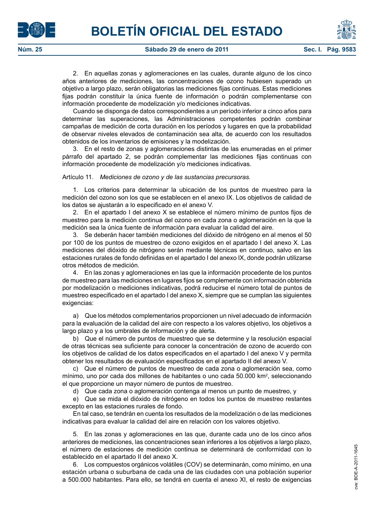

2. En aquellas zonas y aglomeraciones en las cuales, durante alguno de los cinco años anteriores de mediciones, las concentraciones de ozono hubiesen superado un objetivo a largo plazo, serán obligatorias las mediciones fijas continuas. Estas mediciones fijas podrán constituir la única fuente de información o podrán complementarse con información procedente de modelización y/o mediciones indicativas.

Cuando se disponga de datos correspondientes a un período inferior a cinco años para determinar las superaciones, las Administraciones competentes podrán combinar campañas de medición de corta duración en los períodos y lugares en que la probabilidad de observar niveles elevados de contaminación sea alta, de acuerdo con los resultados obtenidos de los inventarios de emisiones y la modelización.

3. En el resto de zonas y aglomeraciones distintas de las enumeradas en el primer párrafo del apartado 2, se podrán complementar las mediciones fijas continuas con información procedente de modelización y/o mediciones indicativas.

#### Artículo 11. *Mediciones de ozono y de las sustancias precursoras.*

1. Los criterios para determinar la ubicación de los puntos de muestreo para la medición del ozono son los que se establecen en el anexo IX. Los objetivos de calidad de los datos se ajustarán a lo especificado en el anexo V.

2. En el apartado I del anexo X se establece el número mínimo de puntos fijos de muestreo para la medición continua del ozono en cada zona o aglomeración en la que la medición sea la única fuente de información para evaluar la calidad del aire.

3. Se deberán hacer también mediciones del dióxido de nitrógeno en al menos el 50 por 100 de los puntos de muestreo de ozono exigidos en el apartado I del anexo X. Las mediciones del dióxido de nitrógeno serán mediante técnicas en continuo, salvo en las estaciones rurales de fondo definidas en el apartado I del anexo IX, donde podrán utilizarse otros métodos de medición.

4. En las zonas y aglomeraciones en las que la información procedente de los puntos de muestreo para las mediciones en lugares fijos se complemente con información obtenida por modelización o mediciones indicativas, podrá reducirse el número total de puntos de muestreo especificado en el apartado I del anexo X, siempre que se cumplan las siguientes exigencias:

a) Que los métodos complementarios proporcionen un nivel adecuado de información para la evaluación de la calidad del aire con respecto a los valores objetivo, los objetivos a largo plazo y a los umbrales de información y de alerta.

b) Que el número de puntos de muestreo que se determine y la resolución espacial de otras técnicas sea suficiente para conocer la concentración de ozono de acuerdo con los objetivos de calidad de los datos especificados en el apartado I del anexo V y permita obtener los resultados de evaluación especificados en el apartado II del anexo V.

c) Que el número de puntos de muestreo de cada zona o aglomeración sea, como mínimo, uno por cada dos millones de habitantes o uno cada 50.000 km2 , seleccionando el que proporcione un mayor número de puntos de muestreo.

d) Que cada zona o aglomeración contenga al menos un punto de muestreo, y

e) Que se mida el dióxido de nitrógeno en todos los puntos de muestreo restantes excepto en las estaciones rurales de fondo.

En tal caso, se tendrán en cuenta los resultados de la modelización o de las mediciones indicativas para evaluar la calidad del aire en relación con los valores objetivo.

5. En las zonas y aglomeraciones en las que, durante cada uno de los cinco años anteriores de mediciones, las concentraciones sean inferiores a los objetivos a largo plazo, el número de estaciones de medición continua se determinará de conformidad con lo establecido en el apartado II del anexo X.

6. Los compuestos orgánicos volátiles (COV) se determinarán, como mínimo, en una estación urbana o suburbana de cada una de las ciudades con una población superior a 500.000 habitantes. Para ello, se tendrá en cuenta el anexo XI, el resto de exigencias



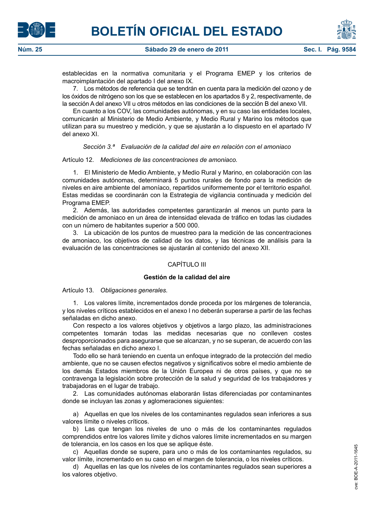



**Núm. 25 Sábado 29 de enero de 2011 Sec. I. Pág. 9584**

establecidas en la normativa comunitaria y el Programa EMEP y los criterios de macroimplantación del apartado I del anexo IX.

7. Los métodos de referencia que se tendrán en cuenta para la medición del ozono y de los óxidos de nitrógeno son los que se establecen en los apartados 8 y 2, respectivamente, de la sección A del anexo VII u otros métodos en las condiciones de la sección B del anexo VII.

En cuanto a los COV, las comunidades autónomas, y en su caso las entidades locales, comunicarán al Ministerio de Medio Ambiente, y Medio Rural y Marino los métodos que utilizan para su muestreo y medición, y que se ajustarán a lo dispuesto en el apartado IV del anexo XI.

*Sección 3.ª Evaluación de la calidad del aire en relación con el amoniaco*

Artículo 12. *Mediciones de las concentraciones de amoniaco.*

1. El Ministerio de Medio Ambiente, y Medio Rural y Marino, en colaboración con las comunidades autónomas, determinará 5 puntos rurales de fondo para la medición de niveles en aire ambiente del amoníaco, repartidos uniformemente por el territorio español. Estas medidas se coordinarán con la Estrategia de vigilancia continuada y medición del Programa EMEP.

2. Además, las autoridades competentes garantizarán al menos un punto para la medición de amoniaco en un área de intensidad elevada de tráfico en todas las ciudades con un número de habitantes superior a 500 000.

3. La ubicación de los puntos de muestreo para la medición de las concentraciones de amoniaco, los objetivos de calidad de los datos, y las técnicas de análisis para la evaluación de las concentraciones se ajustarán al contenido del anexo XII.

## CAPÍTULO III

## **Gestión de la calidad del aire**

Artículo 13. *Obligaciones generales.*

1. Los valores límite, incrementados donde proceda por los márgenes de tolerancia, y los niveles críticos establecidos en el anexo I no deberán superarse a partir de las fechas señaladas en dicho anexo.

Con respecto a los valores objetivos y objetivos a largo plazo, las administraciones competentes tomarán todas las medidas necesarias que no conlleven costes desproporcionados para asegurarse que se alcanzan, y no se superan, de acuerdo con las fechas señaladas en dicho anexo I.

Todo ello se hará teniendo en cuenta un enfoque integrado de la protección del medio ambiente, que no se causen efectos negativos y significativos sobre el medio ambiente de los demás Estados miembros de la Unión Europea ni de otros países, y que no se contravenga la legislación sobre protección de la salud y seguridad de los trabajadores y trabajadoras en el lugar de trabajo.

2. Las comunidades autónomas elaborarán listas diferenciadas por contaminantes donde se incluyan las zonas y aglomeraciones siguientes:

a) Aquellas en que los niveles de los contaminantes regulados sean inferiores a sus valores límite o niveles críticos.

b) Las que tengan los niveles de uno o más de los contaminantes regulados comprendidos entre los valores límite y dichos valores límite incrementados en su margen de tolerancia, en los casos en los que se aplique éste.

c) Aquellas donde se supere, para uno o más de los contaminantes regulados, su valor límite, incrementado en su caso en el margen de tolerancia, o los niveles críticos.

d) Aquellas en las que los niveles de los contaminantes regulados sean superiores a los valores objetivo.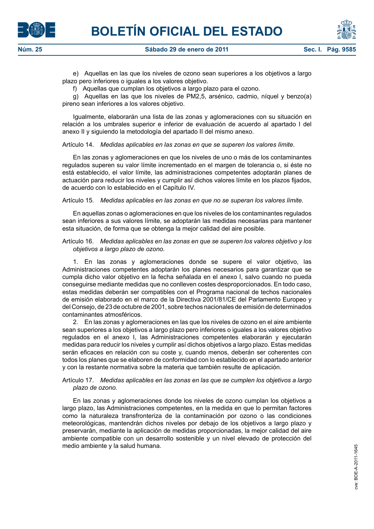



e) Aquellas en las que los niveles de ozono sean superiores a los objetivos a largo plazo pero inferiores o iguales a los valores objetivo.

f) Aquellas que cumplan los objetivos a largo plazo para el ozono.

g) Aquellas en las que los niveles de PM2,5, arsénico, cadmio, níquel y benzo(a) pireno sean inferiores a los valores objetivo.

Igualmente, elaborarán una lista de las zonas y aglomeraciones con su situación en relación a los umbrales superior e inferior de evaluación de acuerdo al apartado I del anexo II y siguiendo la metodología del apartado II del mismo anexo.

Artículo 14. *Medidas aplicables en las zonas en que se superen los valores límite.*

En las zonas y aglomeraciones en que los niveles de uno o más de los contaminantes regulados superen su valor límite incrementado en el margen de tolerancia o, si éste no está establecido, el valor límite, las administraciones competentes adoptarán planes de actuación para reducir los niveles y cumplir así dichos valores límite en los plazos fijados, de acuerdo con lo establecido en el Capítulo IV.

Artículo 15. *Medidas aplicables en las zonas en que no se superan los valores límite.*

En aquellas zonas o aglomeraciones en que los niveles de los contaminantes regulados sean inferiores a sus valores límite, se adoptarán las medidas necesarias para mantener esta situación, de forma que se obtenga la mejor calidad del aire posible.

Artículo 16. *Medidas aplicables en las zonas en que se superen los valores objetivo y los objetivos a largo plazo de ozono.*

1. En las zonas y aglomeraciones donde se supere el valor objetivo, las Administraciones competentes adoptarán los planes necesarios para garantizar que se cumpla dicho valor objetivo en la fecha señalada en el anexo I, salvo cuando no pueda conseguirse mediante medidas que no conlleven costes desproporcionados. En todo caso, estas medidas deberán ser compatibles con el Programa nacional de techos nacionales de emisión elaborado en el marco de la Directiva 2001/81/CE del Parlamento Europeo y del Consejo, de 23 de octubre de 2001, sobre techos nacionales de emisión de determinados contaminantes atmosféricos.

2. En las zonas y aglomeraciones en las que los niveles de ozono en el aire ambiente sean superiores a los objetivos a largo plazo pero inferiores o iguales a los valores objetivo regulados en el anexo I, las Administraciones competentes elaborarán y ejecutarán medidas para reducir los niveles y cumplir así dichos objetivos a largo plazo. Estas medidas serán eficaces en relación con su coste y, cuando menos, deberán ser coherentes con todos los planes que se elaboren de conformidad con lo establecido en el apartado anterior y con la restante normativa sobre la materia que también resulte de aplicación.

Artículo 17. *Medidas aplicables en las zonas en las que se cumplen los objetivos a largo plazo de ozono.*

En las zonas y aglomeraciones donde los niveles de ozono cumplan los objetivos a largo plazo, las Administraciones competentes, en la medida en que lo permitan factores como la naturaleza transfronteriza de la contaminación por ozono o las condiciones meteorológicas, mantendrán dichos niveles por debajo de los objetivos a largo plazo y preservarán, mediante la aplicación de medidas proporcionadas, la mejor calidad del aire ambiente compatible con un desarrollo sostenible y un nivel elevado de protección del medio ambiente y la salud humana.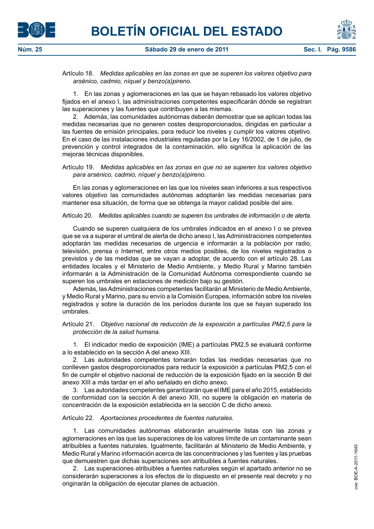

Artículo 18. *Medidas aplicables en las zonas en que se superen los valores objetivo para arsénico, cadmio, níquel y benzo(a)pireno.*

1. En las zonas y aglomeraciones en las que se hayan rebasado los valores objetivo fijados en el anexo I, las administraciones competentes especificarán dónde se registran las superaciones y las fuentes que contribuyen a las mismas.

2. Además, las comunidades autónomas deberán demostrar que se aplican todas las medidas necesarias que no generen costes desproporcionados, dirigidas en particular a las fuentes de emisión principales, para reducir los niveles y cumplir los valores objetivo. En el caso de las instalaciones industriales reguladas por la Ley 16/2002, de 1 de julio, de prevención y control integrados de la contaminación, ello significa la aplicación de las mejoras técnicas disponibles.

Artículo 19. *Medidas aplicables en las zonas en que no se superen los valores objetivo para arsénico, cadmio, níquel y benzo(a)pireno.*

En las zonas y aglomeraciones en las que los niveles sean inferiores a sus respectivos valores objetivo las comunidades autónomas adoptarán las medidas necesarias para mantener esa situación, de forma que se obtenga la mayor calidad posible del aire.

#### Artículo 20. *Medidas aplicables cuando se superen los umbrales de información o de alerta.*

Cuando se superen cualquiera de los umbrales indicados en el anexo I o se prevea que se va a superar el umbral de alerta de dicho anexo I, las Administraciones competentes adoptarán las medidas necesarias de urgencia e informarán a la población por radio, televisión, prensa o Internet, entre otros medios posibles, de los niveles registrados o previstos y de las medidas que se vayan a adoptar, de acuerdo con el artículo 28. Las entidades locales y el Ministerio de Medio Ambiente, y Medio Rural y Marino también informarán a la Administración de la Comunidad Autónoma correspondiente cuando se superen los umbrales en estaciones de medición bajo su gestión.

Además, las Administraciones competentes facilitarán al Ministerio de Medio Ambiente, y Medio Rural y Marino, para su envío a la Comisión Europea, información sobre los niveles registrados y sobre la duración de los períodos durante los que se hayan superado los umbrales.

Artículo 21. *Objetivo nacional de reducción de la exposición a partículas PM2,5 para la protección de la salud humana.*

1. El indicador medio de exposición (IME) a partículas PM2,5 se evaluará conforme a lo establecido en la sección A del anexo XIII.

2. Las autoridades competentes tomarán todas las medidas necesarias que no conlleven gastos desproporcionados para reducir la exposición a partículas PM2,5 con el fin de cumplir el objetivo nacional de reducción de la exposición fijado en la sección B del anexo XIII a más tardar en el año señalado en dicho anexo.

3. Las autoridades competentes garantizarán que el IME para el año 2015, establecido de conformidad con la sección A del anexo XIII, no supere la obligación en materia de concentración de la exposición establecida en la sección C de dicho anexo.

#### Artículo 22. *Aportaciones procedentes de fuentes naturales.*

1. Las comunidades autónomas elaborarán anualmente listas con las zonas y aglomeraciones en las que las superaciones de los valores límite de un contaminante sean atribuibles a fuentes naturales. Igualmente, facilitarán al Ministerio de Medio Ambiente, y Medio Rural y Marino información acerca de las concentraciones y las fuentes y las pruebas que demuestren que dichas superaciones son atribuibles a fuentes naturales.

2. Las superaciones atribuibles a fuentes naturales según el apartado anterior no se considerarán superaciones a los efectos de lo dispuesto en el presente real decreto y no originarán la obligación de ejecutar planes de actuación.

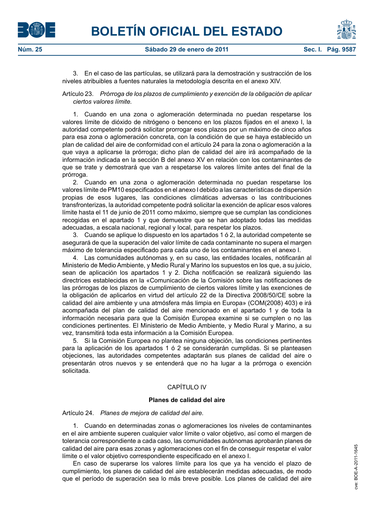

3. En el caso de las partículas, se utilizará para la demostración y sustracción de los niveles atribuibles a fuentes naturales la metodología descrita en el anexo XIV.

Artículo 23. *Prórroga de los plazos de cumplimiento y exención de la obligación de aplicar ciertos valores límite.*

1. Cuando en una zona o aglomeración determinada no puedan respetarse los valores límite de dióxido de nitrógeno o benceno en los plazos fijados en el anexo I, la autoridad competente podrá solicitar prorrogar esos plazos por un máximo de cinco años para esa zona o aglomeración concreta, con la condición de que se haya establecido un plan de calidad del aire de conformidad con el artículo 24 para la zona o aglomeración a la que vaya a aplicarse la prórroga; dicho plan de calidad del aire irá acompañado de la información indicada en la sección B del anexo XV en relación con los contaminantes de que se trate y demostrará que van a respetarse los valores límite antes del final de la prórroga.

2. Cuando en una zona o aglomeración determinada no puedan respetarse los valores límite de PM10 especificados en el anexo I debido a las características de dispersión propias de esos lugares, las condiciones climáticas adversas o las contribuciones transfronterizas, la autoridad competente podrá solicitar la exención de aplicar esos valores límite hasta el 11 de junio de 2011 como máximo, siempre que se cumplan las condiciones recogidas en el apartado 1 y que demuestre que se han adoptado todas las medidas adecuadas, a escala nacional, regional y local, para respetar los plazos.

3. Cuando se aplique lo dispuesto en los apartados 1 ó 2, la autoridad competente se asegurará de que la superación del valor límite de cada contaminante no supera el margen máximo de tolerancia especificado para cada uno de los contaminantes en el anexo I.

4. Las comunidades autónomas y, en su caso, las entidades locales, notificarán al Ministerio de Medio Ambiente, y Medio Rural y Marino los supuestos en los que, a su juicio, sean de aplicación los apartados 1 y 2. Dicha notificación se realizará siguiendo las directrices establecidas en la «Comunicación de la Comisión sobre las notificaciones de las prórrogas de los plazos de cumplimiento de ciertos valores límite y las exenciones de la obligación de aplicarlos en virtud del artículo 22 de la Directiva 2008/50/CE sobre la calidad del aire ambiente y una atmósfera más limpia en Europa» (COM(2008) 403) e irá acompañada del plan de calidad del aire mencionado en el apartado 1 y de toda la información necesaria para que la Comisión Europea examine si se cumplen o no las condiciones pertinentes. El Ministerio de Medio Ambiente, y Medio Rural y Marino, a su vez, transmitirá toda esta información a la Comisión Europea.

5. Si la Comisión Europea no plantea ninguna objeción, las condiciones pertinentes para la aplicación de los apartados 1 ó 2 se considerarán cumplidas. Si se planteasen objeciones, las autoridades competentes adaptarán sus planes de calidad del aire o presentarán otros nuevos y se entenderá que no ha lugar a la prórroga o exención solicitada.

## CAPÍTULO IV

#### **Planes de calidad del aire**

Artículo 24. *Planes de mejora de calidad del aire.*

1. Cuando en determinadas zonas o aglomeraciones los niveles de contaminantes en el aire ambiente superen cualquier valor límite o valor objetivo, así como el margen de tolerancia correspondiente a cada caso, las comunidades autónomas aprobarán planes de calidad del aire para esas zonas y aglomeraciones con el fin de conseguir respetar el valor límite o el valor objetivo correspondiente especificado en el anexo I.

En caso de superarse los valores límite para los que ya ha vencido el plazo de cumplimiento, los planes de calidad del aire establecerán medidas adecuadas, de modo que el período de superación sea lo más breve posible. Los planes de calidad del aire



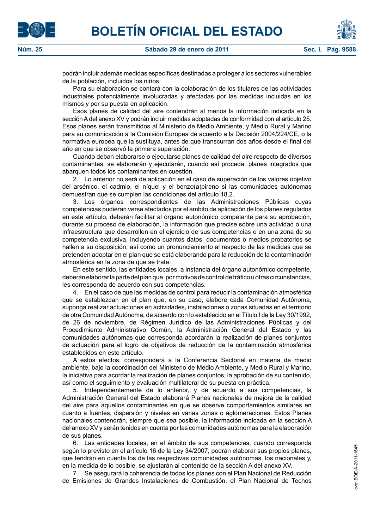





podrán incluir además medidas específicas destinadas a proteger a los sectores vulnerables de la población, incluidos los niños.

Para su elaboración se contará con la colaboración de los titulares de las actividades industriales potencialmente involucradas y afectadas por las medidas incluidas en los mismos y por su puesta en aplicación.

Esos planes de calidad del aire contendrán al menos la información indicada en la sección A del anexo XV y podrán incluir medidas adoptadas de conformidad con el artículo 25. Esos planes serán transmitidos al Ministerio de Medio Ambiente, y Medio Rural y Marino para su comunicación a la Comisión Europea de acuerdo a la Decisión 2004/224/CE, o la normativa europea que la sustituya, antes de que transcurran dos años desde el final del año en que se observó la primera superación.

Cuando deban elaborarse o ejecutarse planes de calidad del aire respecto de diversos contaminantes, se elaborarán y ejecutarán, cuando así proceda, planes integrados que abarquen todos los contaminantes en cuestión.

2. Lo anterior no será de aplicación en el caso de superación de los valores objetivo del arsénico, el cadmio, el níquel y el benzo(a)pireno si las comunidades autónomas demuestran que se cumplen las condiciones del artículo 18.2.

3. Los órganos correspondientes de las Administraciones Públicas cuyas competencias pudieran verse afectados por el ámbito de aplicación de los planes regulados en este artículo, deberán facilitar al órgano autonómico competente para su aprobación, durante su proceso de elaboración, la información que precise sobre una actividad o una infraestructura que desarrollen en el ejercicio de sus competencias o en una zona de su competencia exclusiva, incluyendo cuantos datos, documentos o medios probatorios se hallen a su disposición, así como un pronunciamiento al respecto de las medidas que se pretenden adoptar en el plan que se está elaborando para la reducción de la contaminación atmosférica en la zona de que se trate.

En este sentido, las entidades locales, a instancia del órgano autonómico competente, deberán elaborar la parte del plan que, por motivos de control de tráfico u otras circunstancias, les corresponda de acuerdo con sus competencias.

4. En el caso de que las medidas de control para reducir la contaminación atmosférica que se establezcan en el plan que, en su caso, elabore cada Comunidad Autónoma, suponga realizar actuaciones en actividades, instalaciones o zonas situadas en el territorio de otra Comunidad Autónoma, de acuerdo con lo establecido en el Título I de la Ley 30/1992, de 26 de noviembre, de Régimen Jurídico de las Administraciones Públicas y del Procedimiento Administrativo Común, la Administración General del Estado y las comunidades autónomas que corresponda acordarán la realización de planes conjuntos de actuación para el logro de objetivos de reducción de la contaminación atmosférica establecidos en este artículo.

A estos efectos, corresponderá a la Conferencia Sectorial en materia de medio ambiente, bajo la coordinación del Ministerio de Medio Ambiente, y Medio Rural y Marino, la iniciativa para acordar la realización de planes conjuntos, la aprobación de su contenido, así como el seguimiento y evaluación multilateral de su puesta en práctica.

5. Independientemente de lo anterior, y de acuerdo a sus competencias, la Administración General del Estado elaborará Planes nacionales de mejora de la calidad del aire para aquellos contaminantes en que se observe comportamientos similares en cuanto a fuentes, dispersión y niveles en varias zonas o aglomeraciones. Estos Planes nacionales contendrán, siempre que sea posible, la información indicada en la sección A del anexo XV y serán tenidos en cuenta por las comunidades autónomas para la elaboración de sus planes.

6. Las entidades locales, en el ámbito de sus competencias, cuando corresponda según lo previsto en el artículo 16 de la Ley 34/2007, podrán elaborar sus propios planes, que tendrán en cuenta los de las respectivas comunidades autónomas, los nacionales y, en la medida de lo posible, se ajustarán al contenido de la sección A del anexo XV.

7. Se asegurará la coherencia de todos los planes con el Plan Nacional de Reducción de Emisiones de Grandes Instalaciones de Combustión, el Plan Nacional de Techos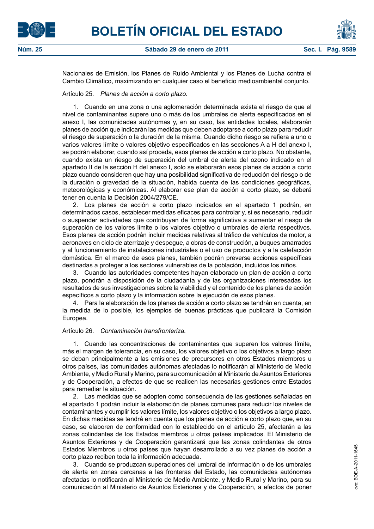



Nacionales de Emisión, los Planes de Ruido Ambiental y los Planes de Lucha contra el Cambio Climático, maximizando en cualquier caso el beneficio medioambiental conjunto.

#### Artículo 25. *Planes de acción a corto plazo.*

1. Cuando en una zona o una aglomeración determinada exista el riesgo de que el nivel de contaminantes supere uno o más de los umbrales de alerta especificados en el anexo I, las comunidades autónomas y, en su caso, las entidades locales, elaborarán planes de acción que indicarán las medidas que deben adoptarse a corto plazo para reducir el riesgo de superación o la duración de la misma. Cuando dicho riesgo se refiera a uno o varios valores límite o valores objetivo especificados en las secciones A a H del anexo I, se podrán elaborar, cuando así proceda, esos planes de acción a corto plazo. No obstante, cuando exista un riesgo de superación del umbral de alerta del ozono indicado en el apartado II de la sección H del anexo I, solo se elaborarán esos planes de acción a corto plazo cuando consideren que hay una posibilidad significativa de reducción del riesgo o de la duración o gravedad de la situación, habida cuenta de las condiciones geográficas, meteorológicas y económicas. Al elaborar ese plan de acción a corto plazo, se deberá tener en cuenta la Decisión 2004/279/CE.

2. Los planes de acción a corto plazo indicados en el apartado 1 podrán, en determinados casos, establecer medidas eficaces para controlar y, si es necesario, reducir o suspender actividades que contribuyan de forma significativa a aumentar el riesgo de superación de los valores límite o los valores objetivo o umbrales de alerta respectivos. Esos planes de acción podrán incluir medidas relativas al tráfico de vehículos de motor, a aeronaves en ciclo de aterrizaje y despegue, a obras de construcción, a buques amarrados y al funcionamiento de instalaciones industriales o el uso de productos y a la calefacción doméstica. En el marco de esos planes, también podrán preverse acciones específicas destinadas a proteger a los sectores vulnerables de la población, incluidos los niños.

3. Cuando las autoridades competentes hayan elaborado un plan de acción a corto plazo, pondrán a disposición de la ciudadanía y de las organizaciones interesadas los resultados de sus investigaciones sobre la viabilidad y el contenido de los planes de acción específicos a corto plazo y la información sobre la ejecución de esos planes.

4. Para la elaboración de los planes de acción a corto plazo se tendrán en cuenta, en la medida de lo posible, los ejemplos de buenas prácticas que publicará la Comisión Europea.

#### Artículo 26. *Contaminación transfronteriza.*

1. Cuando las concentraciones de contaminantes que superen los valores límite, más el margen de tolerancia, en su caso, los valores objetivo o los objetivos a largo plazo se deban principalmente a las emisiones de precursores en otros Estados miembros u otros países, las comunidades autónomas afectadas lo notificarán al Ministerio de Medio Ambiente, y Medio Rural y Marino, para su comunicación al Ministerio de Asuntos Exteriores y de Cooperación, a efectos de que se realicen las necesarias gestiones entre Estados para remediar la situación.

2. Las medidas que se adopten como consecuencia de las gestiones señaladas en el apartado 1 podrán incluir la elaboración de planes comunes para reducir los niveles de contaminantes y cumplir los valores límite, los valores objetivo o los objetivos a largo plazo. En dichas medidas se tendrá en cuenta que los planes de acción a corto plazo que, en su caso, se elaboren de conformidad con lo establecido en el artículo 25, afectarán a las zonas colindantes de los Estados miembros u otros países implicados. El Ministerio de Asuntos Exteriores y de Cooperación garantizará que las zonas colindantes de otros Estados Miembros u otros países que hayan desarrollado a su vez planes de acción a corto plazo reciben toda la información adecuada.

3. Cuando se produzcan superaciones del umbral de información o de los umbrales de alerta en zonas cercanas a las fronteras del Estado, las comunidades autónomas afectadas lo notificarán al Ministerio de Medio Ambiente, y Medio Rural y Marino, para su comunicación al Ministerio de Asuntos Exteriores y de Cooperación, a efectos de poner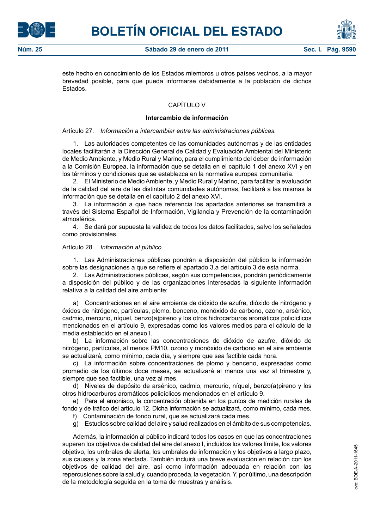



este hecho en conocimiento de los Estados miembros u otros países vecinos, a la mayor brevedad posible, para que pueda informarse debidamente a la población de dichos Estados.

## CAPÍTULO V

#### **Intercambio de información**

#### Artículo 27. *Información a intercambiar entre las administraciones públicas.*

1. Las autoridades competentes de las comunidades autónomas y de las entidades locales facilitarán a la Dirección General de Calidad y Evaluación Ambiental del Ministerio de Medio Ambiente, y Medio Rural y Marino, para el cumplimiento del deber de información a la Comisión Europea, la información que se detalla en el capítulo 1 del anexo XVI y en los términos y condiciones que se establezca en la normativa europea comunitaria.

2. El Ministerio de Medio Ambiente, y Medio Rural y Marino, para facilitar la evaluación de la calidad del aire de las distintas comunidades autónomas, facilitará a las mismas la información que se detalla en el capítulo 2 del anexo XVI.

3. La información a que hace referencia los apartados anteriores se transmitirá a través del Sistema Español de Información, Vigilancia y Prevención de la contaminación atmosférica.

4. Se dará por supuesta la validez de todos los datos facilitados, salvo los señalados como provisionales.

#### Artículo 28. *Información al público.*

1. Las Administraciones públicas pondrán a disposición del público la información sobre las designaciones a que se refiere el apartado 3.a del artículo 3 de esta norma.

2. Las Administraciones públicas, según sus competencias, pondrán periódicamente a disposición del público y de las organizaciones interesadas la siguiente información relativa a la calidad del aire ambiente:

a) Concentraciones en el aire ambiente de dióxido de azufre, dióxido de nitrógeno y óxidos de nitrógeno, partículas, plomo, benceno, monóxido de carbono, ozono, arsénico, cadmio, mercurio, níquel, benzo(a)pireno y los otros hidrocarburos aromáticos policíclicos mencionados en el artículo 9, expresadas como los valores medios para el cálculo de la media establecido en el anexo I.

b) La información sobre las concentraciones de dióxido de azufre, dióxido de nitrógeno, partículas, al menos PM10, ozono y monóxido de carbono en el aire ambiente se actualizará, como mínimo, cada día, y siempre que sea factible cada hora.

c) La información sobre concentraciones de plomo y benceno, expresadas como promedio de los últimos doce meses, se actualizará al menos una vez al trimestre y, siempre que sea factible, una vez al mes.

d) Niveles de depósito de arsénico, cadmio, mercurio, níquel, benzo(a)pireno y los otros hidrocarburos aromáticos policíclicos mencionados en el artículo 9.

e) Para el amoniaco, la concentración obtenida en los puntos de medición rurales de fondo y de tráfico del artículo 12. Dicha información se actualizará, como mínimo, cada mes. f) Contaminación de fondo rural, que se actualizará cada mes.

g) Estudios sobre calidad del aire y salud realizados en el ámbito de sus competencias.

Además, la información al público indicará todos los casos en que las concentraciones superen los objetivos de calidad del aire del anexo I, incluidos los valores límite, los valores objetivo, los umbrales de alerta, los umbrales de información y los objetivos a largo plazo, sus causas y la zona afectada. También incluirá una breve evaluación en relación con los objetivos de calidad del aire, así como información adecuada en relación con las repercusiones sobre la salud y, cuando proceda, la vegetación. Y, por último, una descripción de la metodología seguida en la toma de muestras y análisis.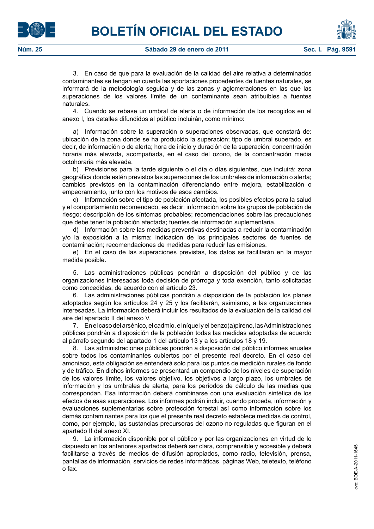3. En caso de que para la evaluación de la calidad del aire relativa a determinados contaminantes se tengan en cuenta las aportaciones procedentes de fuentes naturales, se informará de la metodología seguida y de las zonas y aglomeraciones en las que las superaciones de los valores límite de un contaminante sean atribuibles a fuentes naturales.

4. Cuando se rebase un umbral de alerta o de información de los recogidos en el anexo I, los detalles difundidos al público incluirán, como mínimo:

a) Información sobre la superación o superaciones observadas, que constará de: ubicación de la zona donde se ha producido la superación; tipo de umbral superado, es decir, de información o de alerta; hora de inicio y duración de la superación; concentración horaria más elevada, acompañada, en el caso del ozono, de la concentración media octohoraria más elevada.

b) Previsiones para la tarde siguiente o el día o días siguientes, que incluirá: zona geográfica donde estén previstos las superaciones de los umbrales de información o alerta; cambios previstos en la contaminación diferenciando entre mejora, estabilización o empeoramiento, junto con los motivos de esos cambios.

c) Información sobre el tipo de población afectada, los posibles efectos para la salud y el comportamiento recomendado, es decir: información sobre los grupos de población de riesgo; descripción de los síntomas probables; recomendaciones sobre las precauciones que debe tener la población afectada; fuentes de información suplementaria.

d) Información sobre las medidas preventivas destinadas a reducir la contaminación y/o la exposición a la misma: indicación de los principales sectores de fuentes de contaminación; recomendaciones de medidas para reducir las emisiones.

e) En el caso de las superaciones previstas, los datos se facilitarán en la mayor medida posible.

5. Las administraciones públicas pondrán a disposición del público y de las organizaciones interesadas toda decisión de prórroga y toda exención, tanto solicitadas como concedidas, de acuerdo con el artículo 23.

6. Las administraciones públicas pondrán a disposición de la población los planes adoptados según los artículos 24 y 25 y los facilitarán, asimismo, a las organizaciones interesadas. La información deberá incluir los resultados de la evaluación de la calidad del aire del apartado II del anexo V.

7. En el caso del arsénico, el cadmio, el níquel y el benzo(a)pireno, las Administraciones públicas pondrán a disposición de la población todas las medidas adoptadas de acuerdo al párrafo segundo del apartado 1 del artículo 13 y a los artículos 18 y 19.

8. Las administraciones públicas pondrán a disposición del público informes anuales sobre todos los contaminantes cubiertos por el presente real decreto. En el caso del amoniaco, esta obligación se entenderá solo para los puntos de medición rurales de fondo y de tráfico. En dichos informes se presentará un compendio de los niveles de superación de los valores límite, los valores objetivo, los objetivos a largo plazo, los umbrales de información y los umbrales de alerta, para los períodos de cálculo de las medias que correspondan. Esa información deberá combinarse con una evaluación sintética de los efectos de esas superaciones. Los informes podrán incluir, cuando proceda, información y evaluaciones suplementarias sobre protección forestal así como información sobre los demás contaminantes para los que el presente real decreto establece medidas de control, como, por ejemplo, las sustancias precursoras del ozono no reguladas que figuran en el apartado II del anexo XI.

9. La información disponible por el público y por las organizaciones en virtud de lo dispuesto en los anteriores apartados deberá ser clara, comprensible y accesible y deberá facilitarse a través de medios de difusión apropiados, como radio, televisión, prensa, pantallas de información, servicios de redes informáticas, páginas Web, teletexto, teléfono o fax.





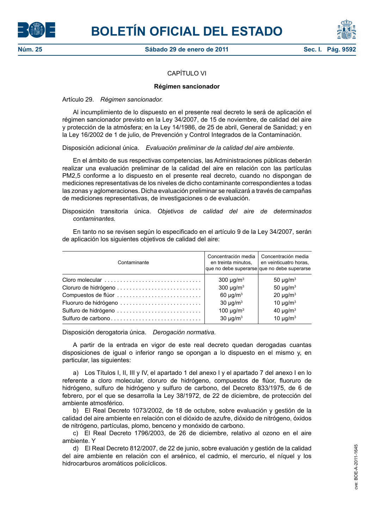



## CAPÍTULO VI

#### **Régimen sancionador**

#### Artículo 29. *Régimen sancionador.*

Al incumplimiento de lo dispuesto en el presente real decreto le será de aplicación el régimen sancionador previsto en la Ley 34/2007, de 15 de noviembre, de calidad del aire y protección de la atmósfera; en la Ley 14/1986, de 25 de abril, General de Sanidad; y en la Ley 16/2002 de 1 de julio, de Prevención y Control Integrados de la Contaminación.

Disposición adicional única. *Evaluación preliminar de la calidad del aire ambiente.*

En el ámbito de sus respectivas competencias, las Administraciones públicas deberán realizar una evaluación preliminar de la calidad del aire en relación con las partículas PM2,5 conforme a lo dispuesto en el presente real decreto, cuando no dispongan de mediciones representativas de los niveles de dicho contaminante correspondientes a todas las zonas y aglomeraciones. Dicha evaluación preliminar se realizará a través de campañas de mediciones representativas, de investigaciones o de evaluación.

#### Disposición transitoria única. *Objetivos de calidad del aire de determinados contaminantes.*

En tanto no se revisen según lo especificado en el artículo 9 de la Ley 34/2007, serán de aplicación los siguientes objetivos de calidad del aire:

| Contaminante        | Concentración media<br>en treinta minutos. | Concentración media<br>en veinticuatro horas,<br>que no debe superarse que no debe superarse |
|---------------------|--------------------------------------------|----------------------------------------------------------------------------------------------|
| Cloro molecular     | 300 $\mu$ g/m <sup>3</sup>                 | 50 $\mu$ g/m <sup>3</sup>                                                                    |
|                     | 300 $\mu$ g/m <sup>3</sup>                 | 50 $\mu$ g/m <sup>3</sup>                                                                    |
| Compuestos de flúor | $60 \mu g/m3$                              | $20 \mu g/m3$                                                                                |
|                     | 30 $\mu$ g/m <sup>3</sup>                  | 10 $\mu$ g/m <sup>3</sup>                                                                    |
|                     | 100 $\mu$ g/m <sup>3</sup>                 | 40 $\mu$ g/m <sup>3</sup>                                                                    |
|                     | $30 \mu g/m3$                              | 10 $\mu$ g/m <sup>3</sup>                                                                    |

Disposición derogatoria única. *Derogación normativa.*

A partir de la entrada en vigor de este real decreto quedan derogadas cuantas disposiciones de igual o inferior rango se opongan a lo dispuesto en el mismo y, en particular, las siguientes:

a) Los Títulos I, II, III y IV, el apartado 1 del anexo I y el apartado 7 del anexo I en lo referente a cloro molecular, cloruro de hidrógeno, compuestos de flúor, fluoruro de hidrógeno, sulfuro de hidrógeno y sulfuro de carbono, del Decreto 833/1975, de 6 de febrero, por el que se desarrolla la Ley 38/1972, de 22 de diciembre, de protección del ambiente atmosférico.

b) El Real Decreto 1073/2002, de 18 de octubre, sobre evaluación y gestión de la calidad del aire ambiente en relación con el dióxido de azufre, dióxido de nitrógeno, óxidos de nitrógeno, partículas, plomo, benceno y monóxido de carbono.

c) El Real Decreto 1796/2003, de 26 de diciembre, relativo al ozono en el aire ambiente. Y

d) El Real Decreto 812/2007, de 22 de junio, sobre evaluación y gestión de la calidad del aire ambiente en relación con el arsénico, el cadmio, el mercurio, el níquel y los hidrocarburos aromáticos policíclicos.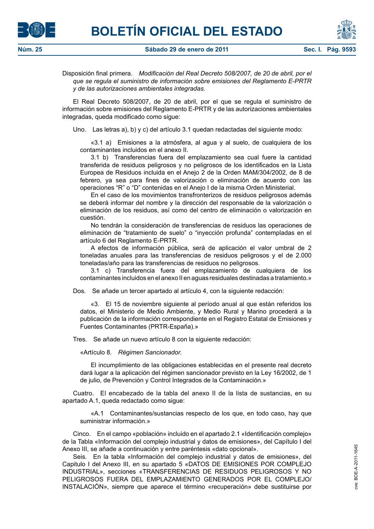



Disposición final primera. *Modificación del Real Decreto 508/2007, de 20 de abril, por el que se regula el suministro de información sobre emisiones del Reglamento E-PRTR y de las autorizaciones ambientales integradas.*

El Real Decreto 508/2007, de 20 de abril, por el que se regula el suministro de información sobre emisiones del Reglamento E-PRTR y de las autorizaciones ambientales integradas, queda modificado como sigue:

Uno. Las letras a), b) y c) del artículo 3.1 quedan redactadas del siguiente modo:

«3.1 a) Emisiones a la atmósfera, al agua y al suelo, de cualquiera de los contaminantes incluidos en el anexo II.

3.1 b) Transferencias fuera del emplazamiento sea cual fuere la cantidad transferida de residuos peligrosos y no peligrosos de los identificados en la Lista Europea de Residuos incluida en el Anejo 2 de la Orden MAM/304/2002, de 8 de febrero, ya sea para fines de valorización o eliminación de acuerdo con las operaciones "R" o "D" contenidas en el Anejo I de la misma Orden Ministerial.

En el caso de los movimientos transfronterizos de residuos peligrosos además se deberá informar del nombre y la dirección del responsable de la valorización o eliminación de los residuos, así como del centro de eliminación o valorización en cuestión.

No tendrán la consideración de transferencias de residuos las operaciones de eliminación de "tratamiento de suelo" o "inyección profunda" contempladas en el artículo 6 del Reglamento E-PRTR.

A efectos de información pública, será de aplicación el valor umbral de 2 toneladas anuales para las transferencias de residuos peligrosos y el de 2.000 toneladas/año para las transferencias de residuos no peligrosos.

3.1 c) Transferencia fuera del emplazamiento de cualquiera de los contaminantes incluidos en el anexo II en aguas residuales destinadas a tratamiento.»

Dos. Se añade un tercer apartado al artículo 4, con la siguiente redacción:

«3. El 15 de noviembre siguiente al período anual al que están referidos los datos, el Ministerio de Medio Ambiente, y Medio Rural y Marino procederá a la publicación de la información correspondiente en el Registro Estatal de Emisiones y Fuentes Contaminantes (PRTR-España).»

Tres. Se añade un nuevo artículo 8 con la siguiente redacción:

«Artículo 8. *Régimen Sancionador.*

El incumplimiento de las obligaciones establecidas en el presente real decreto dará lugar a la aplicación del régimen sancionador previsto en la Ley 16/2002, de 1 de julio, de Prevención y Control Integrados de la Contaminación.»

Cuatro. El encabezado de la tabla del anexo II de la lista de sustancias, en su apartado A.1, queda redactado como sigue:

«A.1 Contaminantes/sustancias respecto de los que, en todo caso, hay que suministrar información.»

Cinco. En el campo «población» incluido en el apartado 2.1 «Identificación complejo» de la Tabla «Información del complejo industrial y datos de emisiones», del Capítulo I del Anexo III, se añade a continuación y entre paréntesis «dato opcional».

Seis. En la tabla «Información del complejo industrial y datos de emisiones», del Capitulo I del Anexo III, en su apartado 5 «DATOS DE EMISIONES POR COMPLEJO INDUSTRIAL», secciones «TRANSFERENCIAS DE RESIDUOS PELIGROSOS Y NO PELIGROSOS FUERA DEL EMPLAZAMIENTO GENERADOS POR EL COMPLEJO/ INSTALACIÓN», siempre que aparece el término «recuperación» debe sustituirse por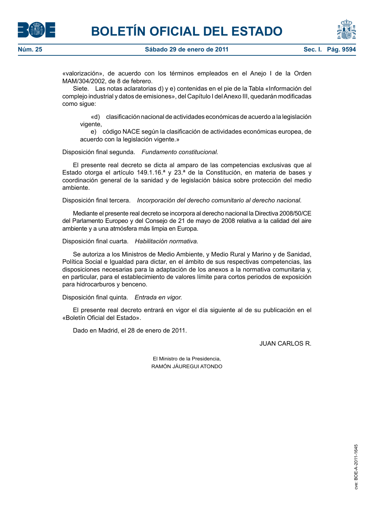



«valorización», de acuerdo con los términos empleados en el Anejo I de la Orden MAM/304/2002, de 8 de febrero.

Siete. Las notas aclaratorias d) y e) contenidas en el pie de la Tabla «Información del complejo industrial y datos de emisiones», del Capítulo I del Anexo III, quedarán modificadas como sigue:

«d) clasificación nacional de actividades económicas de acuerdo a la legislación vigente,

e) código NACE según la clasificación de actividades económicas europea, de acuerdo con la legislación vigente.»

Disposición final segunda. *Fundamento constitucional.*

El presente real decreto se dicta al amparo de las competencias exclusivas que al Estado otorga el artículo 149.1.16.ª y 23.ª de la Constitución, en materia de bases y coordinación general de la sanidad y de legislación básica sobre protección del medio ambiente.

Disposición final tercera. *Incorporación del derecho comunitario al derecho nacional.*

Mediante el presente real decreto se incorpora al derecho nacional la Directiva 2008/50/CE del Parlamento Europeo y del Consejo de 21 de mayo de 2008 relativa a la calidad del aire ambiente y a una atmósfera más limpia en Europa.

Disposición final cuarta. *Habilitación normativa.*

Se autoriza a los Ministros de Medio Ambiente, y Medio Rural y Marino y de Sanidad, Política Social e Igualdad para dictar, en el ámbito de sus respectivas competencias, las disposiciones necesarias para la adaptación de los anexos a la normativa comunitaria y, en particular, para el establecimiento de valores límite para cortos periodos de exposición para hidrocarburos y benceno.

Disposición final quinta. *Entrada en vigor.*

El presente real decreto entrará en vigor el día siguiente al de su publicación en el «Boletín Oficial del Estado».

Dado en Madrid, el 28 de enero de 2011.

JUAN CARLOS R.

El Ministro de la Presidencia, RAMÓN JÁUREGUI ATONDO

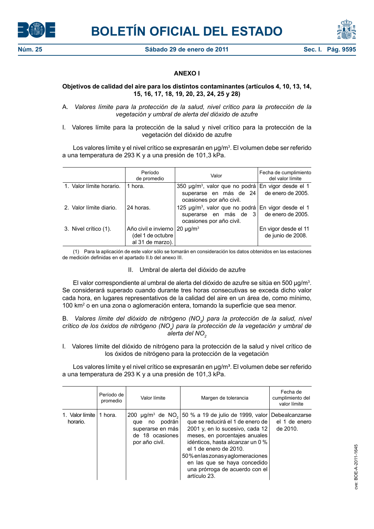



## **ANEXO I**

## **Objetivos de calidad del aire para los distintos contaminantes (artículos 4, 10, 13, 14, 15, 16, 17, 18, 19, 20, 23, 24, 25 y 28)**

A. *Valores límite para la protección de la salud, nivel crítico para la protección de la vegetación y umbral de alerta del dióxido de azufre*

I. Valores límite para la protección de la salud y nivel crítico para la protección de la vegetación del dióxido de azufre

Los valores límite y el nivel crítico se expresarán en µg/m<sup>3</sup>. El volumen debe ser referido a una temperatura de 293 K y a una presión de 101,3 kPa.

|                          | Período<br>de promedio                                                          | Valor                                                                                                                | Fecha de cumplimiento<br>del valor límite |
|--------------------------|---------------------------------------------------------------------------------|----------------------------------------------------------------------------------------------------------------------|-------------------------------------------|
| 1. Valor límite horario. | 1 hora.                                                                         | 350 µg/m <sup>3</sup> , valor que no podrá En vigor desde el 1<br>superarse en más de 24<br>ocasiones por año civil. | de enero de 2005.                         |
| 2. Valor límite diario.  | 24 horas.                                                                       | 125 µg/m <sup>3</sup> , valor que no podrá En vigor desde el 1<br>superarse en más de 3<br>ocasiones por año civil.  | de enero de 2005.                         |
| 3. Nivel crítico (1).    | Año civil e invierno $20 \mu g/m3$<br>(del 1 de octubre $ $<br>al 31 de marzo). |                                                                                                                      | En vigor desde el 11<br>de junio de 2008. |

(1) Para la aplicación de este valor sólo se tomarán en consideración los datos obtenidos en las estaciones de medición definidas en el apartado II.b del anexo III.

II. Umbral de alerta del dióxido de azufre

El valor correspondiente al umbral de alerta del dióxido de azufre se sitúa en 500  $\mu$ g/m<sup>3</sup>. Se considerará superado cuando durante tres horas consecutivas se exceda dicho valor cada hora, en lugares representativos de la calidad del aire en un área de, como mínimo, 100 km2 o en una zona o aglomeración entera, tomando la superficie que sea menor.

B. Valores límite del dióxido de nitrógeno (NO<sub>2</sub>) para la protección de la salud, nivel crítico de los óxidos de nitrógeno (NO<sub>x</sub>) para la protección de la vegetación y umbral de *alerta del NO*<sub>2</sub>

I. Valores límite del dióxido de nitrógeno para la protección de la salud y nivel crítico de los óxidos de nitrógeno para la protección de la vegetación

Los valores límite y el nivel crítico se expresarán en µg/m<sup>3</sup>. El volumen debe ser referido a una temperatura de 293 K y a una presión de 101,3 kPa.

|                             | Período de<br>promedio | Valor límite                                                                                                               | Margen de tolerancia                                                                                                                                                                                                                                                                                                             | Fecha de<br>cumplimiento del<br>valor límite |
|-----------------------------|------------------------|----------------------------------------------------------------------------------------------------------------------------|----------------------------------------------------------------------------------------------------------------------------------------------------------------------------------------------------------------------------------------------------------------------------------------------------------------------------------|----------------------------------------------|
| 1. Valor límite<br>horario. | 1 hora.                | 200 $\mu$ g/m <sup>3</sup> de NO <sub>2</sub><br>podrán<br>que no<br>superarse en más<br>de 18 ocasiones<br>por año civil. | 50 % a 19 de julio de 1999, valor<br>que se reducirá el 1 de enero de l<br>2001 y, en lo sucesivo, cada 12<br>meses, en porcentajes anuales<br>idénticos, hasta alcanzar un 0 %<br>el 1 de enero de 2010.<br>50% en las zonas y aglomeraciones<br>en las que se haya concedido<br>una prórroga de acuerdo con el<br>artículo 23. | Debealcanzarse<br>el 1 de enero<br>de 2010.  |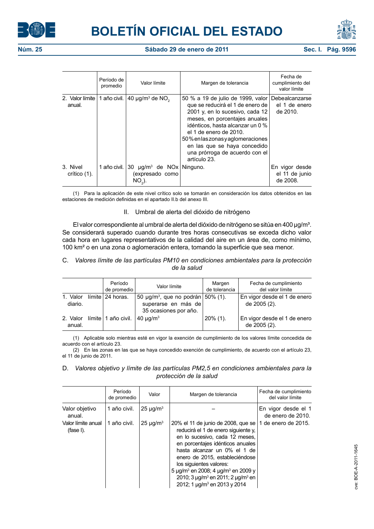





|                             | Período de<br>promedio | Valor límite                                                          | Margen de tolerancia                                                                                                                                                                                                                                                                                                                            | Fecha de<br>cumplimiento del<br>valor límite |
|-----------------------------|------------------------|-----------------------------------------------------------------------|-------------------------------------------------------------------------------------------------------------------------------------------------------------------------------------------------------------------------------------------------------------------------------------------------------------------------------------------------|----------------------------------------------|
| 2. Valor límite l<br>anual. | 1 año civil.           | 40 $\mu$ g/m <sup>3</sup> de NO <sub>2</sub>                          | 50 % a 19 de julio de 1999, valor Debealcanzarse<br>que se reducirá el 1 de enero de  <br>2001 y, en lo sucesivo, cada 12<br>meses, en porcentajes anuales<br>idénticos, hasta alcanzar un 0 %<br>el 1 de enero de 2010.<br>50% en las zonas y aglomeraciones<br>en las que se haya concedido<br>una prórroga de acuerdo con el<br>artículo 23. | el 1 de enero<br>de 2010.                    |
| 3. Nivel<br>crítico $(1)$ . | 1 año civil.           | 30 µg/m <sup>3</sup> de NOx   Ninguno.<br>(expresado como<br>$NO2$ ). |                                                                                                                                                                                                                                                                                                                                                 | En vigor desde<br>el 11 de junio<br>de 2008. |

(1) Para la aplicación de este nivel crítico solo se tomarán en consideración los datos obtenidos en las estaciones de medición definidas en el apartado II.b del anexo III.

#### II. Umbral de alerta del dióxido de nitrógeno

El valor correspondiente al umbral de alerta del dióxido de nitrógeno se sitúa en 400 µg/m<sup>3</sup>. Se considerará superado cuando durante tres horas consecutivas se exceda dicho valor cada hora en lugares representativos de la calidad del aire en un área de, como mínimo, 100 km² o en una zona o aglomeración entera, tomando la superficie que sea menor.

#### C. *Valores límite de las partículas PM10 en condiciones ambientales para la protección de la salud*

|                     | Período<br>de promedio | Valor límite                                                                                  | Margen<br>de tolerancia | Fecha de cumplimiento<br>del valor límite    |
|---------------------|------------------------|-----------------------------------------------------------------------------------------------|-------------------------|----------------------------------------------|
| 1. Valor<br>diario. | límite   24 horas.     | 50 µg/m <sup>3</sup> , que no podrán 50% (1).<br>superarse en más de<br>35 ocasiones por año. |                         | En vigor desde el 1 de enero<br>de 2005 (2). |
| 2. Valor<br>anual.  | límite   1 año civil.  | 40 $\mu$ g/m <sup>3</sup>                                                                     | $20\%$ (1).             | En vigor desde el 1 de enero<br>de 2005 (2). |

(1) Aplicable solo mientras esté en vigor la exención de cumplimiento de los valores límite concedida de acuerdo con el artículo 23.

(2) En las zonas en las que se haya concedido exención de cumplimiento, de acuerdo con el artículo 23, el 11 de junio de 2011.

D. *Valores objetivo y límite de las partículas PM2,5 en condiciones ambientales para la protección de la salud*

|                                    | Período<br>de promedio | Valor          | Margen de tolerancia                                                                                                                                                                                                                                                                                                                                                                              | Fecha de cumplimiento<br>del valor límite |
|------------------------------------|------------------------|----------------|---------------------------------------------------------------------------------------------------------------------------------------------------------------------------------------------------------------------------------------------------------------------------------------------------------------------------------------------------------------------------------------------------|-------------------------------------------|
| Valor objetivo<br>anual.           | 1 año civil.           | $25 \mu q/m^3$ |                                                                                                                                                                                                                                                                                                                                                                                                   | En vigor desde el 1<br>de enero de 2010.  |
| Valor límite anual<br>$(fase I)$ . | 1 año civil.           | $25 \mu g/m3$  | 20% el 11 de junio de 2008, que se<br>reducirá el 1 de enero siguiente y.<br>en lo sucesivo, cada 12 meses,<br>en porcentajes idénticos anuales<br>hasta alcanzar un 0% el 1 de<br>enero de 2015, estableciéndose<br>los siguientes valores:<br>5 µg/m <sup>3</sup> en 2008; 4 µg/m <sup>3</sup> en 2009 y<br>2010; 3 $\mu q/m^3$ en 2011; 2 $\mu q/m^3$ en<br>2012; 1 $\mu q/m^3$ en 2013 y 2014 | 1 de enero de 2015.                       |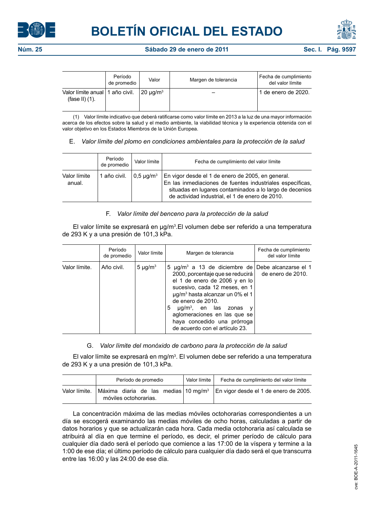



|                                                        | Período<br>de promedio | Valor          | Margen de tolerancia | Fecha de cumplimiento<br>del valor límite |
|--------------------------------------------------------|------------------------|----------------|----------------------|-------------------------------------------|
| Valor límite anual   1 año civil.<br>(fase II) $(1)$ . |                        | $20 \mu q/m^3$ |                      | 1 de enero de 2020.                       |

(1) Valor límite indicativo que deberá ratificarse como valor límite en 2013 a la luz de una mayor información acerca de los efectos sobre la salud y el medio ambiente, la viabilidad técnica y la experiencia obtenida con el valor objetivo en los Estados Miembros de la Unión Europea.

E. *Valor límite del plomo en condiciones ambientales para la protección de la salud*

|                        | Período<br>de promedio | Valor límite                  | Fecha de cumplimiento del valor límite                                                                                                                                                                                       |
|------------------------|------------------------|-------------------------------|------------------------------------------------------------------------------------------------------------------------------------------------------------------------------------------------------------------------------|
| Valor límite<br>anual. | 1 año civil.           | $\log 5 \mu$ g/m <sup>3</sup> | En vigor desde el 1 de enero de 2005, en general.<br>En las inmediaciones de fuentes industriales específicas,<br>situadas en lugares contaminados a lo largo de decenios<br>de actividad industrial, el 1 de enero de 2010. |

## F. *Valor límite del benceno para la protección de la salud*

El valor límite se expresará en  $\mu$ g/m<sup>3</sup>. El volumen debe ser referido a una temperatura de 293 K y a una presión de 101,3 kPa.

|               | Período<br>de promedio | Valor límite             | Margen de tolerancia                                                                                                                                                                                                                                                                                                                                                                                                 | Fecha de cumplimiento<br>del valor límite |
|---------------|------------------------|--------------------------|----------------------------------------------------------------------------------------------------------------------------------------------------------------------------------------------------------------------------------------------------------------------------------------------------------------------------------------------------------------------------------------------------------------------|-------------------------------------------|
| Valor límite. | Año civil.             | 5 $\mu$ g/m <sup>3</sup> | 5 $\mu$ g/m <sup>3</sup> a 13 de diciembre de Debe alcanzarse el 1<br>2000, porcentaje que se reducirá   de enero de 2010.<br>el 1 de enero de 2006 y en lo<br>sucesivo, cada 12 meses, en 1<br>µg/m <sup>3</sup> hasta alcanzar un 0% el 1<br>de enero de 2010.<br>5<br>$\mu q/m^3$ , en las zonas<br>$\mathsf{V}$<br>aglomeraciones en las que se<br>haya concedido una prórroga<br>de acuerdo con el artículo 23. |                                           |

## G. *Valor límite del monóxido de carbono para la protección de la salud*

El valor límite se expresará en mg/m<sup>3</sup>. El volumen debe ser referido a una temperatura de 293 K y a una presión de 101,3 kPa.

|               | Período de promedio   |  |  |  |  | Valor límite                                     | Fecha de cumplimiento del valor límite |
|---------------|-----------------------|--|--|--|--|--------------------------------------------------|----------------------------------------|
| Valor límite. | móviles octohorarias. |  |  |  |  | Máxima diaria de las medias 10 mg/m <sup>3</sup> | En vigor desde el 1 de enero de 2005.  |

La concentración máxima de las medias móviles octohorarias correspondientes a un día se escogerá examinando las medias móviles de ocho horas, calculadas a partir de datos horarios y que se actualizarán cada hora. Cada media octohoraria así calculada se atribuirá al día en que termine el período, es decir, el primer período de cálculo para cualquier día dado será el período que comience a las 17:00 de la víspera y termine a la 1:00 de ese día; el último período de cálculo para cualquier día dado será el que transcurra entre las 16:00 y las 24:00 de ese día.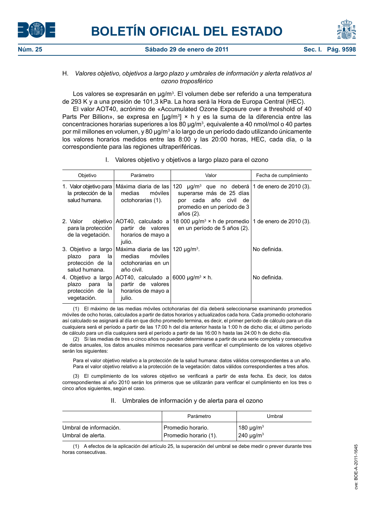



#### **Núm. 25 Sábado 29 de enero de 2011 Sec. I. Pág. 9598**

## H. *Valores objetivo, objetivos a largo plazo y umbrales de información y alerta relativos al ozono troposférico*

Los valores se expresarán en µg/m<sup>3</sup>. El volumen debe ser referido a una temperatura de 293 K y a una presión de 101,3 kPa. La hora será la Hora de Europa Central (HEC).

El valor AOT40, acrónimo de «Accumulated Ozone Exposure over a threshold of 40 Parts Per Billion», se expresa en [µg/m<sup>3</sup>] × h y es la suma de la diferencia entre las concentraciones horarias superiores a los 80  $\mu$ g/m $^3$ , equivalente a 40 nmol/mol o 40 partes por mil millones en volumen, y 80 µg/m<sup>3</sup> a lo largo de un período dado utilizando únicamente los valores horarios medidos entre las 8:00 y las 20:00 horas, HEC, cada día, o la correspondiente para las regiones ultraperiféricas.

| Objetivo                                              | Parámetro                                                                                                                                  | Valor                                                                                                                                                               | Fecha de cumplimiento |
|-------------------------------------------------------|--------------------------------------------------------------------------------------------------------------------------------------------|---------------------------------------------------------------------------------------------------------------------------------------------------------------------|-----------------------|
| la protección de la $ $<br>salud humana.              | 1. Valor objetivo para   Máxima diaria de las  <br>medias<br>móviles l<br>octohorarias (1).                                                | 120 $\mu$ g/m <sup>3</sup> que no deberá   1 de enero de 2010 (3).<br>superarse más de 25 días<br>por cada año civil de<br>promedio en un período de 3<br>años (2). |                       |
| 2. Valor<br>de la vegetación.                         | objetivo   AOT40, calculado a  <br>para la protección   partir de valores  <br>horarios de mayo a<br>julio.                                | 18 000 $\mu$ g/m <sup>3</sup> × h de promedio   1 de enero de 2010 (3).<br>en un período de 5 años (2).                                                             |                       |
| plazo para la<br>salud humana.                        | 3. Objetivo a largo Máxima diaria de las 120 µg/m <sup>3</sup> .<br>medias<br>móviles<br>protección de la octohorarias en un<br>año civil. |                                                                                                                                                                     | No definida.          |
| plazo para<br>la l<br>protección de la<br>vegetación. | 4. Objetivo a largo AOT40, calculado a 6000 µg/m <sup>3</sup> × h.<br>partir de valores<br>horarios de mayo a<br>julio.                    |                                                                                                                                                                     | No definida.          |

I. Valores objetivo y objetivos a largo plazo para el ozono

(1) El máximo de las medias móviles octohorarias del día deberá seleccionarse examinando promedios móviles de ocho horas, calculados a partir de datos horarios y actualizados cada hora. Cada promedio octohorario así calculado se asignará al día en que dicho promedio termina, es decir, el primer período de cálculo para un día cualquiera será el período a partir de las 17:00 h del día anterior hasta la 1:00 h de dicho día; el último período de cálculo para un día cualquiera será el período a partir de las 16:00 h hasta las 24:00 h de dicho día.

(2) Si las medias de tres o cinco años no pueden determinarse a partir de una serie completa y consecutiva de datos anuales, los datos anuales mínimos necesarios para verificar el cumplimiento de los valores objetivo serán los siguientes:

Para el valor objetivo relativo a la protección de la salud humana: datos válidos correspondientes a un año. Para el valor objetivo relativo a la protección de la vegetación: datos válidos correspondientes a tres años.

(3) El cumplimiento de los valores objetivo se verificará a partir de esta fecha. Es decir, los datos correspondientes al año 2010 serán los primeros que se utilizarán para verificar el cumplimiento en los tres o cinco años siguientes, según el caso.

#### II. Umbrales de información y de alerta para el ozono

|                        | Parámetro             | Umbral         |
|------------------------|-----------------------|----------------|
| Umbral de información. | Promedio horario.     | $180 \mu g/m3$ |
| Umbral de alerta.      | Promedio horario (1). | $240 \mu g/m3$ |

(1) A efectos de la aplicación del artículo 25, la superación del umbral se debe medir o prever durante tres horas consecutivas.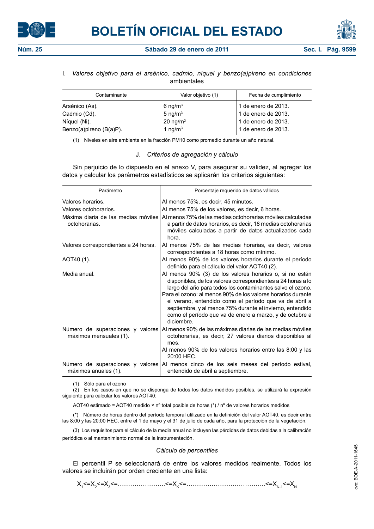



# I. *Valores objetivo para el arsénico, cadmio, níquel y benzo(a)pireno en condiciones*

ambientales

| Contaminante                | Valor objetivo (1)     | Fecha de cumplimiento |
|-----------------------------|------------------------|-----------------------|
| Arsénico (As).              | $6 \text{ nq/m}^3$     | 1 de enero de 2013.   |
| Cadmio (Cd).                | 5 ng/ $m3$             | 1 de enero de 2013.   |
| Níquel (Ni).                | $20$ ng/m <sup>3</sup> | 1 de enero de 2013.   |
| Benzo(a) pireno $(B(a)P)$ . | 1 ng/ $m3$             | 1 de enero de 2013.   |

(1) Niveles en aire ambiente en la fracción PM10 como promedio durante un año natural.

#### J. *Criterios de agregación y cálculo*

Sin perjuicio de lo dispuesto en el anexo V, para asegurar su validez, al agregar los datos y calcular los parámetros estadísticos se aplicarán los criterios siguientes:

| Parámetro                                                                                          | Porcentaje requerido de datos válidos                                                                                                                                                                                                                                                                                                                                                                                                                |
|----------------------------------------------------------------------------------------------------|------------------------------------------------------------------------------------------------------------------------------------------------------------------------------------------------------------------------------------------------------------------------------------------------------------------------------------------------------------------------------------------------------------------------------------------------------|
| Valores horarios.<br>Valores octohorarios.<br>Máxima diaria de las medias móviles<br>octohorarias. | Al menos 75%, es decir, 45 minutos.<br>Al menos 75% de los valores, es decir, 6 horas.<br>Al menos 75% de las medias octohorarias móviles calculadas<br>a partir de datos horarios, es decir, 18 medias octohorarias<br>móviles calculadas a partir de datos actualizados cada<br>hora.                                                                                                                                                              |
| Valores correspondientes a 24 horas.                                                               | Al menos 75% de las medias horarias, es decir, valores<br>correspondientes a 18 horas como mínimo.                                                                                                                                                                                                                                                                                                                                                   |
| AOT40 (1).                                                                                         | Al menos 90% de los valores horarios durante el período<br>definido para el cálculo del valor AOT40 (2).                                                                                                                                                                                                                                                                                                                                             |
| Media anual.                                                                                       | Al menos 90% (3) de los valores horarios o, si no están<br>disponibles, de los valores correspondientes a 24 horas a lo<br>largo del año para todos los contaminantes salvo el ozono.<br>Para el ozono: al menos 90% de los valores horarios durante<br>el verano, entendido como el período que va de abril a<br>septiembre, y al menos 75% durante el invierno, entendido<br>como el período que va de enero a marzo, y de octubre a<br>diciembre. |
| Número de superaciones y valores<br>máximos mensuales (1).                                         | Al menos 90% de las máximas diarias de las medias móviles<br>octohorarias, es decir, 27 valores diarios disponibles al<br>mes.<br>Al menos 90% de los valores horarios entre las 8:00 y las<br>20:00 HEC.                                                                                                                                                                                                                                            |
| Número de superaciones y valores<br>máximos anuales (1).                                           | Al menos cinco de los seis meses del período estival,<br>entendido de abril a septiembre.                                                                                                                                                                                                                                                                                                                                                            |

(1) Sólo para el ozono

(2) En los casos en que no se disponga de todos los datos medidos posibles, se utilizará la expresión siguiente para calcular los valores AOT40:

AOT40 estimado = AOT40 medido × nº total posible de horas ( $*$ ) / nº de valores horarios medidos

(\*) Número de horas dentro del período temporal utilizado en la definición del valor AOT40, es decir entre las 8:00 y las 20:00 HEC, entre el 1 de mayo y el 31 de julio de cada año, para la protección de la vegetación.

(3) Los requisitos para el cálculo de la media anual no incluyen las pérdidas de datos debidas a la calibración periódica o al mantenimiento normal de la instrumentación.

#### *Cálculo de percentiles*

El percentil P se seleccionará de entre los valores medidos realmente. Todos los valores se incluirán por orden creciente en una lista:

X1 <=X2 <=X3 <=…………………..<=XK<=………………………………..<=XN-1<=XN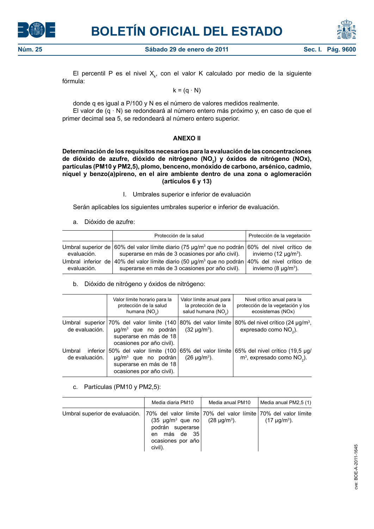



**Núm. 25 Sábado 29 de enero de 2011 Sec. I. Pág. 96 Sec. I. Pág. 96** 

El percentil P es el nivel  $X_{k}$ , con el valor K calculado por medio de la siguiente fórmula:

 $k = (q \cdot N)$ 

donde q es igual a P/100 y N es el número de valores medidos realmente. El valor de  $(q \cdot N)$  se redondeará al número entero más próximo y, en caso de que el primer decimal sea 5, se redondeará al número entero superior.

## **ANEXO II**

**Determinación de los requisitos necesarios para la evaluación de las concentraciones**  de dióxido de azufre, dióxido de nitrógeno (NO<sub>2</sub>) y óxidos de nitrógeno (NOx), **partículas (PM10 y PM2,5), plomo, benceno, monóxido de carbono, arsénico, cadmio, níquel y benzo(a)pireno, en el aire ambiente dentro de una zona o aglomeración (artículos 6 y 13)**

I. Umbrales superior e inferior de evaluación

Serán aplicables los siguientes umbrales superior e inferior de evaluación.

a. Dióxido de azufre:

|                                   | Protección de la salud                                                                                                                                         | Protección de la vegetación                                       |
|-----------------------------------|----------------------------------------------------------------------------------------------------------------------------------------------------------------|-------------------------------------------------------------------|
| evaluación.                       | Umbral superior de 60% del valor límite diario (75 µg/m <sup>3</sup> que no podrán 60% del nivel crítico de<br>superarse en más de 3 ocasiones por año civil). | invierno (12 $\mu$ g/m <sup>3</sup> ).                            |
| Umbral inferior de<br>evaluación. | 40% del valor límite diario (50 µg/m <sup>3</sup> que no podrán<br>superarse en más de 3 ocasiones por año civil).                                             | 40% del nivel crítico de<br>invierno (8 $\mu$ g/m <sup>3</sup> ). |

b. Dióxido de nitrógeno y óxidos de nitrógeno:

|                                      | Valor límite horario para la<br>protección de la salud<br>humana $(NO2)$                                                                                            | Valor límite anual para<br>la protección de la<br>salud humana (NO <sub>2</sub> ) | Nivel crítico anual para la<br>protección de la vegetación y los<br>ecosistemas (NOx) |
|--------------------------------------|---------------------------------------------------------------------------------------------------------------------------------------------------------------------|-----------------------------------------------------------------------------------|---------------------------------------------------------------------------------------|
| de evaluación.                       | Umbral superior $70\%$ del valor límite $(140)80\%$ del valor límite<br>$\mu$ g/m <sup>3</sup> que no podrán<br>superarse en más de 18<br>ocasiones por año civil). | $(32 \mu g/m^3)$ .                                                                | 80% del nivel crítico (24 µg/m <sup>3</sup> ,<br>expresado como NO <sub>2</sub> ).    |
| Umbral<br>inferior<br>de evaluación. | 50% del valor límite (100<br>$\mu$ g/m <sup>3</sup> que no podrán<br>superarse en más de 18<br>ocasiones por año civil).                                            | 65% del valor límite<br>$(26 \text{ µg/m}^3)$ .                                   | 65% del nivel crítico (19,5 µg/<br>$m3$ , expresado como NO <sub>2</sub> ).           |

c. Partículas (PM10 y PM2,5):

|                                                                                                     | Media diaria PM10                                                                                                                  | Media anual PM10 | Media anual PM2,5 (1) |
|-----------------------------------------------------------------------------------------------------|------------------------------------------------------------------------------------------------------------------------------------|------------------|-----------------------|
| Umbral superior de evaluación.   70% del valor límite   70% del valor límite   70% del valor límite | $(35 \text{ µg/m}^3 \text{ que no}$ $(28 \text{ µg/m}^3)$ .<br>podrán superarse<br>más de 35<br>en<br>ocasiones por año<br>civil). |                  | $(17 \mu g/m^3)$ .    |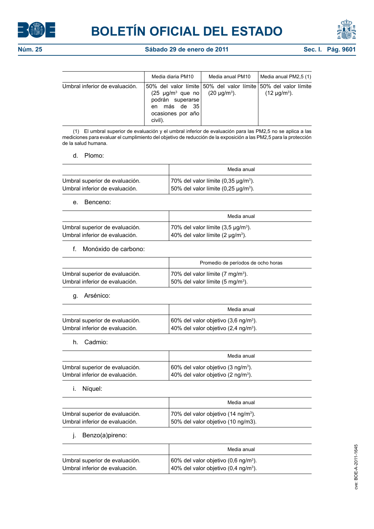



|                                | Media diaria PM10                                                                                                   | Media anual PM10                                                                     | Media anual PM2,5 (1) |
|--------------------------------|---------------------------------------------------------------------------------------------------------------------|--------------------------------------------------------------------------------------|-----------------------|
| Umbral inferior de evaluación. | $(25 \text{ µg/m}^3 \text{ que } \text{no})$<br>podrán superarse<br>más de 35<br>en<br>ocasiones por año<br>civil). | 50% del valor límite 50% del valor límite 50% del valor límite<br>$(20 \mu q/m^3)$ . | $(12 \mu g/m^3)$ .    |

(1) El umbral superior de evaluación y el umbral inferior de evaluación para las PM2,5 no se aplica a las mediciones para evaluar el cumplimiento del objetivo de reducción de la exposición a las PM2,5 para la protección de la salud humana.

d. Plomo:

|                                | Media anual                               |
|--------------------------------|-------------------------------------------|
| Umbral superior de evaluación. | 70% del valor límite $(0.35 \mu q/m^3)$ . |
| Umbral inferior de evaluación. | 50% del valor límite $(0.25 \mu q/m^3)$ . |

e. Benceno:

|                                | Media anual                                   |
|--------------------------------|-----------------------------------------------|
| Umbral superior de evaluación. | 70% del valor límite $(3.5 \text{ µq/m}^3)$ . |
| Umbral inferior de evaluación. | 40% del valor límite (2 $\mu q/m^3$ ).        |

f. Monóxido de carbono:

|                                | Promedio de períodos de ocho horas           |
|--------------------------------|----------------------------------------------|
| Umbral superior de evaluación. | 70% del valor límite (7 mg/m <sup>3</sup> ). |
| Umbral inferior de evaluación. | 50% del valor límite (5 mg/m <sup>3</sup> ). |

g. Arsénico:

|                                | Media anual                                              |
|--------------------------------|----------------------------------------------------------|
| Umbral superior de evaluación. | 60% del valor objetivo (3,6 ng/m <sup>3</sup> ).         |
| Umbral inferior de evaluación. | $\vert$ 40% del valor objetivo (2,4 ng/m <sup>3</sup> ). |

h. Cadmio:

|                                | Media anual                                    |
|--------------------------------|------------------------------------------------|
| Umbral superior de evaluación. | 60% del valor objetivo (3 ng/m <sup>3</sup> ). |
| Umbral inferior de evaluación. | 40% del valor objetivo (2 ng/m <sup>3</sup> ). |

i. Níquel:

|                                | Media anual                                     |
|--------------------------------|-------------------------------------------------|
| Umbral superior de evaluación. | 70% del valor objetivo (14 ng/m <sup>3</sup> ). |
| Umbral inferior de evaluación. | 50% del valor objetivo (10 ng/m3).              |

j. Benzo(a)pireno:

|                                | Media anual                                              |
|--------------------------------|----------------------------------------------------------|
| Umbral superior de evaluación. | $\vert$ 60% del valor objetivo (0,6 ng/m <sup>3</sup> ). |
| Umbral inferior de evaluación. | 40% del valor objetivo (0,4 ng/m <sup>3</sup> ).         |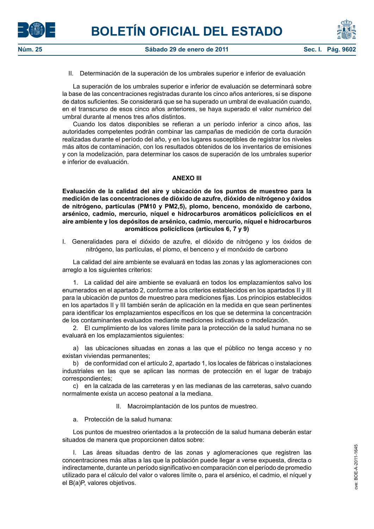





II. Determinación de la superación de los umbrales superior e inferior de evaluación

La superación de los umbrales superior e inferior de evaluación se determinará sobre la base de las concentraciones registradas durante los cinco años anteriores, si se dispone de datos suficientes. Se considerará que se ha superado un umbral de evaluación cuando, en el transcurso de esos cinco años anteriores, se haya superado el valor numérico del umbral durante al menos tres años distintos.

Cuando los datos disponibles se refieran a un período inferior a cinco años, las autoridades competentes podrán combinar las campañas de medición de corta duración realizadas durante el período del año, y en los lugares susceptibles de registrar los niveles más altos de contaminación, con los resultados obtenidos de los inventarios de emisiones y con la modelización, para determinar los casos de superación de los umbrales superior e inferior de evaluación.

## **ANEXO III**

**Evaluación de la calidad del aire y ubicación de los puntos de muestreo para la medición de las concentraciones de dióxido de azufre, dióxido de nitrógeno y óxidos de nitrógeno, partículas (PM10 y PM2,5), plomo, benceno, monóxido de carbono, arsénico, cadmio, mercurio, níquel e hidrocarburos aromáticos policíclicos en el aire ambiente y los depósitos de arsénico, cadmio, mercurio, níquel e hidrocarburos aromáticos policíclicos (artículos 6, 7 y 9)**

I. Generalidades para el dióxido de azufre, el dióxido de nitrógeno y los óxidos de nitrógeno, las partículas, el plomo, el benceno y el monóxido de carbono

La calidad del aire ambiente se evaluará en todas las zonas y las aglomeraciones con arreglo a los siguientes criterios:

1. La calidad del aire ambiente se evaluará en todos los emplazamientos salvo los enumerados en el apartado 2, conforme a los criterios establecidos en los apartados II y III para la ubicación de puntos de muestreo para mediciones fijas. Los principios establecidos en los apartados II y III también serán de aplicación en la medida en que sean pertinentes para identificar los emplazamientos específicos en los que se determina la concentración de los contaminantes evaluados mediante mediciones indicativas o modelización.

2. El cumplimiento de los valores límite para la protección de la salud humana no se evaluará en los emplazamientos siguientes:

a) las ubicaciones situadas en zonas a las que el público no tenga acceso y no existan viviendas permanentes;

b) de conformidad con el artículo 2, apartado 1, los locales de fábricas o instalaciones industriales en las que se aplican las normas de protección en el lugar de trabajo correspondientes;

c) en la calzada de las carreteras y en las medianas de las carreteras, salvo cuando normalmente exista un acceso peatonal a la mediana.

II. Macroimplantación de los puntos de muestreo.

a. Protección de la salud humana:

Los puntos de muestreo orientados a la protección de la salud humana deberán estar situados de manera que proporcionen datos sobre:

I. Las áreas situadas dentro de las zonas y aglomeraciones que registren las concentraciones más altas a las que la población puede llegar a verse expuesta, directa o indirectamente, durante un período significativo en comparación con el período de promedio utilizado para el cálculo del valor o valores límite o, para el arsénico, el cadmio, el níquel y el B(a)P, valores objetivos.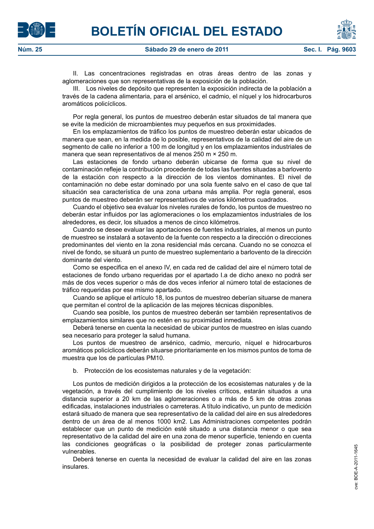II. Las concentraciones registradas en otras áreas dentro de las zonas y aglomeraciones que son representativas de la exposición de la población.

III. Los niveles de depósito que representen la exposición indirecta de la población a través de la cadena alimentaria, para el arsénico, el cadmio, el níquel y los hidrocarburos aromáticos policíclicos.

Por regla general, los puntos de muestreo deberán estar situados de tal manera que se evite la medición de microambientes muy pequeños en sus proximidades.

En los emplazamientos de tráfico los puntos de muestreo deberán estar ubicados de manera que sean, en la medida de lo posible, representativos de la calidad del aire de un segmento de calle no inferior a 100 m de longitud y en los emplazamientos industriales de manera que sean representativos de al menos 250 m × 250 m.

Las estaciones de fondo urbano deberán ubicarse de forma que su nivel de contaminación refleje la contribución procedente de todas las fuentes situadas a barlovento de la estación con respecto a la dirección de los vientos dominantes. El nivel de contaminación no debe estar dominado por una sola fuente salvo en el caso de que tal situación sea característica de una zona urbana más amplia. Por regla general, esos puntos de muestreo deberán ser representativos de varios kilómetros cuadrados.

Cuando el objetivo sea evaluar los niveles rurales de fondo, los puntos de muestreo no deberán estar influidos por las aglomeraciones o los emplazamientos industriales de los alrededores, es decir, los situados a menos de cinco kilómetros.

Cuando se desee evaluar las aportaciones de fuentes industriales, al menos un punto de muestreo se instalará a sotavento de la fuente con respecto a la dirección o direcciones predominantes del viento en la zona residencial más cercana. Cuando no se conozca el nivel de fondo, se situará un punto de muestreo suplementario a barlovento de la dirección dominante del viento.

Como se especifica en el anexo IV, en cada red de calidad del aire el número total de estaciones de fondo urbano requeridas por el apartado I.a de dicho anexo no podrá ser más de dos veces superior o más de dos veces inferior al número total de estaciones de tráfico requeridas por ese mismo apartado.

Cuando se aplique el artículo 18, los puntos de muestreo deberían situarse de manera que permitan el control de la aplicación de las mejores técnicas disponibles.

Cuando sea posible, los puntos de muestreo deberán ser también representativos de emplazamientos similares que no estén en su proximidad inmediata.

Deberá tenerse en cuenta la necesidad de ubicar puntos de muestreo en islas cuando sea necesario para proteger la salud humana.

Los puntos de muestreo de arsénico, cadmio, mercurio, níquel e hidrocarburos aromáticos policíclicos deberán situarse prioritariamente en los mismos puntos de toma de muestra que los de partículas PM10.

b. Protección de los ecosistemas naturales y de la vegetación:

Los puntos de medición dirigidos a la protección de los ecosistemas naturales y de la vegetación, a través del cumplimiento de los niveles críticos, estarán situados a una distancia superior a 20 km de las aglomeraciones o a más de 5 km de otras zonas edificadas, instalaciones industriales o carreteras. A título indicativo, un punto de medición estará situado de manera que sea representativo de la calidad del aire en sus alrededores dentro de un área de al menos 1000 km2. Las Administraciones competentes podrán establecer que un punto de medición esté situado a una distancia menor o que sea representativo de la calidad del aire en una zona de menor superficie, teniendo en cuenta las condiciones geográficas o la posibilidad de proteger zonas particularmente vulnerables.

Deberá tenerse en cuenta la necesidad de evaluar la calidad del aire en las zonas insulares.



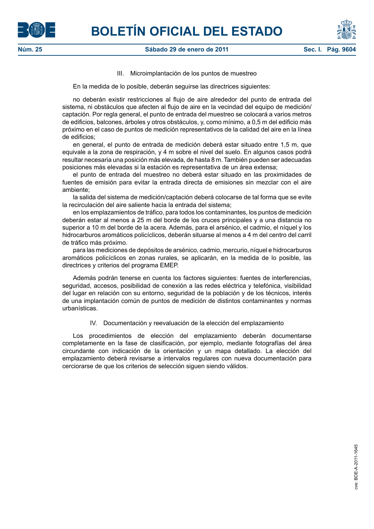



## III. Microimplantación de los puntos de muestreo

En la medida de lo posible, deberán seguirse las directrices siguientes:

no deberán existir restricciones al flujo de aire alrededor del punto de entrada del sistema, ni obstáculos que afecten al flujo de aire en la vecindad del equipo de medición/ captación. Por regla general, el punto de entrada del muestreo se colocará a varios metros de edificios, balcones, árboles y otros obstáculos, y, como mínimo, a 0,5 m del edificio más próximo en el caso de puntos de medición representativos de la calidad del aire en la línea de edificios;

en general, el punto de entrada de medición deberá estar situado entre 1,5 m, que equivale a la zona de respiración, y 4 m sobre el nivel del suelo. En algunos casos podrá resultar necesaria una posición más elevada, de hasta 8 m. También pueden ser adecuadas posiciones más elevadas si la estación es representativa de un área extensa;

el punto de entrada del muestreo no deberá estar situado en las proximidades de fuentes de emisión para evitar la entrada directa de emisiones sin mezclar con el aire ambiente;

la salida del sistema de medición/captación deberá colocarse de tal forma que se evite la recirculación del aire saliente hacia la entrada del sistema;

en los emplazamientos de tráfico, para todos los contaminantes, los puntos de medición deberán estar al menos a 25 m del borde de los cruces principales y a una distancia no superior a 10 m del borde de la acera. Además, para el arsénico, el cadmio, el níquel y los hidrocarburos aromáticos policíclicos, deberán situarse al menos a 4 m del centro del carril de tráfico más próximo.

para las mediciones de depósitos de arsénico, cadmio, mercurio, níquel e hidrocarburos aromáticos policíclicos en zonas rurales, se aplicarán, en la medida de lo posible, las directrices y criterios del programa EMEP.

Además podrán tenerse en cuenta los factores siguientes: fuentes de interferencias, seguridad, accesos, posibilidad de conexión a las redes eléctrica y telefónica, visibilidad del lugar en relación con su entorno, seguridad de la población y de los técnicos, interés de una implantación común de puntos de medición de distintos contaminantes y normas urbanísticas.

IV. Documentación y reevaluación de la elección del emplazamiento

Los procedimientos de elección del emplazamiento deberán documentarse completamente en la fase de clasificación, por ejemplo, mediante fotografías del área circundante con indicación de la orientación y un mapa detallado. La elección del emplazamiento deberá revisarse a intervalos regulares con nueva documentación para cerciorarse de que los criterios de selección siguen siendo válidos.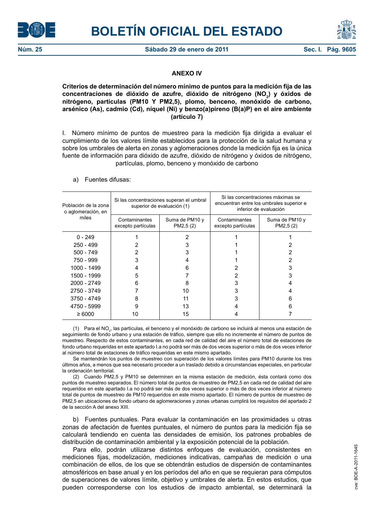



## **ANEXO IV**

## **Criterios de determinación del número mínimo de puntos para la medición fija de las**  concentraciones de dióxido de azufre, dióxido de nitrógeno (NO<sub>2</sub>) y óxidos de **nitrógeno, partículas (PM10 Y PM2,5), plomo, benceno, monóxido de carbono, arsénico (As), cadmio (Cd), níquel (Ni) y benzo(a)pireno (B(a)P) en el aire ambiente (artículo 7)**

I. Número mínimo de puntos de muestreo para la medición fija dirigida a evaluar el cumplimiento de los valores límite establecidos para la protección de la salud humana y sobre los umbrales de alerta en zonas y aglomeraciones donde la medición fija es la única fuente de información para dióxido de azufre, dióxido de nitrógeno y óxidos de nitrógeno, partículas, plomo, benceno y monóxido de carbono

| Población de la zona<br>o aglomeración, en |                                                                    | Si las concentraciones superan el umbral<br>superior de evaluación (1) | Si las concentraciones máximas se<br>encuentran entre los umbrales superior e<br>inferior de evaluación |                             |  |
|--------------------------------------------|--------------------------------------------------------------------|------------------------------------------------------------------------|---------------------------------------------------------------------------------------------------------|-----------------------------|--|
| miles                                      | Contaminantes<br>Suma de PM10 y<br>PM2,5 (2)<br>excepto partículas |                                                                        | Contaminantes<br>excepto partículas                                                                     | Suma de PM10 y<br>PM2,5 (2) |  |
| $0 - 249$                                  |                                                                    |                                                                        |                                                                                                         |                             |  |
| 250 - 499                                  |                                                                    |                                                                        |                                                                                                         |                             |  |
| 500 - 749                                  |                                                                    | 3                                                                      |                                                                                                         |                             |  |
| 750 - 999                                  | 3                                                                  |                                                                        |                                                                                                         |                             |  |
| 1000 - 1499                                |                                                                    | 6                                                                      |                                                                                                         |                             |  |
| 1500 - 1999                                | 5                                                                  |                                                                        | 2                                                                                                       | 3                           |  |
| 2000 - 2749                                | 6                                                                  | 8                                                                      | 3                                                                                                       |                             |  |
| 2750 - 3749                                |                                                                    | 10                                                                     | 3                                                                                                       |                             |  |
| 3750 - 4749                                | 8                                                                  | 11                                                                     | 3                                                                                                       | 6                           |  |
| 4750 - 5999                                | 9                                                                  | 13                                                                     |                                                                                                         | ิค                          |  |
| $\geq 6000$                                | 10                                                                 | 15                                                                     |                                                                                                         |                             |  |

## a) Fuentes difusas:

(1) Para el NO<sub>2</sub>, las partículas, el benceno y el monóxido de carbono se incluirá al menos una estación de seguimiento de fondo urbano y una estación de tráfico, siempre que ello no incremente el número de puntos de muestreo. Respecto de estos contaminantes, en cada red de calidad del aire el número total de estaciones de fondo urbano requeridas en este apartado I.a no podrá ser más de dos veces superior o más de dos veces inferior al número total de estaciones de tráfico requeridas en este mismo apartado.

Se mantendrán los puntos de muestreo con superación de los valores límites para PM10 durante los tres últimos años, a menos que sea necesario proceder a un traslado debido a circunstancias especiales, en particular la ordenación territorial.

(2) Cuando PM2,5 y PM10 se determinen en la misma estación de medición, ésta contará como dos puntos de muestreo separados. El número total de puntos de muestreo de PM2,5 en cada red de calidad del aire requeridos en este apartado I.a no podrá ser más de dos veces superior o más de dos veces inferior al número total de puntos de muestreo de PM10 requeridos en este mismo apartado. El número de puntos de muestreo de PM2,5 en ubicaciones de fondo urbano de aglomeraciones y zonas urbanas cumplirá los requisitos del apartado 2 de la sección A del anexo XIII.

b) Fuentes puntuales. Para evaluar la contaminación en las proximidades u otras zonas de afectación de fuentes puntuales, el número de puntos para la medición fija se calculará tendiendo en cuenta las densidades de emisión, los patrones probables de distribución de contaminación ambiental y la exposición potencial de la población.

Para ello, podrán utilizarse distintos enfoques de evaluación, consistentes en mediciones fijas, modelización, mediciones indicativas, campañas de medición o una combinación de ellos, de los que se obtendrán estudios de dispersión de contaminantes atmosféricos en base anual y en los períodos del año en que se requieran para cómputos de superaciones de valores límite, objetivo y umbrales de alerta. En estos estudios, que pueden corresponderse con los estudios de impacto ambiental, se determinará la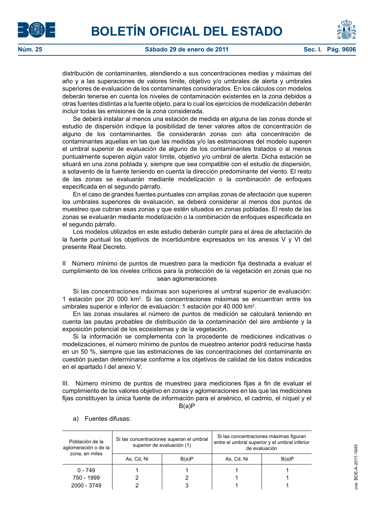



distribución de contaminantes, atendiendo a sus concentraciones medias y máximas del año y a las superaciones de valores límite, objetivo y/o umbrales de alerta y umbrales superiores de evaluación de los contaminantes considerados. En los cálculos con modelos deberán tenerse en cuenta los niveles de contaminación existentes en la zona debidos a otras fuentes distintas a la fuente objeto, para lo cual los ejercicios de modelización deberán incluir todas las emisiones de la zona considerada.

Se deberá instalar al menos una estación de medida en alguna de las zonas donde el estudio de dispersión indique la posibilidad de tener valores altos de concentración de alguno de los contaminantes. Se considerarán zonas con alta concentración de contaminantes aquellas en las que las medidas y/o las estimaciones del modelo superen el umbral superior de evaluación de alguno de los contaminantes tratados o al menos puntualmente superen algún valor límite, objetivo y/o umbral de alerta. Dicha estación se situará en una zona poblada y, siempre que sea compatible con el estudio de dispersión, a sotavento de la fuente teniendo en cuenta la dirección predominante del viento. El resto de las zonas se evaluarán mediante modelización o la combinación de enfoques especificada en el segundo párrafo.

En el caso de grandes fuentes puntuales con amplias zonas de afectación que superen los umbrales superiores de evaluación, se deberá considerar al menos dos puntos de muestreo que cubran esas zonas y que estén situados en zonas pobladas. El resto de las zonas se evaluarán mediante modelización o la combinación de enfoques especificada en el segundo párrafo.

Los modelos utilizados en este estudio deberán cumplir para el área de afectación de la fuente puntual los objetivos de incertidumbre expresados en los anexos V y VI del presente Real Decreto.

II Número mínimo de puntos de muestreo para la medición fija destinada a evaluar el cumplimiento de los niveles críticos para la protección de la vegetación en zonas que no sean aglomeraciones

Si las concentraciones máximas son superiores al umbral superior de evaluación: 1 estación por 20 000 km2 . Si las concentraciones máximas se encuentran entre los umbrales superior e inferior de evaluación: 1 estación por 40 000 km<sup>2</sup>.

En las zonas insulares el número de puntos de medición se calculará teniendo en cuenta las pautas probables de distribución de la contaminación del aire ambiente y la exposición potencial de los ecosistemas y de la vegetación.

Si la información se complementa con la procedente de mediciones indicativas o modelizaciones, el número mínimo de puntos de muestreo anterior podrá reducirse hasta en un 50 %, siempre que las estimaciones de las concentraciones del contaminante en cuestión puedan determinarse conforme a los objetivos de calidad de los datos indicados en el apartado I del anexo V.

III. Número mínimo de puntos de muestreo para mediciones fijas a fin de evaluar el cumplimiento de los valores objetivo en zonas y aglomeraciones en las que las mediciones fijas constituyen la única fuente de información para el arsénico, el cadmio, el níquel y el B(a)P

Población de la aglomeración o de la zona, en miles Si las concentraciones superan el umbral superior de evaluación (1) Si las concentraciones máximas figuran entre el umbral superior y el umbral inferior de evaluación As, Cd, Ni  $B(a)P$  As, Cd, Ni B(a)P 0 - 749 | 1 | 1 | 1 | 1 | 1 750 - 1999 2 2 1 1  $2000 - 3749$  2 3 1 1 1

a) Fuentes difusas: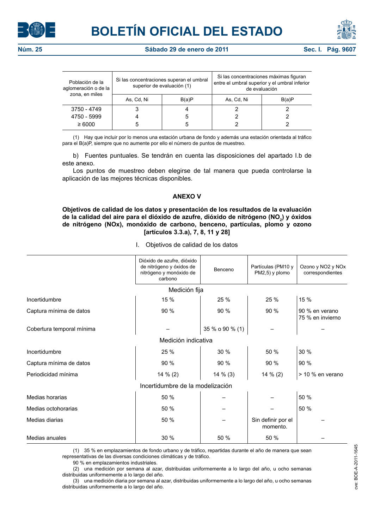





| Población de la<br>aglomeración o de la<br>zona, en miles | Si las concentraciones superan el umbral<br>superior de evaluación (1) |       | Si las concentraciones máximas figuran<br>entre el umbral superior y el umbral inferior<br>de evaluación |       |  |
|-----------------------------------------------------------|------------------------------------------------------------------------|-------|----------------------------------------------------------------------------------------------------------|-------|--|
|                                                           | As, Cd, Ni                                                             | B(a)P | As, Cd, Ni                                                                                               | B(a)P |  |
| 3750 - 4749                                               |                                                                        |       |                                                                                                          |       |  |
| 4750 - 5999                                               |                                                                        |       |                                                                                                          |       |  |
| $\geq 6000$                                               | 5                                                                      |       |                                                                                                          |       |  |

(1) Hay que incluir por lo menos una estación urbana de fondo y además una estación orientada al tráfico para el B(a)P, siempre que no aumente por ello el número de puntos de muestreo.

b) Fuentes puntuales. Se tendrán en cuenta las disposiciones del apartado I.b de este anexo.

Los puntos de muestreo deben elegirse de tal manera que pueda controlarse la aplicación de las mejores técnicas disponibles.

## **ANEXO V**

**Objetivos de calidad de los datos y presentación de los resultados de la evaluación**  de la calidad del aire para el dióxido de azufre, dióxido de nitrógeno (NO<sub>2</sub>) y óxidos **de nitrógeno (NOx), monóxido de carbono, benceno, partículas, plomo y ozono [artículos 3.3.a), 7, 8, 11 y 28]**

|  | Objetivos de calidad de los datos |  |  |  |  |  |  |
|--|-----------------------------------|--|--|--|--|--|--|
|--|-----------------------------------|--|--|--|--|--|--|

|                                  | Dióxido de azufre, dióxido<br>de nitrógeno y óxidos de<br>nitrógeno y monóxido de<br>carbono | Benceno         | Partículas (PM10 y<br>PM2,5) y plomo | Ozono y NO <sub>2</sub> y NO <sub>x</sub><br>correspondientes |  |  |  |
|----------------------------------|----------------------------------------------------------------------------------------------|-----------------|--------------------------------------|---------------------------------------------------------------|--|--|--|
|                                  | Medición fija                                                                                |                 |                                      |                                                               |  |  |  |
| Incertidumbre                    | 15 %                                                                                         | 25 %            | 25 %                                 | 15 %                                                          |  |  |  |
| Captura mínima de datos          | 90 %                                                                                         | 90 %            | 90 %                                 | 90 % en verano<br>75 % en invierno                            |  |  |  |
| Cobertura temporal mínima        |                                                                                              | 35 % o 90 % (1) |                                      |                                                               |  |  |  |
| Medición indicativa              |                                                                                              |                 |                                      |                                                               |  |  |  |
| Incertidumbre                    | 25 %                                                                                         | 30 %            | 50 %                                 | 30 %                                                          |  |  |  |
| Captura mínima de datos          | 90 %                                                                                         | 90 %            | 90 %                                 | 90 %                                                          |  |  |  |
| Periodicidad mínima              | $14 \% (2)$                                                                                  | 14 % (3)        | 14 % (2)                             | > 10 % en verano                                              |  |  |  |
| Incertidumbre de la modelización |                                                                                              |                 |                                      |                                                               |  |  |  |
| Medias horarias                  | 50 %                                                                                         |                 |                                      | 50 %                                                          |  |  |  |
| Medias octohorarias              | 50 %                                                                                         |                 |                                      | 50 %                                                          |  |  |  |
| Medias diarias                   | 50 %                                                                                         |                 | Sin definir por el<br>momento.       |                                                               |  |  |  |
| Medias anuales                   | 30 %                                                                                         | 50 %            | 50 %                                 |                                                               |  |  |  |

(1) 35 % en emplazamientos de fondo urbano y de tráfico, repartidas durante el año de manera que sean representativas de las diversas condiciones climáticas y de tráfico.

90 % en emplazamientos industriales.

(2) una medición por semana al azar, distribuidas uniformemente a lo largo del año, u ocho semanas distribuidas uniformemente a lo largo del año.

(3) una medición diaria por semana al azar, distribuidas uniformemente a lo largo del año, u ocho semanas distribuidas uniformemente a lo largo del año.

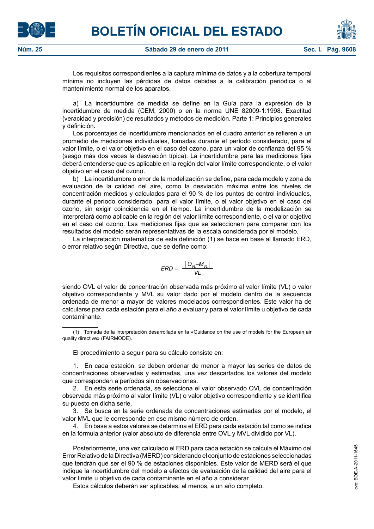



Los requisitos correspondientes a la captura mínima de datos y a la cobertura temporal mínima no incluyen las pérdidas de datos debidas a la calibración periódica o al mantenimiento normal de los aparatos.

a) La incertidumbre de medida se define en la Guía para la expresión de la incertidumbre de medida (CEM, 2000) o en la norma UNE 82009-1:1998. Exactitud (veracidad y precisión) de resultados y métodos de medición. Parte 1: Principios generales y definición.

Los porcentajes de incertidumbre mencionados en el cuadro anterior se refieren a un promedio de mediciones individuales, tomadas durante el período considerado, para el valor límite, o el valor objetivo en el caso del ozono, para un valor de confianza del 95 % (sesgo más dos veces la desviación típica). La incertidumbre para las mediciones fijas deberá entenderse que es aplicable en la región del valor límite correspondiente, o el valor objetivo en el caso del ozono.

b) La incertidumbre o error de la modelización se define, para cada modelo y zona de evaluación de la calidad del aire, como la desviación máxima entre los niveles de concentración medidos y calculados para el 90 % de los puntos de control individuales, durante el período considerado, para el valor límite, o el valor objetivo en el caso del ozono, sin exigir coincidencia en el tiempo. La incertidumbre de la modelización se interpretará como aplicable en la región del valor límite correspondiente, o el valor objetivo en el caso del ozono. Las mediciones fijas que se seleccionen para comparar con los resultados del modelo serán representativas de la escala considerada por el modelo.

La interpretación matemática de esta definición (1) se hace en base al llamado ERD, o error relativo según Directiva, que se define como:

$$
ERD = \frac{|O_{v_L} - M_{v_L}|}{VL}
$$

siendo OVL el valor de concentración observada más próximo al valor límite (VL) o valor objetivo correspondiente y MVL su valor dado por el modelo dentro de la secuencia ordenada de menor a mayor de valores modelados correspondientes. Este valor ha de calcularse para cada estación para el año a evaluar y para el valor límite u objetivo de cada contaminante.

El procedimiento a seguir para su cálculo consiste en:

1. En cada estación, se deben ordenar de menor a mayor las series de datos de concentraciones observadas y estimadas, una vez descartados los valores del modelo que corresponden a períodos sin observaciones.

2. En esta serie ordenada, se selecciona el valor observado OVL de concentración observada más próximo al valor límite (VL) o valor objetivo correspondiente y se identifica su puesto en dicha serie.

3. Se busca en la serie ordenada de concentraciones estimadas por el modelo, el valor MVL que le corresponde en ese mismo número de orden.

4. En base a estos valores se determina el ERD para cada estación tal como se indica en la fórmula anterior (valor absoluto de diferencia entre OVL y MVL dividido por VL).

Posteriormente, una vez calculado el ERD para cada estación se calcula el Máximo del Error Relativo de la Directiva (MERD) considerando el conjunto de estaciones seleccionadas que tendrán que ser el 90 % de estaciones disponibles. Este valor de MERD será el que indique la incertidumbre del modelo a efectos de evaluación de la calidad del aire para el valor límite u objetivo de cada contaminante en el año a considerar.

Estos cálculos deberán ser aplicables, al menos, a un año completo.

<sup>(1)</sup> Tomada de la interpretación desarrollada en la «Guidance on the use of models for the European air quality directive» (FAIRMODE).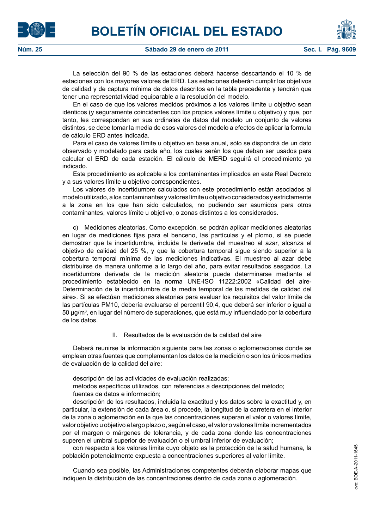



La selección del 90 % de las estaciones deberá hacerse descartando el 10 % de estaciones con los mayores valores de ERD. Las estaciones deberán cumplir los objetivos de calidad y de captura mínima de datos descritos en la tabla precedente y tendrán que tener una representatividad equiparable a la resolución del modelo.

En el caso de que los valores medidos próximos a los valores límite u objetivo sean idénticos (y seguramente coincidentes con los propios valores límite u objetivo) y que, por tanto, les correspondan en sus ordinales de datos del modelo un conjunto de valores distintos, se debe tomar la media de esos valores del modelo a efectos de aplicar la formula de cálculo ERD antes indicada.

Para el caso de valores límite u objetivo en base anual, sólo se dispondrá de un dato observado y modelado para cada año, los cuales serán los que deban ser usados para calcular el ERD de cada estación. El cálculo de MERD seguirá el procedimiento ya indicado.

Este procedimiento es aplicable a los contaminantes implicados en este Real Decreto y a sus valores límite u objetivo correspondientes.

Los valores de incertidumbre calculados con este procedimiento están asociados al modelo utilizado, a los contaminantes y valores límite u objetivo considerados y estrictamente a la zona en los que han sido calculados, no pudiendo ser asumidos para otros contaminantes, valores límite u objetivo, o zonas distintos a los considerados.

c) Mediciones aleatorias. Como excepción, se podrán aplicar mediciones aleatorias en lugar de mediciones fijas para el benceno, las partículas y el plomo, si se puede demostrar que la incertidumbre, incluida la derivada del muestreo al azar, alcanza el objetivo de calidad del 25 %, y que la cobertura temporal sigue siendo superior a la cobertura temporal mínima de las mediciones indicativas. El muestreo al azar debe distribuirse de manera uniforme a lo largo del año, para evitar resultados sesgados. La incertidumbre derivada de la medición aleatoria puede determinarse mediante el procedimiento establecido en la norma UNE-ISO 11222:2002 «Calidad del aire-Determinación de la incertidumbre de la media temporal de las medidas de calidad del aire». Si se efectúan mediciones aleatorias para evaluar los requisitos del valor límite de las partículas PM10, debería evaluarse el percentil 90,4, que deberá ser inferior o igual a 50 μg/m $^3$ , en lugar del número de superaciones, que está muy influenciado por la cobertura de los datos.

## II. Resultados de la evaluación de la calidad del aire

Deberá reunirse la información siguiente para las zonas o aglomeraciones donde se emplean otras fuentes que complementan los datos de la medición o son los únicos medios de evaluación de la calidad del aire:

descripción de las actividades de evaluación realizadas;

métodos específicos utilizados, con referencias a descripciones del método; fuentes de datos e información;

descripción de los resultados, incluida la exactitud y los datos sobre la exactitud y, en particular, la extensión de cada área o, si procede, la longitud de la carretera en el interior de la zona o aglomeración en la que las concentraciones superan el valor o valores límite, valor objetivo u objetivo a largo plazo o, según el caso, el valor o valores límite incrementados por el margen o márgenes de tolerancia, y de cada zona donde las concentraciones superen el umbral superior de evaluación o el umbral inferior de evaluación;

con respecto a los valores límite cuyo objeto es la protección de la salud humana, la población potencialmente expuesta a concentraciones superiores al valor límite.

Cuando sea posible, las Administraciones competentes deberán elaborar mapas que indiquen la distribución de las concentraciones dentro de cada zona o aglomeración.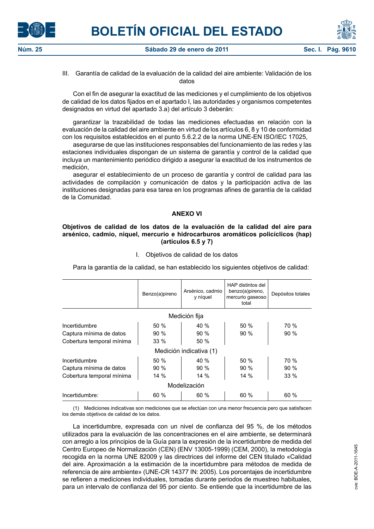



III. Garantía de calidad de la evaluación de la calidad del aire ambiente: Validación de los datos

Con el fin de asegurar la exactitud de las mediciones y el cumplimiento de los objetivos de calidad de los datos fijados en el apartado I, las autoridades y organismos competentes designados en virtud del apartado 3.a) del artículo 3 deberán:

garantizar la trazabilidad de todas las mediciones efectuadas en relación con la evaluación de la calidad del aire ambiente en virtud de los artículos 6, 8 y 10 de conformidad con los requisitos establecidos en el punto 5.6.2.2 de la norma UNE-EN ISO/IEC 17025,

asegurarse de que las instituciones responsables del funcionamiento de las redes y las estaciones individuales dispongan de un sistema de garantía y control de la calidad que incluya un mantenimiento periódico dirigido a asegurar la exactitud de los instrumentos de medición,

asegurar el establecimiento de un proceso de garantía y control de calidad para las actividades de compilación y comunicación de datos y la participación activa de las instituciones designadas para esa tarea en los programas afines de garantía de la calidad de la Comunidad.

# **ANEXO VI**

## **Objetivos de calidad de los datos de la evaluación de la calidad del aire para arsénico, cadmio, níquel, mercurio e hidrocarburos aromáticos policíclicos (hap) (artículos 6.5 y 7)**

|                           | Benzo(a)pireno | Arsénico, cadmio<br>y níquel | HAP distintos del<br>benzo(a)pireno,<br>mercurio gaseoso<br>total | Depósitos totales |  |
|---------------------------|----------------|------------------------------|-------------------------------------------------------------------|-------------------|--|
|                           |                | Medición fija                |                                                                   |                   |  |
| Incertidumbre             | 50 %           | 40 %                         | 50%                                                               | 70 %              |  |
| Captura mínima de datos   | 90%            | 90%                          | 90%                                                               | 90%               |  |
| Cobertura temporal mínima | 33%            | 50 %                         |                                                                   |                   |  |
|                           |                | Medición indicativa (1)      |                                                                   |                   |  |
| Incertidumbre             | 50%            | 40 %                         | 50%                                                               | 70 %              |  |
| Captura mínima de datos   | 90%            | 90%                          | $90\%$                                                            | $90\%$            |  |
| Cobertura temporal mínima | 14%            | 14 %                         | $14\%$                                                            | $33\%$            |  |
| Modelización              |                |                              |                                                                   |                   |  |
| Incertidumbre:            | 60 %           | 60 %                         | 60 %                                                              | 60 %              |  |

I. Objetivos de calidad de los datos

Para la garantía de la calidad, se han establecido los siguientes objetivos de calidad:

(1) Mediciones indicativas son mediciones que se efectúan con una menor frecuencia pero que satisfacen los demás objetivos de calidad de los datos.

La incertidumbre, expresada con un nivel de confianza del 95 %, de los métodos utilizados para la evaluación de las concentraciones en el aire ambiente, se determinará con arreglo a los principios de la Guía para la expresión de la incertidumbre de medida del Centro Europeo de Normalización (CEN) (ENV 13005-1999) (CEM, 2000), la metodología recogida en la norma UNE 82009 y las directrices del informe del CEN titulado «Calidad del aire. Aproximación a la estimación de la incertidumbre para métodos de medida de referencia de aire ambiente» (UNE-CR 14377 IN: 2005). Los porcentajes de incertidumbre se refieren a mediciones individuales, tomadas durante periodos de muestreo habituales, para un intervalo de confianza del 95 por ciento. Se entiende que la incertidumbre de las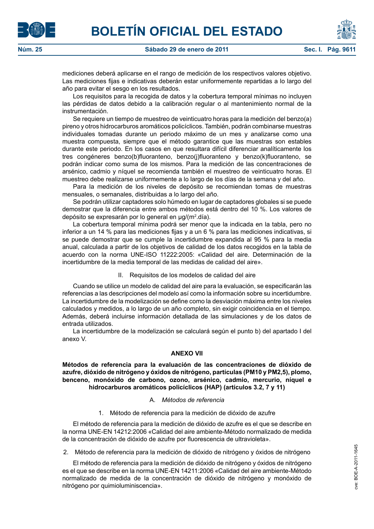mediciones deberá aplicarse en el rango de medición de los respectivos valores objetivo. Las mediciones fijas e indicativas deberán estar uniformemente repartidas a lo largo del año para evitar el sesgo en los resultados.

Los requisitos para la recogida de datos y la cobertura temporal mínimas no incluyen las pérdidas de datos debido a la calibración regular o al mantenimiento normal de la instrumentación.

Se requiere un tiempo de muestreo de veinticuatro horas para la medición del benzo(a) pireno y otros hidrocarburos aromáticos policíclicos. También, podrán combinarse muestras individuales tomadas durante un periodo máximo de un mes y analizarse como una muestra compuesta, siempre que el método garantice que las muestras son estables durante este periodo. En los casos en que resultara difícil diferenciar analíticamente los tres congéneres benzo(b)fluoranteno, benzo(j)fluoranteno y benzo(k)fluoranteno, se podrán indicar como suma de los mismos. Para la medición de las concentraciones de arsénico, cadmio y níquel se recomienda también el muestreo de veinticuatro horas. El muestreo debe realizarse uniformemente a lo largo de los días de la semana y del año.

Para la medición de los niveles de depósito se recomiendan tomas de muestras mensuales, o semanales, distribuidas a lo largo del año.

Se podrán utilizar captadores solo húmedo en lugar de captadores globales si se puede demostrar que la diferencia entre ambos métodos está dentro del 10 %. Los valores de depósito se expresarán por lo general en µg/(m<sup>2</sup>.día).

La cobertura temporal mínima podrá ser menor que la indicada en la tabla, pero no inferior a un 14 % para las mediciones fijas y a un 6 % para las mediciones indicativas, si se puede demostrar que se cumple la incertidumbre expandida al 95 % para la media anual, calculada a partir de los objetivos de calidad de los datos recogidos en la tabla de acuerdo con la norma UNE-ISO 11222:2005: «Calidad del aire. Determinación de la incertidumbre de la media temporal de las medidas de calidad del aire».

## II. Requisitos de los modelos de calidad del aire

Cuando se utilice un modelo de calidad del aire para la evaluación, se especificarán las referencias a las descripciones del modelo así como la información sobre su incertidumbre. La incertidumbre de la modelización se define como la desviación máxima entre los niveles calculados y medidos, a lo largo de un año completo, sin exigir coincidencia en el tiempo. Además, deberá incluirse información detallada de las simulaciones y de los datos de entrada utilizados.

La incertidumbre de la modelización se calculará según el punto b) del apartado I del anexo V.

## **ANEXO VII**

**Métodos de referencia para la evaluación de las concentraciones de dióxido de azufre, dióxido de nitrógeno y óxidos de nitrógeno, partículas (PM10 y PM2,5), plomo, benceno, monóxido de carbono, ozono, arsénico, cadmio, mercurio, níquel e hidrocarburos aromáticos policíclicos (HAP) (artículos 3.2, 7 y 11)**

## A. *Métodos de referencia*

# 1. Método de referencia para la medición de dióxido de azufre

El método de referencia para la medición de dióxido de azufre es el que se describe en la norma UNE-EN 14212:2006 «Calidad del aire ambiente-Método normalizado de medida de la concentración de dióxido de azufre por fluorescencia de ultravioleta».

2. Método de referencia para la medición de dióxido de nitrógeno y óxidos de nitrógeno

El método de referencia para la medición de dióxido de nitrógeno y óxidos de nitrógeno es el que se describe en la norma UNE-EN 14211:2006 «Calidad del aire ambiente-Método normalizado de medida de la concentración de dióxido de nitrógeno y monóxido de nitrógeno por quimioluminiscencia».



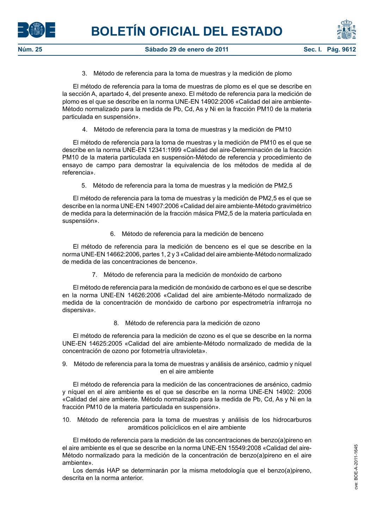

3. Método de referencia para la toma de muestras y la medición de plomo

El método de referencia para la toma de muestras de plomo es el que se describe en la sección A, apartado 4, del presente anexo. El método de referencia para la medición de plomo es el que se describe en la norma UNE-EN 14902:2006 «Calidad del aire ambiente-Método normalizado para la medida de Pb, Cd, As y Ni en la fracción PM10 de la materia particulada en suspensión».

4. Método de referencia para la toma de muestras y la medición de PM10

El método de referencia para la toma de muestras y la medición de PM10 es el que se describe en la norma UNE-EN 12341:1999 «Calidad del aire-Determinación de la fracción PM10 de la materia particulada en suspensión-Método de referencia y procedimiento de ensayo de campo para demostrar la equivalencia de los métodos de medida al de referencia».

5. Método de referencia para la toma de muestras y la medición de PM2,5

El método de referencia para la toma de muestras y la medición de PM2,5 es el que se describe en la norma UNE-EN 14907:2006 «Calidad del aire ambiente-Método gravimétrico de medida para la determinación de la fracción másica PM2,5 de la materia particulada en suspensión».

6. Método de referencia para la medición de benceno

El método de referencia para la medición de benceno es el que se describe en la norma UNE-EN 14662:2006, partes 1, 2 y 3 «Calidad del aire ambiente-Método normalizado de medida de las concentraciones de benceno».

7. Método de referencia para la medición de monóxido de carbono

El método de referencia para la medición de monóxido de carbono es el que se describe en la norma UNE-EN 14626:2006 «Calidad del aire ambiente-Método normalizado de medida de la concentración de monóxido de carbono por espectrometría infrarroja no dispersiva».

8. Método de referencia para la medición de ozono

El método de referencia para la medición de ozono es el que se describe en la norma UNE-EN 14625:2005 «Calidad del aire ambiente-Método normalizado de medida de la concentración de ozono por fotometría ultravioleta».

9. Método de referencia para la toma de muestras y análisis de arsénico, cadmio y níquel en el aire ambiente

El método de referencia para la medición de las concentraciones de arsénico, cadmio y níquel en el aire ambiente es el que se describe en la norma UNE-EN 14902: 2006 «Calidad del aire ambiente. Método normalizado para la medida de Pb, Cd, As y Ni en la fracción PM10 de la materia particulada en suspensión».

10. Método de referencia para la toma de muestras y análisis de los hidrocarburos aromáticos policíclicos en el aire ambiente

El método de referencia para la medición de las concentraciones de benzo(a)pireno en el aire ambiente es el que se describe en la norma UNE-EN 15549:2008 «Calidad del aire-Método normalizado para la medición de la concentración de benzo(a)pireno en el aire ambiente».

Los demás HAP se determinarán por la misma metodología que el benzo(a)pireno, descrita en la norma anterior.



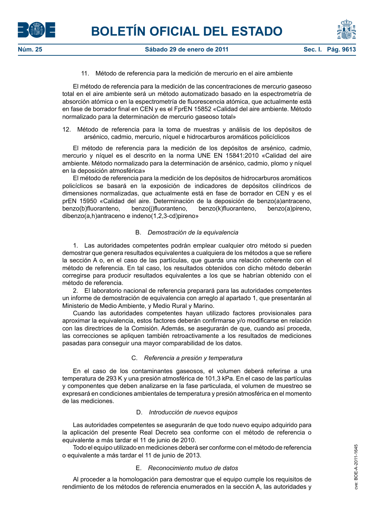



El método de referencia para la medición de las concentraciones de mercurio gaseoso total en el aire ambiente será un método automatizado basado en la espectrometría de absorción atómica o en la espectrometría de fluorescencia atómica, que actualmente está en fase de borrador final en CEN y es el FprEN 15852 «Calidad del aire ambiente. Método normalizado para la determinación de mercurio gaseoso total»

12. Método de referencia para la toma de muestras y análisis de los depósitos de arsénico, cadmio, mercurio, níquel e hidrocarburos aromáticos policíclicos

El método de referencia para la medición de los depósitos de arsénico, cadmio, mercurio y níquel es el descrito en la norma UNE EN 15841:2010 «Calidad del aire ambiente. Método normalizado para la determinación de arsénico, cadmio, plomo y níquel en la deposición atmosférica»

El método de referencia para la medición de los depósitos de hidrocarburos aromáticos policíclicos se basará en la exposición de indicadores de depósitos cilíndricos de dimensiones normalizadas, que actualmente está en fase de borrador en CEN y es el prEN 15950 «Calidad del aire. Determinación de la deposición de benzo(a)antraceno, benzo(b)fluoranteno, benzo(j)fluoranteno, benzo(k)fluoranteno, benzo(a)pireno, dibenzo(a,h)antraceno e indeno(1,2,3-cd)pireno»

# B. *Demostración de la equivalencia*

1. Las autoridades competentes podrán emplear cualquier otro método si pueden demostrar que genera resultados equivalentes a cualquiera de los métodos a que se refiere la sección A o, en el caso de las partículas, que guarda una relación coherente con el método de referencia. En tal caso, los resultados obtenidos con dicho método deberán corregirse para producir resultados equivalentes a los que se habrían obtenido con el método de referencia.

2. El laboratorio nacional de referencia preparará para las autoridades competentes un informe de demostración de equivalencia con arreglo al apartado 1, que presentarán al Ministerio de Medio Ambiente, y Medio Rural y Marino.

Cuando las autoridades competentes hayan utilizado factores provisionales para aproximar la equivalencia, estos factores deberán confirmarse y/o modificarse en relación con las directrices de la Comisión. Además, se asegurarán de que, cuando así proceda, las correcciones se apliquen también retroactivamente a los resultados de mediciones pasadas para conseguir una mayor comparabilidad de los datos.

# C. *Referencia a presión y temperatura*

En el caso de los contaminantes gaseosos, el volumen deberá referirse a una temperatura de 293 K y una presión atmosférica de 101,3 kPa. En el caso de las partículas y componentes que deben analizarse en la fase particulada, el volumen de muestreo se expresará en condiciones ambientales de temperatura y presión atmosférica en el momento de las mediciones.

# D. *Introducción de nuevos equipos*

Las autoridades competentes se asegurarán de que todo nuevo equipo adquirido para la aplicación del presente Real Decreto sea conforme con el método de referencia o equivalente a más tardar el 11 de junio de 2010.

Todo el equipo utilizado en mediciones deberá ser conforme con el método de referencia o equivalente a más tardar el 11 de junio de 2013.

# E. *Reconocimiento mutuo de datos*

Al proceder a la homologación para demostrar que el equipo cumple los requisitos de rendimiento de los métodos de referencia enumerados en la sección A, las autoridades y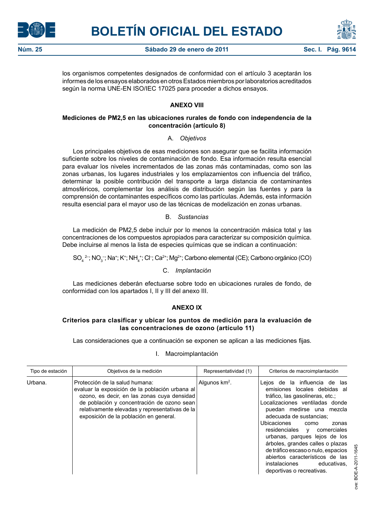



los organismos competentes designados de conformidad con el artículo 3 aceptarán los informes de los ensayos elaborados en otros Estados miembros por laboratorios acreditados según la norma UNE-EN ISO/IEC 17025 para proceder a dichos ensayos.

# **ANEXO VIII**

# **Mediciones de PM2,5 en las ubicaciones rurales de fondo con independencia de la concentración (artículo 8)**

# A. *Objetivos*

Los principales objetivos de esas mediciones son asegurar que se facilita información suficiente sobre los niveles de contaminación de fondo. Esa información resulta esencial para evaluar los niveles incrementados de las zonas más contaminadas, como son las zonas urbanas, los lugares industriales y los emplazamientos con influencia del tráfico, determinar la posible contribución del transporte a larga distancia de contaminantes atmosféricos, complementar los análisis de distribución según las fuentes y para la comprensión de contaminantes específicos como las partículas. Además, esta información resulta esencial para el mayor uso de las técnicas de modelización en zonas urbanas.

# B. *Sustancias*

La medición de PM2,5 debe incluir por lo menos la concentración másica total y las concentraciones de los compuestos apropiados para caracterizar su composición química. Debe incluirse al menos la lista de especies químicas que se indican a continuación:

 $SO_4$ <sup>2-</sup>; NO<sub>3</sub><sup>-</sup>; Na<sup>+</sup>; K<sup>+</sup>; NH<sub>4</sub><sup>+</sup>; Cl<sup>-</sup>; Ca<sup>2+</sup>; Mg<sup>2+</sup>; Carbono elemental (CE); Carbono orgánico (CO)

# C. *Implantación*

Las mediciones deberán efectuarse sobre todo en ubicaciones rurales de fondo, de conformidad con los apartados I, II y III del anexo III.

# **ANEXO IX**

# **Criterios para clasificar y ubicar los puntos de medición para la evaluación de las concentraciones de ozono (artículo 11)**

Las consideraciones que a continuación se exponen se aplican a las mediciones fijas.

## I. Macroimplantación

| Tipo de estación | Objetivos de la medición                                                                                                                                                                                                                                                   | Representatividad (1) | Criterios de macroimplantación                                                                                                                                                                                                                                                                                                                                                                                                                                           |
|------------------|----------------------------------------------------------------------------------------------------------------------------------------------------------------------------------------------------------------------------------------------------------------------------|-----------------------|--------------------------------------------------------------------------------------------------------------------------------------------------------------------------------------------------------------------------------------------------------------------------------------------------------------------------------------------------------------------------------------------------------------------------------------------------------------------------|
| Urbana.          | Protección de la salud humana:<br>evaluar la exposición de la población urbana al<br>ozono, es decir, en las zonas cuva densidad<br>de población y concentración de ozono sean<br>relativamente elevadas y representativas de la<br>exposición de la población en general. | Algunos $km2$ .       | Lejos de la influencia de las<br>emisiones locales debidas al<br>tráfico, las gasolineras, etc.;<br>Localizaciones ventiladas donde<br>puedan medirse una mezcla<br>adecuada de sustancias:<br>Ubicaciones<br>como<br>zonas<br>residenciales y<br>comerciales<br>urbanas, parques lejos de los<br>árboles, grandes calles o plazas<br>de tráfico escaso o nulo, espacios<br>abiertos característicos de las<br>instalaciones<br>educativas.<br>deportivas o recreativas. |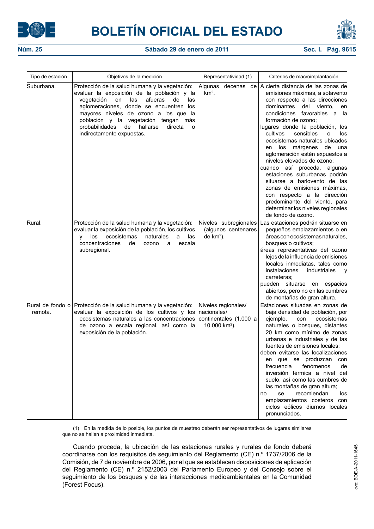



| Tipo de estación | Objetivos de la medición                                                                                                                                                                                                                                                                                                                                           | Representatividad (1)                                                                     | Criterios de macroimplantación                                                                                                                                                                                                                                                                                                                                                                                                                                                                                                                                                                                                                                                                     |
|------------------|--------------------------------------------------------------------------------------------------------------------------------------------------------------------------------------------------------------------------------------------------------------------------------------------------------------------------------------------------------------------|-------------------------------------------------------------------------------------------|----------------------------------------------------------------------------------------------------------------------------------------------------------------------------------------------------------------------------------------------------------------------------------------------------------------------------------------------------------------------------------------------------------------------------------------------------------------------------------------------------------------------------------------------------------------------------------------------------------------------------------------------------------------------------------------------------|
| Suburbana.       | Protección de la salud humana y la vegetación:<br>evaluar la exposición de la población y la<br>afueras<br>de<br>vegetación<br>en<br>las<br>las<br>aglomeraciones, donde se encuentren los<br>mayores niveles de ozono a los que la<br>población y la vegetación tengan más<br>de<br>hallarse<br>probabilidades<br>directa<br>$\circ$<br>indirectamente expuestas. | $km2$ .                                                                                   | Algunas decenas de   A cierta distancia de las zonas de<br>emisiones máximas, a sotavento<br>con respecto a las direcciones<br>dominantes<br>del viento,<br>en<br>condiciones favorables a<br>- la<br>formación de ozono:<br>lugares donde la población, los<br>cultivos<br>sensibles<br>los<br>o<br>ecosistemas naturales ubicados<br>los márgenes<br>de<br>una<br>en<br>aglomeración estén expuestos a<br>niveles elevados de ozono;<br>cuando así proceda,<br>algunas<br>estaciones suburbanas podrán<br>situarse a barlovento de las<br>zonas de emisiones máximas,<br>con respecto a la dirección<br>predominante del viento, para<br>determinar los niveles regionales<br>de fondo de ozono. |
| Rural.           | Protección de la salud humana y la vegetación:<br>evaluar la exposición de la población, los cultivos<br>ecosistemas<br>naturales<br>los<br>a<br>las<br><b>V</b><br>concentraciones<br>de<br>ozono<br>escala<br>a<br>subregional.                                                                                                                                  | Niveles subregionales<br>(algunos centenares<br>de $km2$ ).                               | Las estaciones podrán situarse en<br>pequeños emplazamientos o en<br>áreas con ecosistemas naturales,<br>bosques o cultivos;<br>áreas representativas del ozono<br>lejos de la influencia de emisiones<br>locales inmediatas, tales como<br>instalaciones<br>industriales<br><b>y</b><br>carreteras;<br>pueden situarse en espacios<br>abiertos, pero no en las cumbres<br>de montañas de gran altura.                                                                                                                                                                                                                                                                                             |
| remota.          | Rural de fondo o Protección de la salud humana y la vegetación:<br>evaluar la exposición de los cultivos y los<br>ecosistemas naturales a las concentraciones<br>de ozono a escala regional, así como la<br>exposición de la población.                                                                                                                            | Niveles regionales/<br>nacionales/<br>continentales (1.000 a<br>10.000 km <sup>2</sup> ). | Estaciones situadas en zonas de<br>baja densidad de población, por<br>ejemplo,<br>ecosistemas<br>con<br>naturales o bosques, distantes<br>20 km como mínimo de zonas<br>urbanas e industriales y de las<br>fuentes de emisiones locales:<br>deben evitarse las localizaciones<br>que se produzcan<br>con<br>en<br>fenómenos<br>frecuencia<br>de<br>inversión térmica a nivel del<br>suelo, así como las cumbres de<br>las montañas de gran altura;<br>se<br>recomiendan<br>los<br>no<br>emplazamientos costeros con<br>ciclos eólicos diurnos locales<br>pronunciados.                                                                                                                             |

(1) En la medida de lo posible, los puntos de muestreo deberán ser representativos de lugares similares que no se hallen a proximidad inmediata.

Cuando proceda, la ubicación de las estaciones rurales y rurales de fondo deberá coordinarse con los requisitos de seguimiento del Reglamento (CE) n.º 1737/2006 de la Comisión, de 7 de noviembre de 2006, por el que se establecen disposiciones de aplicación del Reglamento (CE) n.º 2152/2003 del Parlamento Europeo y del Consejo sobre el seguimiento de los bosques y de las interacciones medioambientales en la Comunidad (Forest Focus).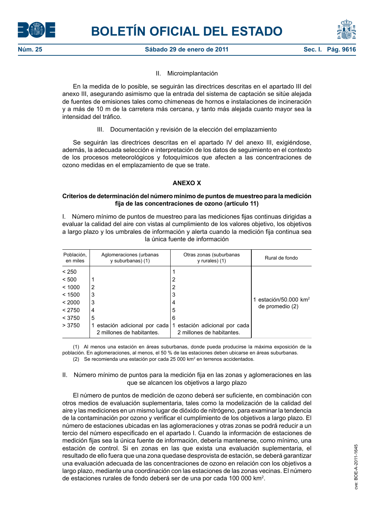



# II. Microimplantación

En la medida de lo posible, se seguirán las directrices descritas en el apartado III del anexo III, asegurando asimismo que la entrada del sistema de captación se sitúe alejada de fuentes de emisiones tales como chimeneas de hornos e instalaciones de incineración y a más de 10 m de la carretera más cercana, y tanto más alejada cuanto mayor sea la intensidad del tráfico.

III. Documentación y revisión de la elección del emplazamiento

Se seguirán las directrices descritas en el apartado IV del anexo III, exigiéndose, además, la adecuada selección e interpretación de los datos de seguimiento en el contexto de los procesos meteorológicos y fotoquímicos que afecten a las concentraciones de ozono medidas en el emplazamiento de que se trate.

# **ANEXO X**

## **Criterios de determinación del número mínimo de puntos de muestreo para la medición fija de las concentraciones de ozono (artículo 11)**

I. Número mínimo de puntos de muestreo para las mediciones fijas continuas dirigidas a evaluar la calidad del aire con vistas al cumplimiento de los valores objetivo, los objetivos a largo plazo y los umbrales de información y alerta cuando la medición fija continua sea la única fuente de información

| Población,<br>en miles                       | Aglomeraciones (urbanas<br>y suburbanas) (1)                       | Otras zonas (suburbanas<br>$y$ rurales) $(1)$                      | Rural de fondo                                     |
|----------------------------------------------|--------------------------------------------------------------------|--------------------------------------------------------------------|----------------------------------------------------|
| < 250<br>< 500<br>< 1000<br>< 1500<br>< 2000 | 2<br>3<br>3                                                        | 2<br>2<br>3<br>4                                                   | estación/50.000 km <sup>2</sup><br>de promedio (2) |
| < 2750<br>< 3750<br>>3750                    | 4<br>5<br>estación adicional por cada<br>2 millones de habitantes. | 5<br>6<br>estación adicional por cada<br>2 millones de habitantes. |                                                    |

(1) Al menos una estación en áreas suburbanas, donde pueda producirse la máxima exposición de la población. En aglomeraciones, al menos, el 50 % de las estaciones deben ubicarse en áreas suburbanas. (2) Se recomienda una estación por cada 25 000 km2 en terrenos accidentados.

## II. Número mínimo de puntos para la medición fija en las zonas y aglomeraciones en las que se alcancen los objetivos a largo plazo

El número de puntos de medición de ozono deberá ser suficiente, en combinación con otros medios de evaluación suplementaria, tales como la modelización de la calidad del aire y las mediciones en un mismo lugar de dióxido de nitrógeno, para examinar la tendencia de la contaminación por ozono y verificar el cumplimiento de los objetivos a largo plazo. El número de estaciones ubicadas en las aglomeraciones y otras zonas se podrá reducir a un tercio del número especificado en el apartado I. Cuando la información de estaciones de medición fijas sea la única fuente de información, debería mantenerse, como mínimo, una estación de control. Si en zonas en las que exista una evaluación suplementaria, el resultado de ello fuera que una zona quedase desprovista de estación, se deberá garantizar una evaluación adecuada de las concentraciones de ozono en relación con los objetivos a largo plazo, mediante una coordinación con las estaciones de las zonas vecinas. El número de estaciones rurales de fondo deberá ser de una por cada 100 000 km².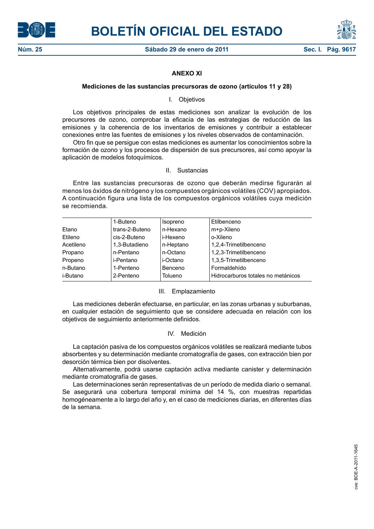



# **ANEXO XI**

#### **Mediciones de las sustancias precursoras de ozono (artículos 11 y 28)**

#### I. Objetivos

Los objetivos principales de estas mediciones son analizar la evolución de los precursores de ozono, comprobar la eficacia de las estrategias de reducción de las emisiones y la coherencia de los inventarios de emisiones y contribuir a establecer conexiones entre las fuentes de emisiones y los niveles observados de contaminación.

Otro fin que se persigue con estas mediciones es aumentar los conocimientos sobre la formación de ozono y los procesos de dispersión de sus precursores, así como apoyar la aplicación de modelos fotoquímicos.

# II. Sustancias

Entre las sustancias precursoras de ozono que deberán medirse figurarán al menos los óxidos de nitrógeno y los compuestos orgánicos volátiles (COV) apropiados. A continuación figura una lista de los compuestos orgánicos volátiles cuya medición se recomienda.

|           | 1-Buteno       | Isopreno  | Etilbenceno                        |
|-----------|----------------|-----------|------------------------------------|
| Etano     | trans-2-Buteno | n-Hexano  | m+p-Xileno                         |
| Etileno   | cis-2-Buteno   | i-Hexeno  | o-Xileno                           |
| Acetileno | 1,3-Butadieno  | n-Heptano | 1,2,4-Trimetilbenceno              |
| Propano   | n-Pentano      | n-Octano  | 1,2,3-Trimetilbenceno              |
| Propeno   | i-Pentano      | i-Octano  | 1,3,5-Trimetilbenceno              |
| n-Butano  | 1-Penteno      | Benceno   | Formaldehído                       |
| i-Butano  | 2-Penteno      | Tolueno   | Hidrocarburos totales no metánicos |
|           |                |           |                                    |

#### III. Emplazamiento

Las mediciones deberán efectuarse, en particular, en las zonas urbanas y suburbanas, en cualquier estación de seguimiento que se considere adecuada en relación con los objetivos de seguimiento anteriormente definidos.

## IV. Medición

La captación pasiva de los compuestos orgánicos volátiles se realizará mediante tubos absorbentes y su determinación mediante cromatografía de gases, con extracción bien por desorción térmica bien por disolventes.

Alternativamente, podrá usarse captación activa mediante canister y determinación mediante cromatografía de gases.

Las determinaciones serán representativas de un período de medida diario o semanal. Se asegurará una cobertura temporal mínima del 14 %, con muestras repartidas homogéneamente a lo largo del año y, en el caso de mediciones diarias, en diferentes días de la semana.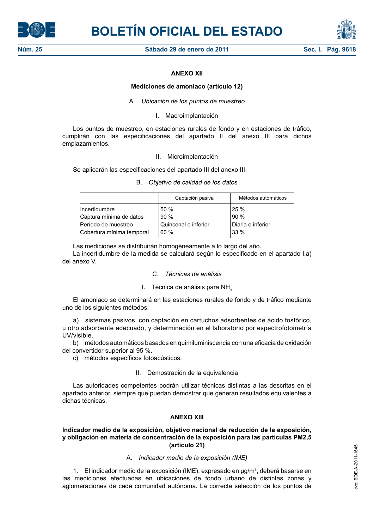



# **ANEXO XII**

#### **Mediciones de amoniaco (artículo 12)**

A. *Ubicación de los puntos de muestreo*

I. Macroimplantación

Los puntos de muestreo, en estaciones rurales de fondo y en estaciones de tráfico, cumplirán con las especificaciones del apartado II del anexo III para dichos emplazamientos.

#### II. Microimplantación

Se aplicarán las especificaciones del apartado III del anexo III.

## B. *Objetivo de calidad de los datos*

|                           | Captación pasiva     | Métodos automáticos |
|---------------------------|----------------------|---------------------|
| Incertidumbre             | 50 %                 | <sup>1</sup> 25 %   |
| Captura mínima de datos   | 90%                  | 90 %                |
| Período de muestreo       | Quincenal o inferior | Diaria o inferior   |
| Cobertura mínima temporal | 60%                  | 33 %                |

Las mediciones se distribuirán homogéneamente a lo largo del año.

La incertidumbre de la medida se calculará según lo especificado en el apartado I.a) del anexo V.

## C. *Técnicas de análisis*

## I. Técnica de análisis para NH<sub>3</sub>

El amoniaco se determinará en las estaciones rurales de fondo y de tráfico mediante uno de los siguientes métodos:

a) sistemas pasivos, con captación en cartuchos adsorbentes de ácido fosfórico, u otro adsorbente adecuado, y determinación en el laboratorio por espectrofotometría UV/visible.

b) métodos automáticos basados en quimiluminiscencia con una eficacia de oxidación del convertidor superior al 95 %.

c) métodos específicos fotoacústicos.

#### II. Demostración de la equivalencia

Las autoridades competentes podrán utilizar técnicas distintas a las descritas en el apartado anterior, siempre que puedan demostrar que generan resultados equivalentes a dichas técnicas.

# **ANEXO XIII**

## **Indicador medio de la exposición, objetivo nacional de reducción de la exposición, y obligación en materia de concentración de la exposición para las partículas PM2,5 (artículo 21)**

## A. *Indicador medio de la exposición (IME)*

1. El indicador medio de la exposición (IME), expresado en µg/m<sup>3</sup>, deberá basarse en las mediciones efectuadas en ubicaciones de fondo urbano de distintas zonas y aglomeraciones de cada comunidad autónoma. La correcta selección de los puntos de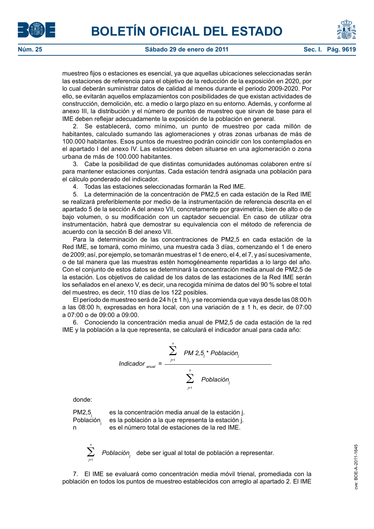



muestreo fijos o estaciones es esencial, ya que aquellas ubicaciones seleccionadas serán las estaciones de referencia para el objetivo de la reducción de la exposición en 2020, por lo cual deberán suministrar datos de calidad al menos durante el periodo 2009-2020. Por ello, se evitarán aquellos emplazamientos con posibilidades de que existan actividades de construcción, demolición, etc. a medio o largo plazo en su entorno. Además, y conforme al anexo III, la distribución y el número de puntos de muestreo que sirvan de base para el IME deben reflejar adecuadamente la exposición de la población en general.

2. Se establecerá, como mínimo, un punto de muestreo por cada millón de habitantes, calculado sumando las aglomeraciones y otras zonas urbanas de más de 100.000 habitantes. Esos puntos de muestreo podrán coincidir con los contemplados en el apartado I del anexo IV. Las estaciones deben situarse en una aglomeración o zona urbana de más de 100.000 habitantes.

3. Cabe la posibilidad de que distintas comunidades autónomas colaboren entre sí para mantener estaciones conjuntas. Cada estación tendrá asignada una población para el cálculo ponderado del indicador.

4. Todas las estaciones seleccionadas formarán la Red IME.

5. La determinación de la concentración de PM2,5 en cada estación de la Red IME se realizará preferiblemente por medio de la instrumentación de referencia descrita en el apartado 5 de la sección A del anexo VII, concretamente por gravimetría, bien de alto o de bajo volumen, o su modificación con un captador secuencial. En caso de utilizar otra instrumentación, habrá que demostrar su equivalencia con el método de referencia de acuerdo con la sección B del anexo VII.

Para la determinación de las concentraciones de PM2,5 en cada estación de la Red IME, se tomará, como mínimo, una muestra cada 3 días, comenzando el 1 de enero de 2009; así, por ejemplo, se tomarán muestras el 1 de enero, el 4, el 7, y así sucesivamente, o de tal manera que las muestras estén homogéneamente repartidas a lo largo del año. Con el conjunto de estos datos se determinará la concentración media anual de PM2,5 de la estación. Los objetivos de calidad de los datos de las estaciones de la Red IME serán los señalados en el anexo V, es decir, una recogida mínima de datos del 90 % sobre el total del muestreo, es decir, 110 días de los 122 posibles.

El período de muestreo será de 24 h  $(\pm 1 h)$ , y se recomienda que vaya desde las 08:00 h a las 08:00 h, expresadas en hora local, con una variación de  $\pm$  1 h, es decir, de 07:00 a 07:00 o de 09:00 a 09:00.

6. Conociendo la concentración media anual de PM2,5 de cada estación de la red IME y la población a la que representa, se calculará el indicador anual para cada año:

$$
Indicatedor_{_{\text{anual}}} = \frac{\sum_{j=1}^{n} PM \ 2.5_j \cdot Población_j}{\sum_{j=1}^{n} Población_j}
$$

donde:

 $PM2,5<sub>j</sub>$  es la concentración media anual de la estación j.<br>Población es la población a la que representa la estación j. es la población a la que representa la estación j. n es el número total de estaciones de la red IME.



7. El IME se evaluará como concentración media móvil trienal, promediada con la población en todos los puntos de muestreo establecidos con arreglo al apartado 2. El IME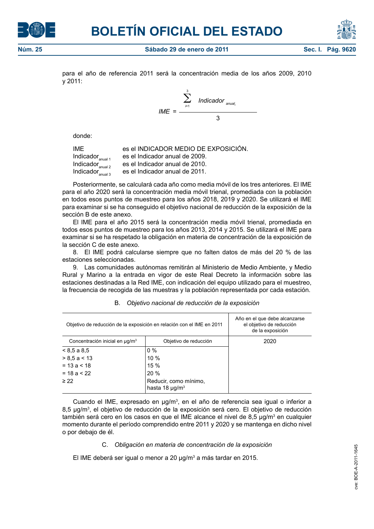



para el año de referencia 2011 será la concentración media de los años 2009, 2010 y 2011:

$$
IME = \frac{\sum_{i=1}^{3} \text{Indicatedor}_{\text{annual}_i}}{3}
$$

donde:

IME es el INDICADOR MEDIO DE EXPOSICIÓN.<br>Indicador <sub>exilata</sub> es el Indicador anual de 2009. Indicador  $_{\text{anual 1}}$  es el Indicador anual de 2009.<br>Indicador  $_{\text{anual 2}}$  es el Indicador anual de 2010. Indicador<sub>anual 2</sub> es el Indicador anual de 2010.<br>Indicador<sub>anual</sub> es el Indicador anual de 2011. es el Indicador anual de 2011.

Posteriormente, se calculará cada año como media móvil de los tres anteriores. El IME para el año 2020 será la concentración media móvil trienal, promediada con la población en todos esos puntos de muestreo para los años 2018, 2019 y 2020. Se utilizará el IME para examinar si se ha conseguido el objetivo nacional de reducción de la exposición de la sección B de este anexo.

El IME para el año 2015 será la concentración media móvil trienal, promediada en todos esos puntos de muestreo para los años 2013, 2014 y 2015. Se utilizará el IME para examinar si se ha respetado la obligación en materia de concentración de la exposición de la sección C de este anexo.

8. El IME podrá calcularse siempre que no falten datos de más del 20 % de las estaciones seleccionadas.

9. Las comunidades autónomas remitirán al Ministerio de Medio Ambiente, y Medio Rural y Marino a la entrada en vigor de este Real Decreto la información sobre las estaciones destinadas a la Red IME, con indicación del equipo utilizado para el muestreo, la frecuencia de recogida de las muestras y la población representada por cada estación.

| Objetivo de reducción de la exposición en relación con el IME en 2011 | Año en el que debe alcanzarse<br>el objetivo de reducción<br>de la exposición |      |
|-----------------------------------------------------------------------|-------------------------------------------------------------------------------|------|
| Concentración inicial en µg/m <sup>3</sup>                            | Objetivo de reducción                                                         | 2020 |
| $< 8.5$ a 8.5                                                         | $0\%$                                                                         |      |
| $> 8.5$ a < 13                                                        | $10\%$                                                                        |      |
| $= 13a < 18$                                                          | 15%                                                                           |      |
| $= 18a < 22$                                                          | 20%                                                                           |      |
| $\geq$ 22                                                             | Reducir, como mínimo,<br>hasta 18 $\mu$ g/m <sup>3</sup>                      |      |

## B. *Objetivo nacional de reducción de la exposición*

Cuando el IME, expresado en μg/m<sup>3</sup> , en el año de referencia sea igual o inferior a 8,5 μg/m<sup>3</sup> , el objetivo de reducción de la exposición será cero. El objetivo de reducción también será cero en los casos en que el IME alcance el nivel de 8,5 μg/mª en cualquier momento durante el período comprendido entre 2011 y 2020 y se mantenga en dicho nivel o por debajo de él.

## C. *Obligación en materia de concentración de la exposición*

El IME deberá ser igual o menor a 20 μg/m<sup>3</sup> a más tardar en 2015.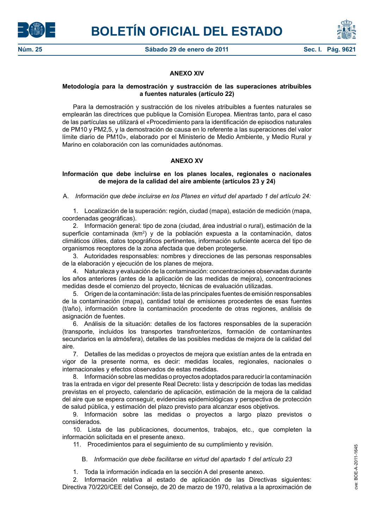



# **ANEXO XIV**

## **Metodología para la demostración y sustracción de las superaciones atribuibles a fuentes naturales (artículo 22)**

Para la demostración y sustracción de los niveles atribuibles a fuentes naturales se emplearán las directrices que publique la Comisión Europea. Mientras tanto, para el caso de las partículas se utilizará el «Procedimiento para la identificación de episodios naturales de PM10 y PM2,5, y la demostración de causa en lo referente a las superaciones del valor límite diario de PM10», elaborado por el Ministerio de Medio Ambiente, y Medio Rural y Marino en colaboración con las comunidades autónomas.

# **ANEXO XV**

# **Información que debe incluirse en los planes locales, regionales o nacionales de mejora de la calidad del aire ambiente (artículos 23 y 24)**

A. *Información que debe incluirse en los Planes en virtud del apartado 1 del artículo 24:*

1. Localización de la superación: región, ciudad (mapa), estación de medición (mapa, coordenadas geográficas).

2. Información general: tipo de zona (ciudad, área industrial o rural), estimación de la superficie contaminada (km<sup>2</sup>) y de la población expuesta a la contaminación, datos climáticos útiles, datos topográficos pertinentes, información suficiente acerca del tipo de organismos receptores de la zona afectada que deben protegerse.

3. Autoridades responsables: nombres y direcciones de las personas responsables de la elaboración y ejecución de los planes de mejora.

4. Naturaleza y evaluación de la contaminación: concentraciones observadas durante los años anteriores (antes de la aplicación de las medidas de mejora), concentraciones medidas desde el comienzo del proyecto, técnicas de evaluación utilizadas.

5. Origen de la contaminación: lista de las principales fuentes de emisión responsables de la contaminación (mapa), cantidad total de emisiones procedentes de esas fuentes (t/año), información sobre la contaminación procedente de otras regiones, análisis de asignación de fuentes.

6. Análisis de la situación: detalles de los factores responsables de la superación (transporte, incluidos los transportes transfronterizos, formación de contaminantes secundarios en la atmósfera), detalles de las posibles medidas de mejora de la calidad del aire.

7. Detalles de las medidas o proyectos de mejora que existían antes de la entrada en vigor de la presente norma, es decir: medidas locales, regionales, nacionales o internacionales y efectos observados de estas medidas.

8. Información sobre las medidas o proyectos adoptados para reducir la contaminación tras la entrada en vigor del presente Real Decreto: lista y descripción de todas las medidas previstas en el proyecto, calendario de aplicación, estimación de la mejora de la calidad del aire que se espera conseguir, evidencias epidemiológicas y perspectiva de protección de salud pública, y estimación del plazo previsto para alcanzar esos objetivos.

9. Información sobre las medidas o proyectos a largo plazo previstos o considerados.

10. Lista de las publicaciones, documentos, trabajos, etc., que completen la información solicitada en el presente anexo.

11. Procedimientos para el seguimiento de su cumplimiento y revisión.

B. *Información que debe facilitarse en virtud del apartado 1 del artículo 23*

1. Toda la información indicada en la sección A del presente anexo.

2. Información relativa al estado de aplicación de las Directivas siguientes: Directiva 70/220/CEE del Consejo, de 20 de marzo de 1970, relativa a la aproximación de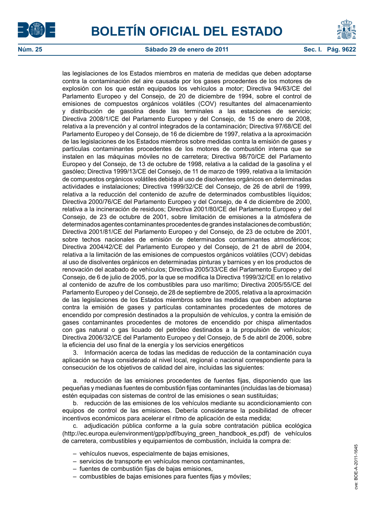



#### **Núm. 25 Sábado 29 de enero de 2011 Sec. I. Pág. 9622**

las legislaciones de los Estados miembros en materia de medidas que deben adoptarse contra la contaminación del aire causada por los gases procedentes de los motores de explosión con los que están equipados los vehículos a motor; Directiva 94/63/CE del Parlamento Europeo y del Consejo, de 20 de diciembre de 1994, sobre el control de emisiones de compuestos orgánicos volátiles (COV) resultantes del almacenamiento y distribución de gasolina desde las terminales a las estaciones de servicio; Directiva 2008/1/CE del Parlamento Europeo y del Consejo, de 15 de enero de 2008, relativa a la prevención y al control integrados de la contaminación; Directiva 97/68/CE del Parlamento Europeo y del Consejo, de 16 de diciembre de 1997, relativa a la aproximación de las legislaciones de los Estados miembros sobre medidas contra la emisión de gases y partículas contaminantes procedentes de los motores de combustión interna que se instalen en las máquinas móviles no de carretera; Directiva 98/70/CE del Parlamento Europeo y del Consejo, de 13 de octubre de 1998, relativa a la calidad de la gasolina y el gasóleo; Directiva 1999/13/CE del Consejo, de 11 de marzo de 1999, relativa a la limitación de compuestos orgánicos volátiles debida al uso de disolventes orgánicos en determinadas actividades e instalaciones; Directiva 1999/32/CE del Consejo, de 26 de abril de 1999, relativa a la reducción del contenido de azufre de determinados combustibles líquidos; Directiva 2000/76/CE del Parlamento Europeo y del Consejo, de 4 de diciembre de 2000, relativa a la incineración de residuos; Directiva 2001/80/CE del Parlamento Europeo y del Consejo, de 23 de octubre de 2001, sobre limitación de emisiones a la atmósfera de determinados agentes contaminantes procedentes de grandes instalaciones de combustión; Directiva 2001/81/CE del Parlamento Europeo y del Consejo, de 23 de octubre de 2001, sobre techos nacionales de emisión de determinados contaminantes atmosféricos; Directiva 2004/42/CE del Parlamento Europeo y del Consejo, de 21 de abril de 2004, relativa a la limitación de las emisiones de compuestos orgánicos volátiles (COV) debidas al uso de disolventes orgánicos en determinadas pinturas y barnices y en los productos de renovación del acabado de vehículos; Directiva 2005/33/CE del Parlamento Europeo y del Consejo, de 6 de julio de 2005, por la que se modifica la Directiva 1999/32/CE en lo relativo al contenido de azufre de los combustibles para uso marítimo; Directiva 2005/55/CE del Parlamento Europeo y del Consejo, de 28 de septiembre de 2005, relativa a la aproximación de las legislaciones de los Estados miembros sobre las medidas que deben adoptarse contra la emisión de gases y partículas contaminantes procedentes de motores de encendido por compresión destinados a la propulsión de vehículos, y contra la emisión de gases contaminantes procedentes de motores de encendido por chispa alimentados con gas natural o gas licuado del petróleo destinados a la propulsión de vehículos; Directiva 2006/32/CE del Parlamento Europeo y del Consejo, de 5 de abril de 2006, sobre la eficiencia del uso final de la energía y los servicios energéticos

3. Información acerca de todas las medidas de reducción de la contaminación cuya aplicación se haya considerado al nivel local, regional o nacional correspondiente para la consecución de los objetivos de calidad del aire, incluidas las siguientes:

a. reducción de las emisiones procedentes de fuentes fijas, disponiendo que las pequeñas y medianas fuentes de combustión fijas contaminantes (incluidas las de biomasa) estén equipadas con sistemas de control de las emisiones o sean sustituidas;

b. reducción de las emisiones de los vehículos mediante su acondicionamiento con equipos de control de las emisiones. Debería considerarse la posibilidad de ofrecer incentivos económicos para acelerar el ritmo de aplicación de esta medida;

c. adjudicación pública conforme a la guía sobre contratación pública ecológica (http://ec.europa.eu/environment/gpp/pdf/buying\_green\_handbook\_es.pdf) de vehículos de carretera, combustibles y equipamientos de combustión, incluida la compra de:

- vehículos nuevos, especialmente de bajas emisiones,
- servicios de transporte en vehículos menos contaminantes,
- fuentes de combustión fijas de bajas emisiones,
- combustibles de bajas emisiones para fuentes fijas y móviles;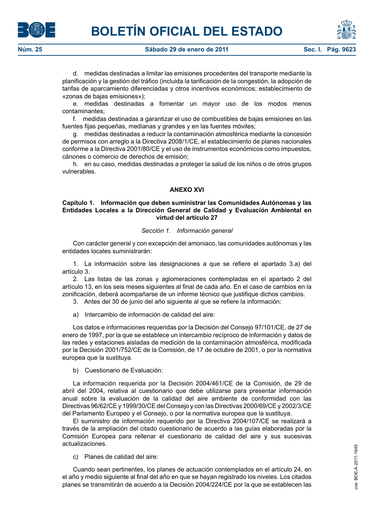

d. medidas destinadas a limitar las emisiones procedentes del transporte mediante la planificación y la gestión del tráfico (incluida la tarificación de la congestión, la adopción de tarifas de aparcamiento diferenciadas y otros incentivos económicos; establecimiento de «zonas de bajas emisiones»);

e. medidas destinadas a fomentar un mayor uso de los modos menos contaminantes;

f. medidas destinadas a garantizar el uso de combustibles de bajas emisiones en las fuentes fijas pequeñas, medianas y grandes y en las fuentes móviles;

g. medidas destinadas a reducir la contaminación atmosférica mediante la concesión de permisos con arreglo a la Directiva 2008/1/CE, el establecimiento de planes nacionales conforme a la Directiva 2001/80/CE y el uso de instrumentos económicos como impuestos, cánones o comercio de derechos de emisión;

h. en su caso, medidas destinadas a proteger la salud de los niños o de otros grupos vulnerables.

# **ANEXO XVI**

## **Capítulo 1. Información que deben suministrar las Comunidades Autónomas y las Entidades Locales a la Dirección General de Calidad y Evaluación Ambiental en virtud del artículo 27**

#### *Sección 1. Información general*

Con carácter general y con excepción del amoniaco, las comunidades autónomas y las entidades locales suministrarán:

1. La información sobre las designaciones a que se refiere el apartado 3.a) del artículo 3.

2. Las listas de las zonas y aglomeraciones contempladas en el apartado 2 del artículo 13, en los seis meses siguientes al final de cada año. En el caso de cambios en la zonificación, deberá acompañarse de un informe técnico que justifique dichos cambios.

3. Antes del 30 de junio del año siguiente al que se refiere la información:

a) Intercambio de información de calidad del aire:

Los datos e informaciones requeridas por la Decisión del Consejo 97/101/CE, de 27 de enero de 1997, por la que se establece un intercambio recíproco de información y datos de las redes y estaciones aisladas de medición de la contaminación atmosférica, modificada por la Decisión 2001/752/CE de la Comisión, de 17 de octubre de 2001, o por la normativa europea que la sustituya.

b) Cuestionario de Evaluación:

La información requerida por la Decisión 2004/461/CE de la Comisión, de 29 de abril del 2004, relativa al cuestionario que debe utilizarse para presentar información anual sobre la evaluación de la calidad del aire ambiente de conformidad con las Directivas 96/62/CE y 1999/30/CE del Consejo y con las Directivas 2000/69/CE y 2002/3/CE del Parlamento Europeo y el Consejo, o por la normativa europea que la sustituya.

El suministro de información requerido por la Directiva 2004/107/CE se realizará a través de la ampliación del citado cuestionario de acuerdo a las guías elaboradas por la Comisión Europea para rellenar el cuestionario de calidad del aire y sus sucesivas actualizaciones.

c) Planes de calidad del aire:

Cuando sean pertinentes, los planes de actuación contemplados en el artículo 24, en el año y medio siguiente al final del año en que se hayan registrado los niveles. Los citados planes se transmitirán de acuerdo a la Decisión 2004/224/CE por la que se establecen las



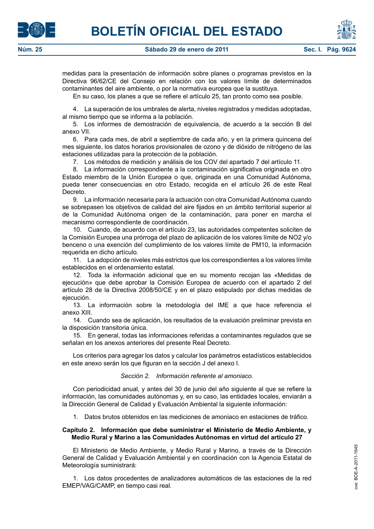medidas para la presentación de información sobre planes o programas previstos en la Directiva 96/62/CE del Consejo en relación con los valores límite de determinados contaminantes del aire ambiente, o por la normativa europea que la sustituya.

En su caso, los planes a que se refiere el artículo 25, tan pronto como sea posible.

4. La superación de los umbrales de alerta, niveles registrados y medidas adoptadas, al mismo tiempo que se informa a la población.

5. Los informes de demostración de equivalencia, de acuerdo a la sección B del anexo VII.

6. Para cada mes, de abril a septiembre de cada año, y en la primera quincena del mes siguiente, los datos horarios provisionales de ozono y de dióxido de nitrógeno de las estaciones utilizadas para la protección de la población.

7. Los métodos de medición y análisis de los COV del apartado 7 del artículo 11.

8. La información correspondiente a la contaminación significativa originada en otro Estado miembro de la Unión Europea o que, originada en una Comunidad Autónoma, pueda tener consecuencias en otro Estado, recogida en el artículo 26 de este Real Decreto.

9. La información necesaria para la actuación con otra Comunidad Autónoma cuando se sobrepasen los objetivos de calidad del aire fijados en un ámbito territorial superior al de la Comunidad Autónoma origen de la contaminación, para poner en marcha el mecanismo correspondiente de coordinación.

10. Cuando, de acuerdo con el artículo 23, las autoridades competentes soliciten de la Comisión Europea una prórroga del plazo de aplicación de los valores límite de NO2 y/o benceno o una exención del cumplimiento de los valores límite de PM10, la información requerida en dicho artículo.

11. La adopción de niveles más estrictos que los correspondientes a los valores límite establecidos en el ordenamiento estatal.

12. Toda la información adicional que en su momento recojan las «Medidas de ejecución» que debe aprobar la Comisión Europea de acuerdo con el apartado 2 del artículo 28 de la Directiva 2008/50/CE y en el plazo estipulado por dichas medidas de ejecución.

13. La información sobre la metodología del IME a que hace referencia el anexo XIII.

14. Cuando sea de aplicación, los resultados de la evaluación preliminar prevista en la disposición transitoria única.

15. En general, todas las informaciones referidas a contaminantes regulados que se señalan en los anexos anteriores del presente Real Decreto.

Los criterios para agregar los datos y calcular los parámetros estadísticos establecidos en este anexo serán los que figuran en la sección J del anexo I.

## *Sección 2. Información referente al amoniaco.*

Con periodicidad anual, y antes del 30 de junio del año siguiente al que se refiere la información, las comunidades autónomas y, en su caso, las entidades locales, enviarán a la Dirección General de Calidad y Evaluación Ambiental la siguiente información:

1. Datos brutos obtenidos en las mediciones de amoniaco en estaciones de tráfico.

## **Capítulo 2. Información que debe suministrar el Ministerio de Medio Ambiente, y Medio Rural y Marino a las Comunidades Autónomas en virtud del artículo 27**

El Ministerio de Medio Ambiente, y Medio Rural y Marino, a través de la Dirección General de Calidad y Evaluación Ambiental y en coordinación con la Agencia Estatal de Meteorología suministrará:

1. Los datos procedentes de analizadores automáticos de las estaciones de la red EMEP/VAG/CAMP, en tiempo casi real.



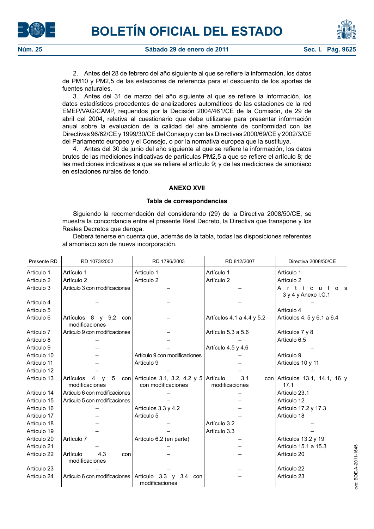



**Núm. 25 Sábado 29 de enero de 2011 Sec. I. Pág. 96 Sec. I.** Pág. 96

2. Antes del 28 de febrero del año siguiente al que se refiere la información, los datos de PM10 y PM2,5 de las estaciones de referencia para el descuento de los aportes de fuentes naturales.

3. Antes del 31 de marzo del año siguiente al que se refiere la información, los datos estadísticos procedentes de analizadores automáticos de las estaciones de la red EMEP/VAG/CAMP, requeridos por la Decisión 2004/461/CE de la Comisión, de 29 de abril del 2004, relativa al cuestionario que debe utilizarse para presentar información anual sobre la evaluación de la calidad del aire ambiente de conformidad con las Directivas 96/62/CE y 1999/30/CE del Consejo y con las Directivas 2000/69/CE y 2002/3/CE del Parlamento europeo y el Consejo, o por la normativa europea que la sustituya.

4. Antes del 30 de junio del año siguiente al que se refiere la información, los datos brutos de las mediciones indicativas de partículas PM2,5 a que se refiere el artículo 8; de las mediciones indicativas a que se refiere el artículo 9; y de las mediciones de amoniaco en estaciones rurales de fondo.

# **ANEXO XVII**

# **Tabla de correspondencias**

Siguiendo la recomendación del considerando (29) de la Directiva 2008/50/CE, se muestra la concordancia entre el presente Real Decreto, la Directiva que transpone y los Reales Decretos que deroga.

Deberá tenerse en cuenta que, además de la tabla, todas las disposiciones referentes al amoniaco son de nueva incorporación.

| Presente RD | RD 1073/2002                                                        | RD 1796/2003                                                   | RD 812/2007               | Directiva 2008/50/CE                                   |
|-------------|---------------------------------------------------------------------|----------------------------------------------------------------|---------------------------|--------------------------------------------------------|
| Artículo 1  | Artículo 1                                                          | Artículo 1                                                     | Artículo 1                | Artículo 1                                             |
| Artículo 2  | Artículo 2                                                          | Artículo 2                                                     | Artículo 2                | Artículo 2                                             |
| Artículo 3  | Artículo 3 con modificaciones                                       |                                                                |                           | Artí<br>c u l<br>0 <sub>s</sub><br>3 y 4 y Anexo I.C.1 |
| Artículo 4  |                                                                     |                                                                |                           |                                                        |
| Artículo 5  |                                                                     |                                                                |                           | Artículo 4                                             |
| Artículo 6  | Artículos 8 y 9.2 con<br>modificaciones                             |                                                                | Artículos 4.1 a 4.4 y 5.2 | Artículos 4, 5 y 6.1 a 6.4                             |
| Artículo 7  | Artículo 9 con modificaciones                                       |                                                                | Artículo 5.3 a 5.6        | Artículos 7 y 8                                        |
| Artículo 8  |                                                                     |                                                                |                           | Artículo 6.5                                           |
| Artículo 9  |                                                                     |                                                                | Artículo 4.5 y 4.6        |                                                        |
| Artículo 10 |                                                                     | Artículo 9 con modificaciones                                  |                           | Artículo 9                                             |
| Artículo 11 |                                                                     | Artículo 9                                                     |                           | Artículos 10 y 11                                      |
| Artículo 12 |                                                                     |                                                                |                           |                                                        |
| Artículo 13 | $5\phantom{.0}$<br>Artículos<br>4<br>$\mathsf{v}$<br>modificaciones | con Artículos 3.1, 3.2, 4.2 y 5 Artículo<br>con modificaciones | 3.1<br>modificaciones     | con Artículos 13.1, 14.1, 16 y<br>17.1                 |
| Artículo 14 | Artículo 6 con modificaciones                                       |                                                                |                           | Artículo 23.1                                          |
| Artículo 15 | Artículo 5 con modificaciones                                       |                                                                |                           | Artículo 12                                            |
| Artículo 16 |                                                                     | Artículos 3.3 y 4.2                                            |                           | Artículo 17.2 y 17.3                                   |
| Artículo 17 |                                                                     | Artículo 5                                                     |                           | Artículo 18                                            |
| Artículo 18 |                                                                     |                                                                | Artículo 3.2              |                                                        |
| Artículo 19 |                                                                     |                                                                | Artículo 3.3              |                                                        |
| Artículo 20 | Artículo 7                                                          | Artículo 6.2 (en parte)                                        |                           | Artículos 13.2 y 19                                    |
| Artículo 21 |                                                                     |                                                                |                           | Artículo 15.1 a 15.3                                   |
| Artículo 22 | Artículo<br>4.3<br>con<br>modificaciones                            |                                                                |                           | Artículo 20                                            |
| Artículo 23 |                                                                     |                                                                |                           | Artículo 22                                            |
| Artículo 24 | Artículo 6 con modificaciones                                       | Artículo 3.3 y 3.4 con<br>modificaciones                       |                           | Artículo 23                                            |